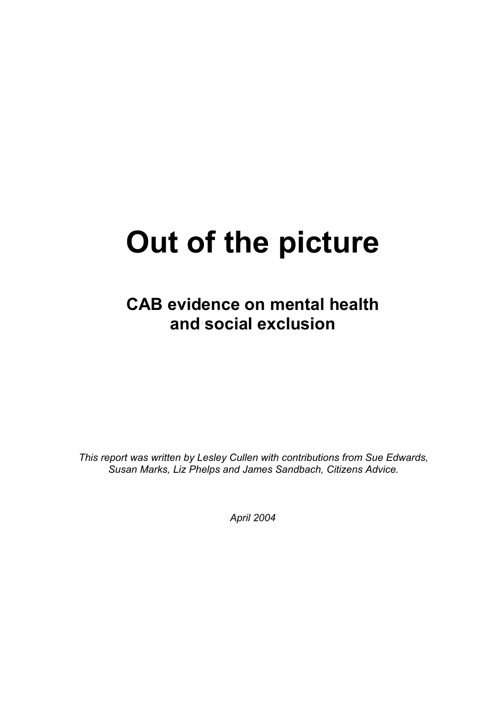# **Out of the picture**

**CAB evidence on mental health and social exclusion** 

*This report was written by Lesley Cullen with contributions from Sue Edwards, Susan Marks, Liz Phelps and James Sandbach, Citizens Advice.*

*April 2004*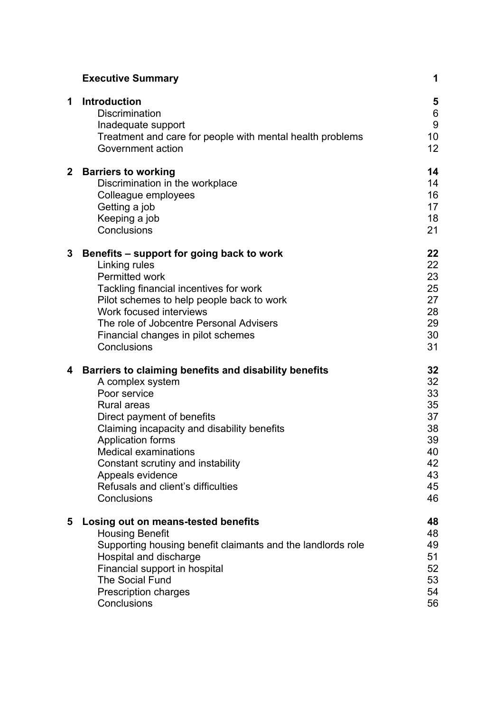|              | <b>Executive Summary</b>                                                                                                                                                                                                                                                                                                                                       | 1                                                                    |
|--------------|----------------------------------------------------------------------------------------------------------------------------------------------------------------------------------------------------------------------------------------------------------------------------------------------------------------------------------------------------------------|----------------------------------------------------------------------|
| 1            | <b>Introduction</b><br><b>Discrimination</b><br>Inadequate support<br>Treatment and care for people with mental health problems<br>Government action                                                                                                                                                                                                           | 5<br>$6\phantom{1}6$<br>9<br>10<br>12                                |
| $\mathbf{2}$ | <b>Barriers to working</b><br>Discrimination in the workplace<br>Colleague employees<br>Getting a job<br>Keeping a job<br>Conclusions                                                                                                                                                                                                                          | 14<br>14<br>16<br>17<br>18<br>21                                     |
| 3            | Benefits – support for going back to work<br>Linking rules<br>Permitted work<br>Tackling financial incentives for work<br>Pilot schemes to help people back to work<br>Work focused interviews<br>The role of Jobcentre Personal Advisers<br>Financial changes in pilot schemes<br>Conclusions                                                                 | 22<br>22<br>23<br>25<br>27<br>28<br>29<br>30<br>31                   |
| 4            | Barriers to claiming benefits and disability benefits<br>A complex system<br>Poor service<br><b>Rural areas</b><br>Direct payment of benefits<br>Claiming incapacity and disability benefits<br>Application forms<br><b>Medical examinations</b><br>Constant scrutiny and instability<br>Appeals evidence<br>Refusals and client's difficulties<br>Conclusions | 32<br>32<br>33<br>35<br>37<br>38<br>39<br>40<br>42<br>43<br>45<br>46 |
| 5            | Losing out on means-tested benefits<br><b>Housing Benefit</b><br>Supporting housing benefit claimants and the landlords role<br>Hospital and discharge<br>Financial support in hospital<br><b>The Social Fund</b><br><b>Prescription charges</b><br>Conclusions                                                                                                | 48<br>48<br>49<br>51<br>52<br>53<br>54<br>56                         |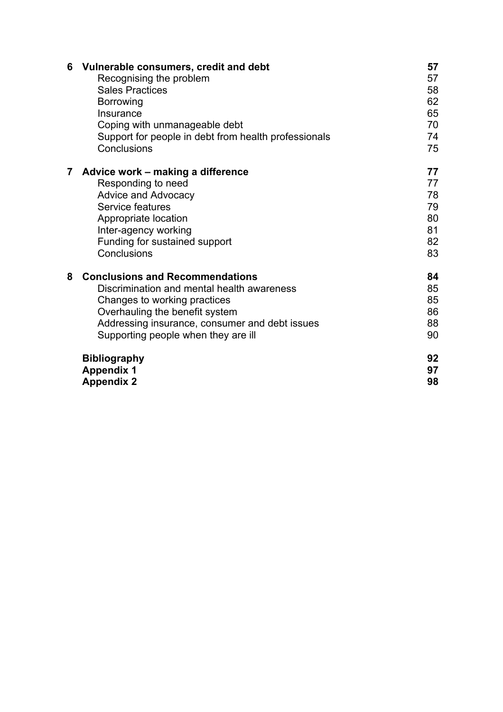| 6 | Vulnerable consumers, credit and debt<br>Recognising the problem<br><b>Sales Practices</b><br><b>Borrowing</b><br>Insurance<br>Coping with unmanageable debt<br>Support for people in debt from health professionals<br>Conclusions             | 57<br>57<br>58<br>62<br>65<br>70<br>74<br>75 |
|---|-------------------------------------------------------------------------------------------------------------------------------------------------------------------------------------------------------------------------------------------------|----------------------------------------------|
| 7 | Advice work – making a difference<br>Responding to need<br><b>Advice and Advocacy</b><br>Service features<br>Appropriate location<br>Inter-agency working<br>Funding for sustained support<br>Conclusions                                       | 77<br>77<br>78<br>79<br>80<br>81<br>82<br>83 |
| 8 | <b>Conclusions and Recommendations</b><br>Discrimination and mental health awareness<br>Changes to working practices<br>Overhauling the benefit system<br>Addressing insurance, consumer and debt issues<br>Supporting people when they are ill | 84<br>85<br>85<br>86<br>88<br>90             |
|   | <b>Bibliography</b><br><b>Appendix 1</b><br><b>Appendix 2</b>                                                                                                                                                                                   | 92<br>97<br>98                               |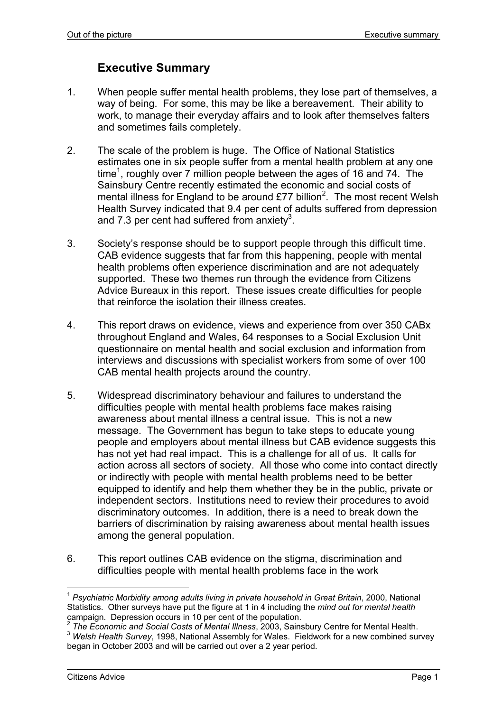# **Executive Summary**

- 1. When people suffer mental health problems, they lose part of themselves, a way of being. For some, this may be like a bereavement. Their ability to work, to manage their everyday affairs and to look after themselves falters and sometimes fails completely.
- 2. The scale of the problem is huge. The Office of National Statistics estimates one in six people suffer from a mental health problem at any one time<sup>1</sup>, roughly over 7 million people between the ages of 16 and 74. The Sainsbury Centre recently estimated the economic and social costs of mental illness for England to be around  $£77$  billion<sup>2</sup>. The most recent Welsh Health Survey indicated that 9.4 per cent of adults suffered from depression and 7.3 per cent had suffered from anxiety<sup>3</sup>.
- 3. Society's response should be to support people through this difficult time. CAB evidence suggests that far from this happening, people with mental health problems often experience discrimination and are not adequately supported. These two themes run through the evidence from Citizens Advice Bureaux in this report. These issues create difficulties for people that reinforce the isolation their illness creates.
- 4. This report draws on evidence, views and experience from over 350 CABx throughout England and Wales, 64 responses to a Social Exclusion Unit questionnaire on mental health and social exclusion and information from interviews and discussions with specialist workers from some of over 100 CAB mental health projects around the country.
- 5. Widespread discriminatory behaviour and failures to understand the difficulties people with mental health problems face makes raising awareness about mental illness a central issue. This is not a new message. The Government has begun to take steps to educate young people and employers about mental illness but CAB evidence suggests this has not yet had real impact. This is a challenge for all of us. It calls for action across all sectors of society. All those who come into contact directly or indirectly with people with mental health problems need to be better equipped to identify and help them whether they be in the public, private or independent sectors. Institutions need to review their procedures to avoid discriminatory outcomes. In addition, there is a need to break down the barriers of discrimination by raising awareness about mental health issues among the general population.
- 6. This report outlines CAB evidence on the stigma, discrimination and difficulties people with mental health problems face in the work

<sup>1</sup> *Psychiatric Morbidity among adults living in private household in Great Britain*, 2000, National Statistics. Other surveys have put the figure at 1 in 4 including the *mind out for mental health*  campaign. Depression occurs in 10 per cent of the population.<br><sup>2</sup> The Economic and Social Costs of Mental Illness, 2003, Sainsbury Centre for Mental Health.

<sup>&</sup>lt;sup>3</sup> Welsh Health Survey, 1998, National Assembly for Wales. Fieldwork for a new combined survey began in October 2003 and will be carried out over a 2 year period.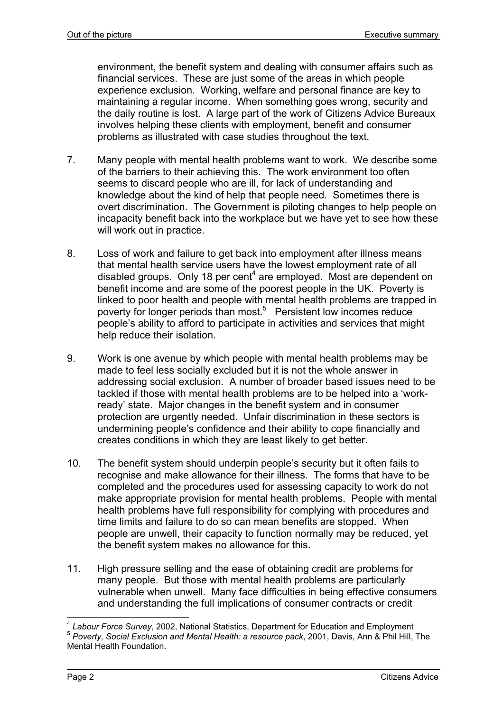environment, the benefit system and dealing with consumer affairs such as financial services. These are just some of the areas in which people experience exclusion. Working, welfare and personal finance are key to maintaining a regular income. When something goes wrong, security and the daily routine is lost. A large part of the work of Citizens Advice Bureaux involves helping these clients with employment, benefit and consumer problems as illustrated with case studies throughout the text.

- 7. Many people with mental health problems want to work. We describe some of the barriers to their achieving this. The work environment too often seems to discard people who are ill, for lack of understanding and knowledge about the kind of help that people need. Sometimes there is overt discrimination. The Government is piloting changes to help people on incapacity benefit back into the workplace but we have yet to see how these will work out in practice.
- 8. Loss of work and failure to get back into employment after illness means that mental health service users have the lowest employment rate of all disabled groups. Only 18 per cent<sup>4</sup> are employed. Most are dependent on benefit income and are some of the poorest people in the UK. Poverty is linked to poor health and people with mental health problems are trapped in poverty for longer periods than most.<sup>5</sup> Persistent low incomes reduce people's ability to afford to participate in activities and services that might help reduce their isolation.
- 9. Work is one avenue by which people with mental health problems may be made to feel less socially excluded but it is not the whole answer in addressing social exclusion. A number of broader based issues need to be tackled if those with mental health problems are to be helped into a 'workready' state. Major changes in the benefit system and in consumer protection are urgently needed. Unfair discrimination in these sectors is undermining people's confidence and their ability to cope financially and creates conditions in which they are least likely to get better.
- 10. The benefit system should underpin people's security but it often fails to recognise and make allowance for their illness. The forms that have to be completed and the procedures used for assessing capacity to work do not make appropriate provision for mental health problems. People with mental health problems have full responsibility for complying with procedures and time limits and failure to do so can mean benefits are stopped. When people are unwell, their capacity to function normally may be reduced, yet the benefit system makes no allowance for this.
- 11. High pressure selling and the ease of obtaining credit are problems for many people. But those with mental health problems are particularly vulnerable when unwell. Many face difficulties in being effective consumers and understanding the full implications of consumer contracts or credit

l <sup>4</sup> Labour Force Survey, 2002, National Statistics, Department for Education and Employment<br><sup>5</sup> Poverty, Social Exclusion and Mental Health: a resource pack, 2001, Davis, Ann & Phil Hill, The Mental Health Foundation.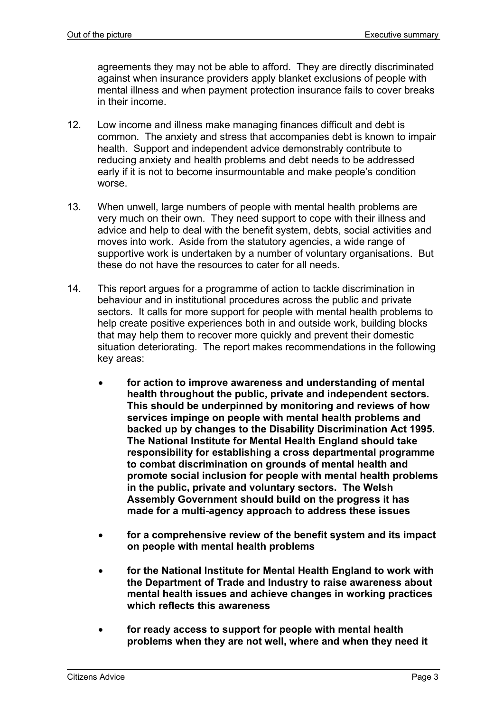agreements they may not be able to afford. They are directly discriminated against when insurance providers apply blanket exclusions of people with mental illness and when payment protection insurance fails to cover breaks in their income.

- 12. Low income and illness make managing finances difficult and debt is common. The anxiety and stress that accompanies debt is known to impair health. Support and independent advice demonstrably contribute to reducing anxiety and health problems and debt needs to be addressed early if it is not to become insurmountable and make people's condition worse.
- 13. When unwell, large numbers of people with mental health problems are very much on their own. They need support to cope with their illness and advice and help to deal with the benefit system, debts, social activities and moves into work. Aside from the statutory agencies, a wide range of supportive work is undertaken by a number of voluntary organisations. But these do not have the resources to cater for all needs.
- 14. This report argues for a programme of action to tackle discrimination in behaviour and in institutional procedures across the public and private sectors. It calls for more support for people with mental health problems to help create positive experiences both in and outside work, building blocks that may help them to recover more quickly and prevent their domestic situation deteriorating. The report makes recommendations in the following key areas:
	- **for action to improve awareness and understanding of mental health throughout the public, private and independent sectors. This should be underpinned by monitoring and reviews of how services impinge on people with mental health problems and backed up by changes to the Disability Discrimination Act 1995. The National Institute for Mental Health England should take responsibility for establishing a cross departmental programme to combat discrimination on grounds of mental health and promote social inclusion for people with mental health problems in the public, private and voluntary sectors. The Welsh Assembly Government should build on the progress it has made for a multi-agency approach to address these issues**
	- **for a comprehensive review of the benefit system and its impact on people with mental health problems**
	- **for the National Institute for Mental Health England to work with the Department of Trade and Industry to raise awareness about mental health issues and achieve changes in working practices which reflects this awareness**
	- **for ready access to support for people with mental health problems when they are not well, where and when they need it**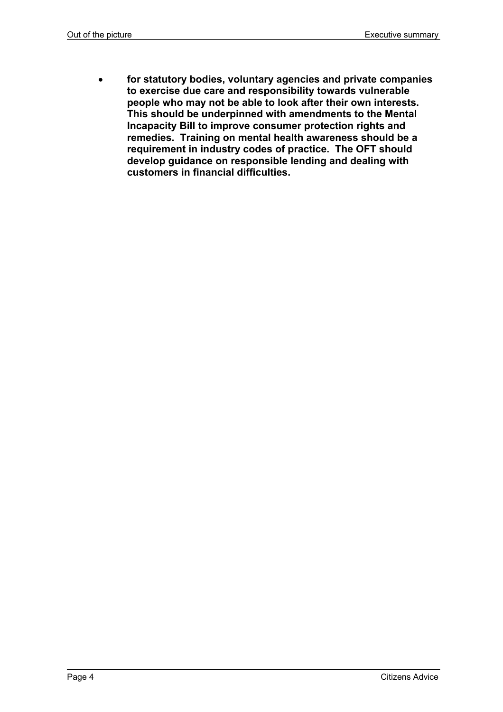• **for statutory bodies, voluntary agencies and private companies to exercise due care and responsibility towards vulnerable people who may not be able to look after their own interests. This should be underpinned with amendments to the Mental Incapacity Bill to improve consumer protection rights and remedies. Training on mental health awareness should be a requirement in industry codes of practice. The OFT should develop guidance on responsible lending and dealing with customers in financial difficulties.**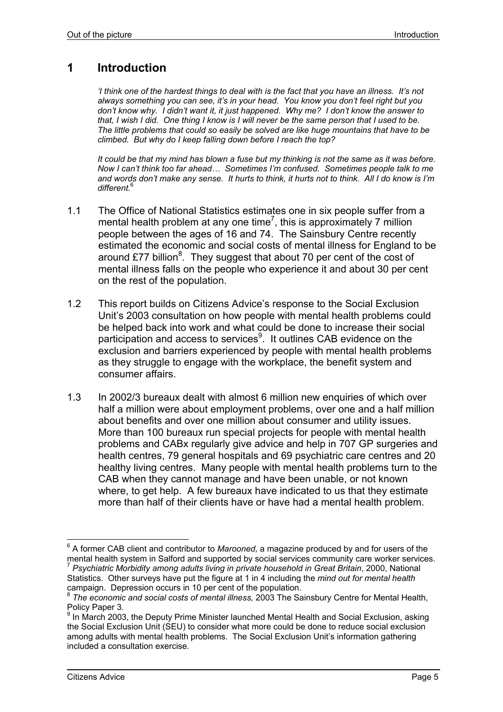# **1 Introduction**

*'I think one of the hardest things to deal with is the fact that you have an illness. It's not always something you can see, it's in your head. You know you don't feel right but you don't know why. I didn't want it, it just happened. Why me? I don't know the answer to that, I wish I did. One thing I know is I will never be the same person that I used to be. The little problems that could so easily be solved are like huge mountains that have to be climbed. But why do I keep falling down before I reach the top?* 

*It could be that my mind has blown a fuse but my thinking is not the same as it was before. Now I can't think too far ahead… Sometimes I'm confused. Sometimes people talk to me and words don't make any sense. It hurts to think, it hurts not to think. All I do know is I'm different.*<sup>6</sup>

- 1.1 The Office of National Statistics estimates one in six people suffer from a mental health problem at any one time<sup>7</sup>, this is approximately 7 million people between the ages of 16 and 74. The Sainsbury Centre recently estimated the economic and social costs of mental illness for England to be around £77 billion $8$ . They suggest that about 70 per cent of the cost of mental illness falls on the people who experience it and about 30 per cent on the rest of the population.
- 1.2 This report builds on Citizens Advice's response to the Social Exclusion Unit's 2003 consultation on how people with mental health problems could be helped back into work and what could be done to increase their social participation and access to services<sup>9</sup>. It outlines CAB evidence on the exclusion and barriers experienced by people with mental health problems as they struggle to engage with the workplace, the benefit system and consumer affairs.
- 1.3 In 2002/3 bureaux dealt with almost 6 million new enquiries of which over half a million were about employment problems, over one and a half million about benefits and over one million about consumer and utility issues. More than 100 bureaux run special projects for people with mental health problems and CABx regularly give advice and help in 707 GP surgeries and health centres, 79 general hospitals and 69 psychiatric care centres and 20 healthy living centres. Many people with mental health problems turn to the CAB when they cannot manage and have been unable, or not known where, to get help. A few bureaux have indicated to us that they estimate more than half of their clients have or have had a mental health problem.

<sup>6</sup> A former CAB client and contributor to *Marooned,* a magazine produced by and for users of the mental health system in Salford and supported by social services community care worker services.<br><sup>7</sup> *Psychiatric Morbidity among adults living in private household in Great Britain, 2000, National* Statistics. Other surveys have put the figure at 1 in 4 including the *mind out for mental health*  campaign. Depression occurs in 10 per cent of the population.

<sup>8</sup> *The economic and social costs of mental illness,* 2003 The Sainsbury Centre for Mental Health, Policy Paper 3.

 $9$  In March 2003, the Deputy Prime Minister launched Mental Health and Social Exclusion, asking the Social Exclusion Unit (SEU) to consider what more could be done to reduce social exclusion among adults with mental health problems. The Social Exclusion Unit's information gathering included a consultation exercise.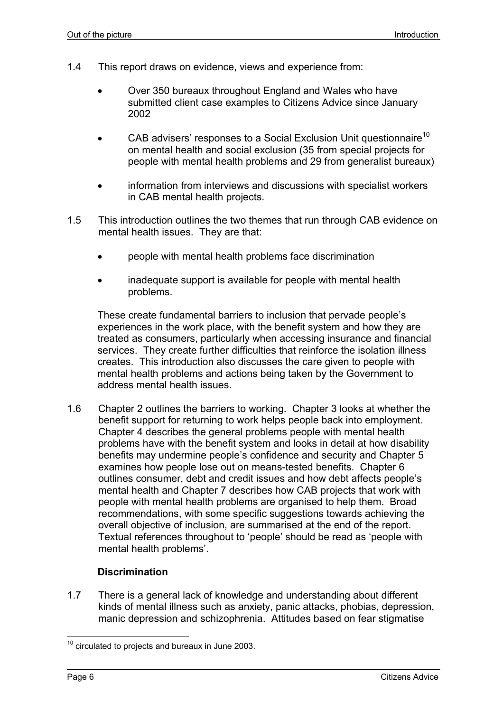- 1.4 This report draws on evidence, views and experience from:
	- Over 350 bureaux throughout England and Wales who have submitted client case examples to Citizens Advice since January 2002
	- CAB advisers' responses to a Social Exclusion Unit questionnaire<sup>10</sup> on mental health and social exclusion (35 from special projects for people with mental health problems and 29 from generalist bureaux)
	- information from interviews and discussions with specialist workers in CAB mental health projects.
- 1.5 This introduction outlines the two themes that run through CAB evidence on mental health issues. They are that:
	- people with mental health problems face discrimination
	- inadequate support is available for people with mental health problems.

These create fundamental barriers to inclusion that pervade people's experiences in the work place, with the benefit system and how they are treated as consumers, particularly when accessing insurance and financial services. They create further difficulties that reinforce the isolation illness creates. This introduction also discusses the care given to people with mental health problems and actions being taken by the Government to address mental health issues.

1.6 Chapter 2 outlines the barriers to working. Chapter 3 looks at whether the benefit support for returning to work helps people back into employment. Chapter 4 describes the general problems people with mental health problems have with the benefit system and looks in detail at how disability benefits may undermine people's confidence and security and Chapter 5 examines how people lose out on means-tested benefits. Chapter 6 outlines consumer, debt and credit issues and how debt affects people's mental health and Chapter 7 describes how CAB projects that work with people with mental health problems are organised to help them. Broad recommendations, with some specific suggestions towards achieving the overall objective of inclusion, are summarised at the end of the report. Textual references throughout to 'people' should be read as 'people with mental health problems'.

#### **Discrimination**

1.7 There is a general lack of knowledge and understanding about different kinds of mental illness such as anxiety, panic attacks, phobias, depression, manic depression and schizophrenia. Attitudes based on fear stigmatise

l  $10$  circulated to projects and bureaux in June 2003.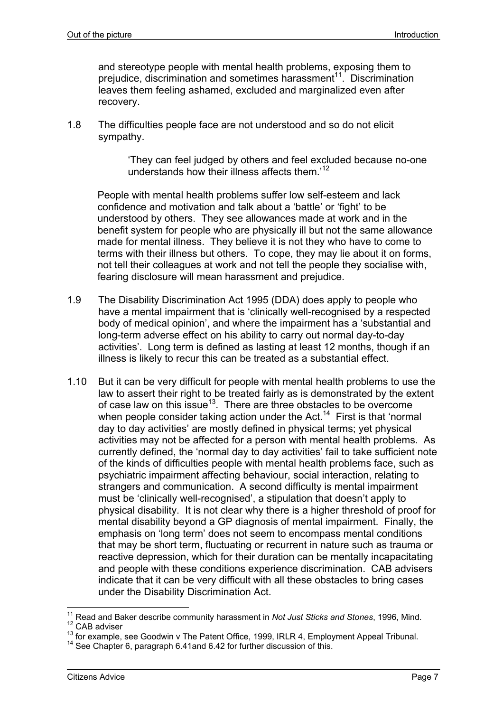and stereotype people with mental health problems, exposing them to prejudice, discrimination and sometimes harassment<sup>11</sup>. Discrimination leaves them feeling ashamed, excluded and marginalized even after recovery.

1.8 The difficulties people face are not understood and so do not elicit sympathy.

> 'They can feel judged by others and feel excluded because no-one understands how their illness affects them.<sup>12</sup>

People with mental health problems suffer low self-esteem and lack confidence and motivation and talk about a 'battle' or 'fight' to be understood by others. They see allowances made at work and in the benefit system for people who are physically ill but not the same allowance made for mental illness. They believe it is not they who have to come to terms with their illness but others. To cope, they may lie about it on forms, not tell their colleagues at work and not tell the people they socialise with, fearing disclosure will mean harassment and prejudice.

- 1.9 The Disability Discrimination Act 1995 (DDA) does apply to people who have a mental impairment that is 'clinically well-recognised by a respected body of medical opinion', and where the impairment has a 'substantial and long-term adverse effect on his ability to carry out normal day-to-day activities'. Long term is defined as lasting at least 12 months, though if an illness is likely to recur this can be treated as a substantial effect.
- 1.10 But it can be very difficult for people with mental health problems to use the law to assert their right to be treated fairly as is demonstrated by the extent of case law on this issue<sup>13</sup>. There are three obstacles to be overcome when people consider taking action under the Act.<sup>14</sup> First is that 'normal day to day activities' are mostly defined in physical terms; yet physical activities may not be affected for a person with mental health problems. As currently defined, the 'normal day to day activities' fail to take sufficient note of the kinds of difficulties people with mental health problems face, such as psychiatric impairment affecting behaviour, social interaction, relating to strangers and communication. A second difficulty is mental impairment must be 'clinically well-recognised', a stipulation that doesn't apply to physical disability. It is not clear why there is a higher threshold of proof for mental disability beyond a GP diagnosis of mental impairment. Finally, the emphasis on 'long term' does not seem to encompass mental conditions that may be short term, fluctuating or recurrent in nature such as trauma or reactive depression, which for their duration can be mentally incapacitating and people with these conditions experience discrimination. CAB advisers indicate that it can be very difficult with all these obstacles to bring cases under the Disability Discrimination Act.

<sup>&</sup>lt;sup>11</sup> Read and Baker describe community harassment in *Not Just Sticks and Stones*, 1996, Mind.

<sup>&</sup>lt;sup>12</sup> CAB adviser

<sup>&</sup>lt;sup>13</sup> for example, see Goodwin v The Patent Office, 1999, IRLR 4, Employment Appeal Tribunal.<br><sup>14</sup> See Chapter 6, paragraph 6.41and 6.42 for further discussion of this.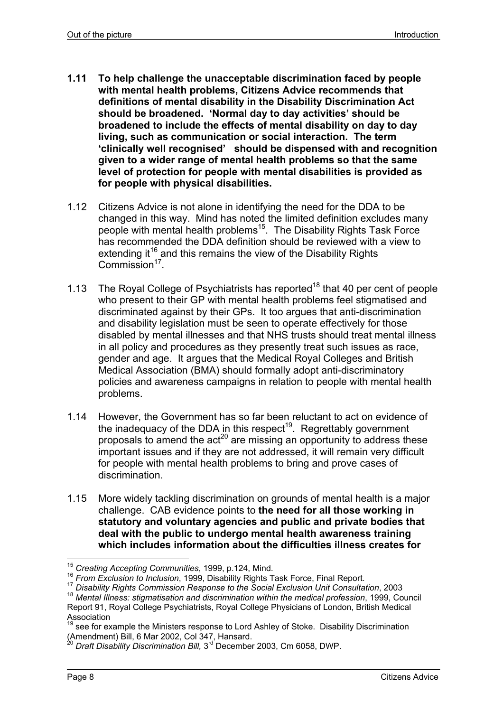- **1.11 To help challenge the unacceptable discrimination faced by people with mental health problems, Citizens Advice recommends that definitions of mental disability in the Disability Discrimination Act should be broadened. 'Normal day to day activities' should be broadened to include the effects of mental disability on day to day living, such as communication or social interaction. The term 'clinically well recognised' should be dispensed with and recognition given to a wider range of mental health problems so that the same level of protection for people with mental disabilities is provided as for people with physical disabilities.**
- 1.12 Citizens Advice is not alone in identifying the need for the DDA to be changed in this way. Mind has noted the limited definition excludes many people with mental health problems<sup>15</sup>. The Disability Rights Task Force has recommended the DDA definition should be reviewed with a view to extending it<sup>16</sup> and this remains the view of the Disability Rights  $Common<sup>17</sup>$ .
- 1.13 The Royal College of Psychiatrists has reported<sup>18</sup> that 40 per cent of people who present to their GP with mental health problems feel stigmatised and discriminated against by their GPs. It too argues that anti-discrimination and disability legislation must be seen to operate effectively for those disabled by mental illnesses and that NHS trusts should treat mental illness in all policy and procedures as they presently treat such issues as race, gender and age. It argues that the Medical Royal Colleges and British Medical Association (BMA) should formally adopt anti-discriminatory policies and awareness campaigns in relation to people with mental health problems.
- 1.14 However, the Government has so far been reluctant to act on evidence of the inadequacy of the DDA in this respect<sup>19</sup>. Regrettably government proposals to amend the  $\arctan 20$  are missing an opportunity to address these important issues and if they are not addressed, it will remain very difficult for people with mental health problems to bring and prove cases of discrimination.
- 1.15 More widely tackling discrimination on grounds of mental health is a major challenge. CAB evidence points to **the need for all those working in statutory and voluntary agencies and public and private bodies that deal with the public to undergo mental health awareness training which includes information about the difficulties illness creates for**

<sup>&</sup>lt;sup>15</sup> Creating Accepting Communities, 1999, p.124, Mind.<br><sup>16</sup> From Exclusion to Inclusion, 1999, Disability Rights Task Force, Final Report.<br><sup>17</sup> Disability Rights Commission Response to the Social Exclusion Unit Consultati

<sup>18</sup> *Mental Illness: stigmatisation and discrimination within the medical profession*, 1999, Council Report 91, Royal College Psychiatrists, Royal College Physicians of London, British Medical Association

<sup>&</sup>lt;sup>19</sup> see for example the Ministers response to Lord Ashley of Stoke. Disability Discrimination (Amendment) Bill, 6 Mar 2002, Col 347, Hansard.

<sup>&</sup>lt;sup>20</sup> Draft Disability Discrimination Bill, 3<sup>rd</sup> December 2003, Cm 6058, DWP.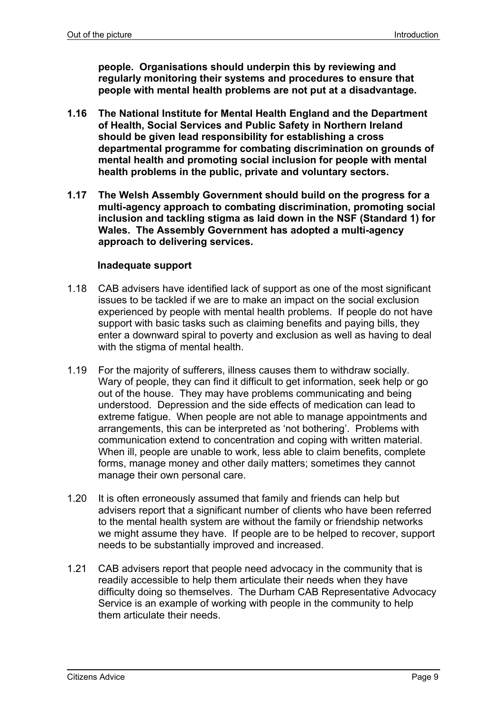**people. Organisations should underpin this by reviewing and regularly monitoring their systems and procedures to ensure that people with mental health problems are not put at a disadvantage.** 

- **1.16 The National Institute for Mental Health England and the Department of Health, Social Services and Public Safety in Northern Ireland should be given lead responsibility for establishing a cross departmental programme for combating discrimination on grounds of mental health and promoting social inclusion for people with mental health problems in the public, private and voluntary sectors.**
- **1.17 The Welsh Assembly Government should build on the progress for a multi-agency approach to combating discrimination, promoting social inclusion and tackling stigma as laid down in the NSF (Standard 1) for Wales. The Assembly Government has adopted a multi-agency approach to delivering services.**

#### **Inadequate support**

- 1.18 CAB advisers have identified lack of support as one of the most significant issues to be tackled if we are to make an impact on the social exclusion experienced by people with mental health problems. If people do not have support with basic tasks such as claiming benefits and paying bills, they enter a downward spiral to poverty and exclusion as well as having to deal with the stigma of mental health.
- 1.19 For the majority of sufferers, illness causes them to withdraw socially. Wary of people, they can find it difficult to get information, seek help or go out of the house. They may have problems communicating and being understood. Depression and the side effects of medication can lead to extreme fatigue. When people are not able to manage appointments and arrangements, this can be interpreted as 'not bothering'. Problems with communication extend to concentration and coping with written material. When ill, people are unable to work, less able to claim benefits, complete forms, manage money and other daily matters; sometimes they cannot manage their own personal care.
- 1.20 It is often erroneously assumed that family and friends can help but advisers report that a significant number of clients who have been referred to the mental health system are without the family or friendship networks we might assume they have. If people are to be helped to recover, support needs to be substantially improved and increased.
- 1.21 CAB advisers report that people need advocacy in the community that is readily accessible to help them articulate their needs when they have difficulty doing so themselves. The Durham CAB Representative Advocacy Service is an example of working with people in the community to help them articulate their needs.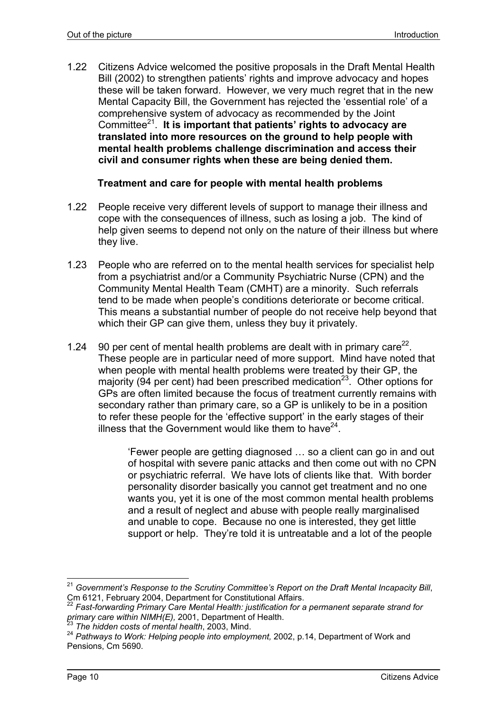1.22 Citizens Advice welcomed the positive proposals in the Draft Mental Health Bill (2002) to strengthen patients' rights and improve advocacy and hopes these will be taken forward. However, we very much regret that in the new Mental Capacity Bill, the Government has rejected the 'essential role' of a comprehensive system of advocacy as recommended by the Joint Committee21. **It is important that patients' rights to advocacy are translated into more resources on the ground to help people with mental health problems challenge discrimination and access their civil and consumer rights when these are being denied them.** 

#### **Treatment and care for people with mental health problems**

- 1.22 People receive very different levels of support to manage their illness and cope with the consequences of illness, such as losing a job. The kind of help given seems to depend not only on the nature of their illness but where they live.
- 1.23 People who are referred on to the mental health services for specialist help from a psychiatrist and/or a Community Psychiatric Nurse (CPN) and the Community Mental Health Team (CMHT) are a minority. Such referrals tend to be made when people's conditions deteriorate or become critical. This means a substantial number of people do not receive help beyond that which their GP can give them, unless they buy it privately.
- 1.24 90 per cent of mental health problems are dealt with in primary care<sup>22</sup>. These people are in particular need of more support. Mind have noted that when people with mental health problems were treated by their GP, the majority (94 per cent) had been prescribed medication<sup>23</sup>. Other options for GPs are often limited because the focus of treatment currently remains with secondary rather than primary care, so a GP is unlikely to be in a position to refer these people for the 'effective support' in the early stages of their illness that the Government would like them to have  $24$ .

'Fewer people are getting diagnosed … so a client can go in and out of hospital with severe panic attacks and then come out with no CPN or psychiatric referral. We have lots of clients like that. With border personality disorder basically you cannot get treatment and no one wants you, yet it is one of the most common mental health problems and a result of neglect and abuse with people really marginalised and unable to cope. Because no one is interested, they get little support or help. They're told it is untreatable and a lot of the people

<sup>21</sup> <sup>21</sup> *Government's Response to the Scrutiny Committee's Report on the Draft Mental Incapacity Bill*, Cm 6121, February 2004, Department for Constitutional Affairs.

<sup>22</sup> *Fast-forwarding Primary Care Mental Health: justification for a permanent separate strand for primary care within NIMH(E),* 2001, Department of Health. 23 *The hidden costs of mental health*, 2003, Mind.

<sup>24</sup> *Pathways to Work: Helping people into employment,* 2002, p.14, Department of Work and Pensions, Cm 5690.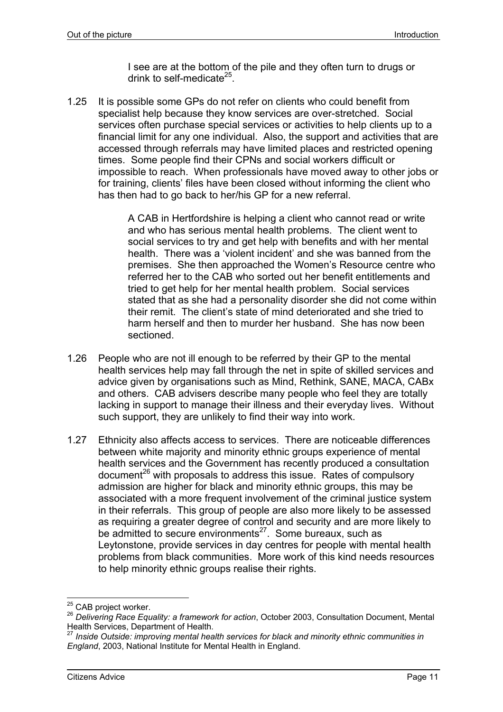I see are at the bottom of the pile and they often turn to drugs or drink to self-medicate $25$ .

1.25 It is possible some GPs do not refer on clients who could benefit from specialist help because they know services are over-stretched. Social services often purchase special services or activities to help clients up to a financial limit for any one individual. Also, the support and activities that are accessed through referrals may have limited places and restricted opening times. Some people find their CPNs and social workers difficult or impossible to reach. When professionals have moved away to other jobs or for training, clients' files have been closed without informing the client who has then had to go back to her/his GP for a new referral.

> A CAB in Hertfordshire is helping a client who cannot read or write and who has serious mental health problems. The client went to social services to try and get help with benefits and with her mental health. There was a 'violent incident' and she was banned from the premises. She then approached the Women's Resource centre who referred her to the CAB who sorted out her benefit entitlements and tried to get help for her mental health problem. Social services stated that as she had a personality disorder she did not come within their remit. The client's state of mind deteriorated and she tried to harm herself and then to murder her husband. She has now been sectioned.

- 1.26 People who are not ill enough to be referred by their GP to the mental health services help may fall through the net in spite of skilled services and advice given by organisations such as Mind, Rethink, SANE, MACA, CABx and others. CAB advisers describe many people who feel they are totally lacking in support to manage their illness and their everyday lives. Without such support, they are unlikely to find their way into work.
- 1.27 Ethnicity also affects access to services. There are noticeable differences between white majority and minority ethnic groups experience of mental health services and the Government has recently produced a consultation  $\alpha$  document<sup>26</sup> with proposals to address this issue. Rates of compulsory admission are higher for black and minority ethnic groups, this may be associated with a more frequent involvement of the criminal justice system in their referrals. This group of people are also more likely to be assessed as requiring a greater degree of control and security and are more likely to be admitted to secure environments $^{27}$ . Some bureaux, such as Leytonstone, provide services in day centres for people with mental health problems from black communities. More work of this kind needs resources to help minority ethnic groups realise their rights.

<sup>&</sup>lt;sup>25</sup> CAB project worker.

<sup>&</sup>lt;sup>26</sup> Delivering Race Equality: a framework for action, October 2003, Consultation Document, Mental Health Services, Department of Health.

<sup>27</sup> *Inside Outside: improving mental health services for black and minority ethnic communities in England*, 2003, National Institute for Mental Health in England.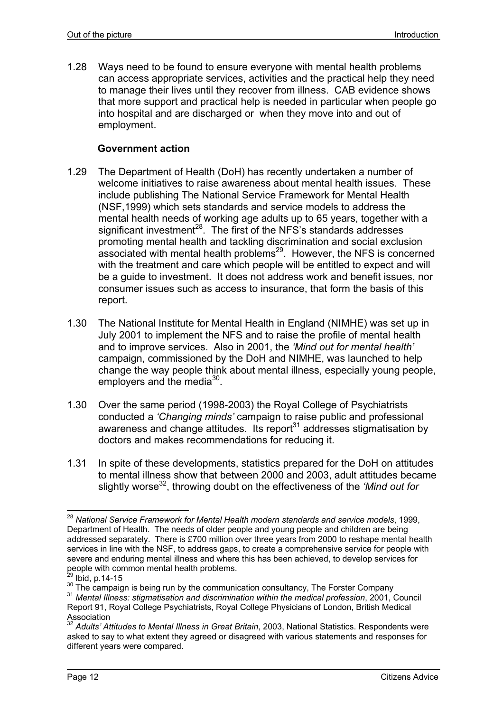1.28 Ways need to be found to ensure everyone with mental health problems can access appropriate services, activities and the practical help they need to manage their lives until they recover from illness. CAB evidence shows that more support and practical help is needed in particular when people go into hospital and are discharged or when they move into and out of employment.

#### **Government action**

- 1.29 The Department of Health (DoH) has recently undertaken a number of welcome initiatives to raise awareness about mental health issues. These include publishing The National Service Framework for Mental Health (NSF,1999) which sets standards and service models to address the mental health needs of working age adults up to 65 years, together with a significant investment<sup>28</sup>. The first of the NFS's standards addresses promoting mental health and tackling discrimination and social exclusion associated with mental health problems $^{29}$ . However, the NFS is concerned with the treatment and care which people will be entitled to expect and will be a guide to investment. It does not address work and benefit issues, nor consumer issues such as access to insurance, that form the basis of this report.
- 1.30 The National Institute for Mental Health in England (NIMHE) was set up in July 2001 to implement the NFS and to raise the profile of mental health and to improve services. Also in 2001, the *'Mind out for mental health'* campaign, commissioned by the DoH and NIMHE, was launched to help change the way people think about mental illness, especially young people, employers and the media $30<sub>1</sub>$ .
- 1.30 Over the same period (1998-2003) the Royal College of Psychiatrists conducted a *'Changing minds'* campaign to raise public and professional awareness and change attitudes. Its report<sup>31</sup> addresses stigmatisation by doctors and makes recommendations for reducing it.
- 1.31 In spite of these developments, statistics prepared for the DoH on attitudes to mental illness show that between 2000 and 2003, adult attitudes became slightly worse<sup>32</sup>, throwing doubt on the effectiveness of the *'Mind out for*

l <sup>28</sup> *National Service Framework for Mental Health modern standards and service models*, 1999, Department of Health. The needs of older people and young people and children are being addressed separately. There is £700 million over three years from 2000 to reshape mental health services in line with the NSF, to address gaps, to create a comprehensive service for people with severe and enduring mental illness and where this has been achieved, to develop services for people with common mental health problems.<br><sup>29</sup> Ibid, p.14-15

<sup>29</sup> Ibid, p.14-15 30 The campaign is being run by the communication consultancy, The Forster Company 31 *Mental Illness: stigmatisation and discrimination within the medical profession*, 2001, Council Report 91, Royal College Psychiatrists, Royal College Physicians of London, British Medical Association

<sup>32</sup> *Adults' Attitudes to Mental Illness in Great Britain*, 2003, National Statistics. Respondents were asked to say to what extent they agreed or disagreed with various statements and responses for different years were compared.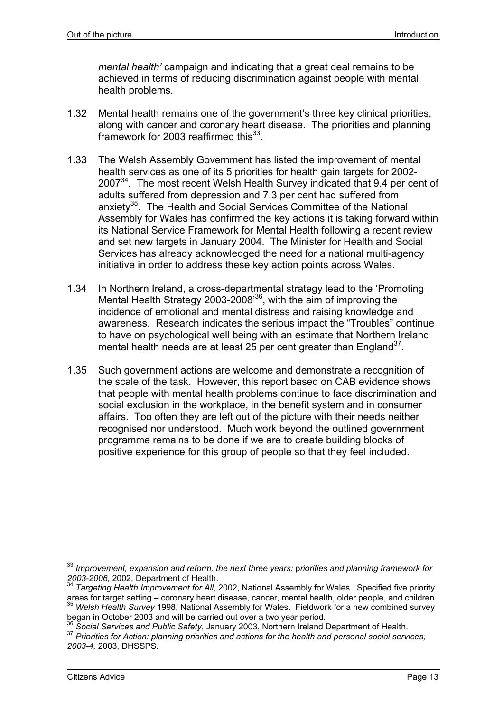*mental health'* campaign and indicating that a great deal remains to be achieved in terms of reducing discrimination against people with mental health problems.

- 1.32 Mental health remains one of the government's three key clinical priorities, along with cancer and coronary heart disease. The priorities and planning framework for 2003 reaffirmed this $^{33}$ .
- 1.33 The Welsh Assembly Government has listed the improvement of mental health services as one of its 5 priorities for health gain targets for 2002-2007<sup>34</sup>. The most recent Welsh Health Survey indicated that 9.4 per cent of adults suffered from depression and 7.3 per cent had suffered from anxiety<sup>35</sup>. The Health and Social Services Committee of the National Assembly for Wales has confirmed the key actions it is taking forward within its National Service Framework for Mental Health following a recent review and set new targets in January 2004. The Minister for Health and Social Services has already acknowledged the need for a national multi-agency initiative in order to address these key action points across Wales.
- 1.34 In Northern Ireland, a cross-departmental strategy lead to the 'Promoting Mental Health Strategy 2003-2008<sup>36</sup>, with the aim of improving the incidence of emotional and mental distress and raising knowledge and awareness. Research indicates the serious impact the "Troubles" continue to have on psychological well being with an estimate that Northern Ireland mental health needs are at least 25 per cent greater than  $\text{England}^{37}$ .
- 1.35 Such government actions are welcome and demonstrate a recognition of the scale of the task. However, this report based on CAB evidence shows that people with mental health problems continue to face discrimination and social exclusion in the workplace, in the benefit system and in consumer affairs. Too often they are left out of the picture with their needs neither recognised nor understood. Much work beyond the outlined government programme remains to be done if we are to create building blocks of positive experience for this group of people so that they feel included.

<sup>33</sup> *Improvement, expansion and reform, the next three years:* p*riorities and planning framework for 2003-2006*, 2002, Department of Health. 34 *Targeting Health Improvement for All*, 2002, National Assembly for Wales. Specified five priority

areas for target setting – coronary heart disease, cancer, mental health, older people, and children. <sup>35</sup> *Welsh Health Survey* 1998, National Assembly for Wales. Fieldwork for a new combined survey

began in October 2003 and will be carried out over a two year period.<br><sup>36</sup> Social Services and Public Safety, January 2003, Northern Ireland Department of Health.

<sup>&</sup>lt;sup>37</sup> Priorities for Action: planning priorities and actions for the health and personal social services, *2003-4,* 2003, DHSSPS.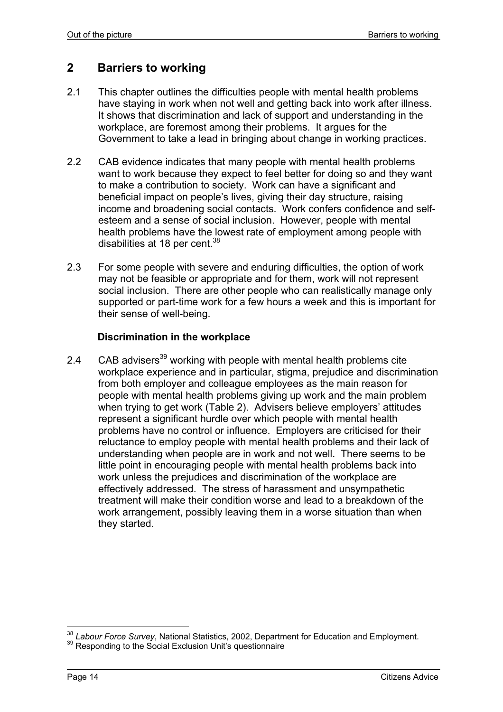# **2 Barriers to working**

- 2.1 This chapter outlines the difficulties people with mental health problems have staying in work when not well and getting back into work after illness. It shows that discrimination and lack of support and understanding in the workplace, are foremost among their problems. It argues for the Government to take a lead in bringing about change in working practices.
- 2.2 CAB evidence indicates that many people with mental health problems want to work because they expect to feel better for doing so and they want to make a contribution to society. Work can have a significant and beneficial impact on people's lives, giving their day structure, raising income and broadening social contacts. Work confers confidence and selfesteem and a sense of social inclusion. However, people with mental health problems have the lowest rate of employment among people with disabilities at 18 per cent. $38$
- 2.3 For some people with severe and enduring difficulties, the option of work may not be feasible or appropriate and for them, work will not represent social inclusion. There are other people who can realistically manage only supported or part-time work for a few hours a week and this is important for their sense of well-being.

#### **Discrimination in the workplace**

2.4  $\degree$  CAB advisers<sup>39</sup> working with people with mental health problems cite workplace experience and in particular, stigma, prejudice and discrimination from both employer and colleague employees as the main reason for people with mental health problems giving up work and the main problem when trying to get work (Table 2). Advisers believe employers' attitudes represent a significant hurdle over which people with mental health problems have no control or influence. Employers are criticised for their reluctance to employ people with mental health problems and their lack of understanding when people are in work and not well. There seems to be little point in encouraging people with mental health problems back into work unless the prejudices and discrimination of the workplace are effectively addressed. The stress of harassment and unsympathetic treatment will make their condition worse and lead to a breakdown of the work arrangement, possibly leaving them in a worse situation than when they started.

l <sup>38</sup> *Labour Force Survey*, National Statistics, 2002, Department for Education and Employment.<br><sup>39</sup> Responding to the Social Exclusion Unit's questionnaire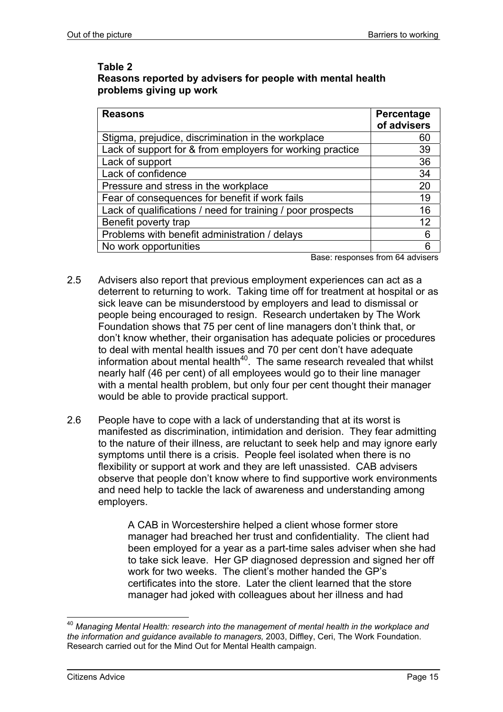#### **Table 2 Reasons reported by advisers for people with mental health problems giving up work**

| <b>Reasons</b>                                              | Percentage<br>of advisers |
|-------------------------------------------------------------|---------------------------|
| Stigma, prejudice, discrimination in the workplace          | 60                        |
| Lack of support for & from employers for working practice   | 39                        |
| Lack of support                                             | 36                        |
| Lack of confidence                                          | 34                        |
| Pressure and stress in the workplace                        | 20                        |
| Fear of consequences for benefit if work fails              | 19                        |
| Lack of qualifications / need for training / poor prospects | 16                        |
| Benefit poverty trap                                        | 12                        |
| Problems with benefit administration / delays               | 6                         |
| No work opportunities                                       | 6                         |

Base: responses from 64 advisers

- 2.5 Advisers also report that previous employment experiences can act as a deterrent to returning to work. Taking time off for treatment at hospital or as sick leave can be misunderstood by employers and lead to dismissal or people being encouraged to resign. Research undertaken by The Work Foundation shows that 75 per cent of line managers don't think that, or don't know whether, their organisation has adequate policies or procedures to deal with mental health issues and 70 per cent don't have adequate information about mental health<sup>40</sup>. The same research revealed that whilst nearly half (46 per cent) of all employees would go to their line manager with a mental health problem, but only four per cent thought their manager would be able to provide practical support.
- 2.6 People have to cope with a lack of understanding that at its worst is manifested as discrimination, intimidation and derision. They fear admitting to the nature of their illness, are reluctant to seek help and may ignore early symptoms until there is a crisis. People feel isolated when there is no flexibility or support at work and they are left unassisted. CAB advisers observe that people don't know where to find supportive work environments and need help to tackle the lack of awareness and understanding among employers.

A CAB in Worcestershire helped a client whose former store manager had breached her trust and confidentiality. The client had been employed for a year as a part-time sales adviser when she had to take sick leave. Her GP diagnosed depression and signed her off work for two weeks. The client's mother handed the GP's certificates into the store. Later the client learned that the store manager had joked with colleagues about her illness and had

l <sup>40</sup> *Managing Mental Health: research into the management of mental health in the workplace and the information and guidance available to managers,* 2003, Diffley, Ceri, The Work Foundation. Research carried out for the Mind Out for Mental Health campaign.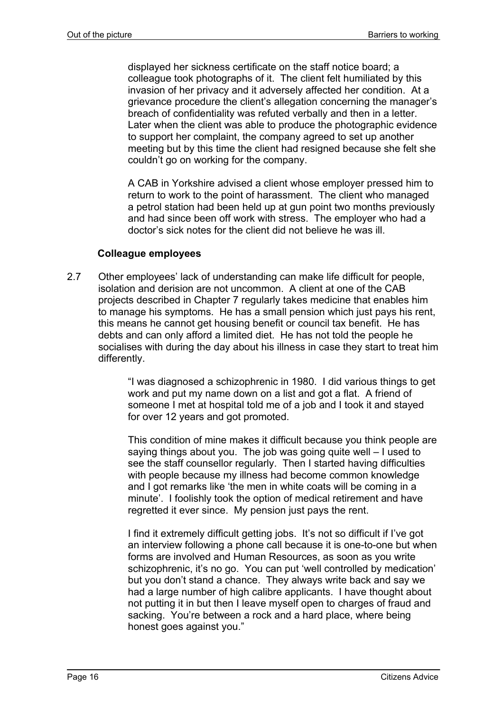displayed her sickness certificate on the staff notice board; a colleague took photographs of it. The client felt humiliated by this invasion of her privacy and it adversely affected her condition. At a grievance procedure the client's allegation concerning the manager's breach of confidentiality was refuted verbally and then in a letter. Later when the client was able to produce the photographic evidence to support her complaint, the company agreed to set up another meeting but by this time the client had resigned because she felt she couldn't go on working for the company.

A CAB in Yorkshire advised a client whose employer pressed him to return to work to the point of harassment. The client who managed a petrol station had been held up at gun point two months previously and had since been off work with stress. The employer who had a doctor's sick notes for the client did not believe he was ill.

#### **Colleague employees**

2.7 Other employees' lack of understanding can make life difficult for people, isolation and derision are not uncommon. A client at one of the CAB projects described in Chapter 7 regularly takes medicine that enables him to manage his symptoms. He has a small pension which just pays his rent, this means he cannot get housing benefit or council tax benefit. He has debts and can only afford a limited diet. He has not told the people he socialises with during the day about his illness in case they start to treat him differently.

> "I was diagnosed a schizophrenic in 1980. I did various things to get work and put my name down on a list and got a flat. A friend of someone I met at hospital told me of a job and I took it and stayed for over 12 years and got promoted.

> This condition of mine makes it difficult because you think people are saying things about you. The job was going quite well – I used to see the staff counsellor regularly. Then I started having difficulties with people because my illness had become common knowledge and I got remarks like 'the men in white coats will be coming in a minute'. I foolishly took the option of medical retirement and have regretted it ever since. My pension just pays the rent.

> I find it extremely difficult getting jobs. It's not so difficult if I've got an interview following a phone call because it is one-to-one but when forms are involved and Human Resources, as soon as you write schizophrenic, it's no go. You can put 'well controlled by medication' but you don't stand a chance. They always write back and say we had a large number of high calibre applicants. I have thought about not putting it in but then I leave myself open to charges of fraud and sacking. You're between a rock and a hard place, where being honest goes against you."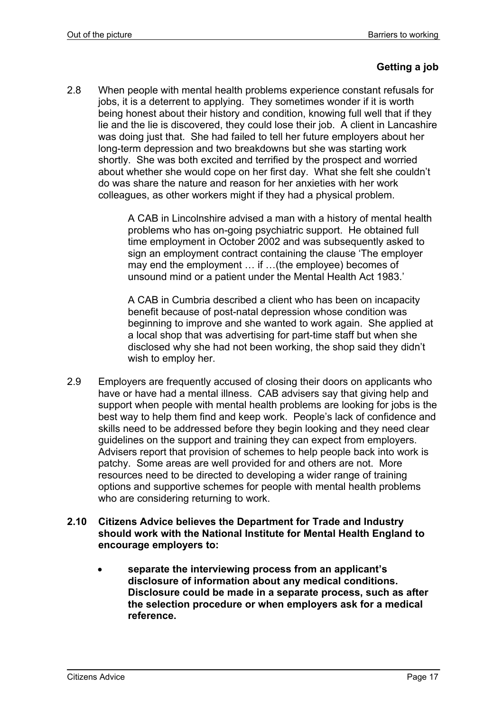#### **Getting a job**

2.8 When people with mental health problems experience constant refusals for jobs, it is a deterrent to applying. They sometimes wonder if it is worth being honest about their history and condition, knowing full well that if they lie and the lie is discovered, they could lose their job. A client in Lancashire was doing just that. She had failed to tell her future employers about her long-term depression and two breakdowns but she was starting work shortly. She was both excited and terrified by the prospect and worried about whether she would cope on her first day. What she felt she couldn't do was share the nature and reason for her anxieties with her work colleagues, as other workers might if they had a physical problem.

> A CAB in Lincolnshire advised a man with a history of mental health problems who has on-going psychiatric support. He obtained full time employment in October 2002 and was subsequently asked to sign an employment contract containing the clause 'The employer may end the employment … if …(the employee) becomes of unsound mind or a patient under the Mental Health Act 1983.'

> A CAB in Cumbria described a client who has been on incapacity benefit because of post-natal depression whose condition was beginning to improve and she wanted to work again. She applied at a local shop that was advertising for part-time staff but when she disclosed why she had not been working, the shop said they didn't wish to employ her.

2.9 Employers are frequently accused of closing their doors on applicants who have or have had a mental illness. CAB advisers say that giving help and support when people with mental health problems are looking for jobs is the best way to help them find and keep work. People's lack of confidence and skills need to be addressed before they begin looking and they need clear guidelines on the support and training they can expect from employers. Advisers report that provision of schemes to help people back into work is patchy. Some areas are well provided for and others are not. More resources need to be directed to developing a wider range of training options and supportive schemes for people with mental health problems who are considering returning to work.

#### **2.10 Citizens Advice believes the Department for Trade and Industry should work with the National Institute for Mental Health England to encourage employers to:**

• **separate the interviewing process from an applicant's disclosure of information about any medical conditions. Disclosure could be made in a separate process, such as after the selection procedure or when employers ask for a medical reference.**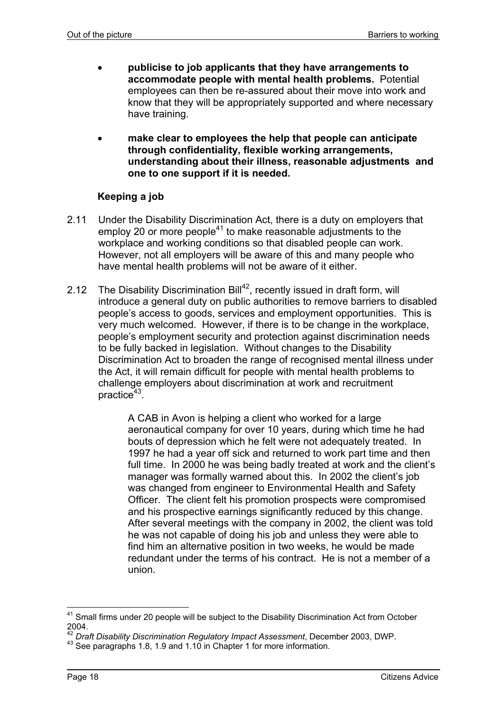- **publicise to job applicants that they have arrangements to accommodate people with mental health problems.** Potential employees can then be re-assured about their move into work and know that they will be appropriately supported and where necessary have training.
- **make clear to employees the help that people can anticipate through confidentiality, flexible working arrangements, understanding about their illness, reasonable adjustments and one to one support if it is needed.**

#### **Keeping a job**

- 2.11 Under the Disability Discrimination Act, there is a duty on employers that employ 20 or more people<sup>41</sup> to make reasonable adjustments to the workplace and working conditions so that disabled people can work. However, not all employers will be aware of this and many people who have mental health problems will not be aware of it either.
- 2.12 The Disability Discrimination Bill<sup>42</sup>, recently issued in draft form, will introduce a general duty on public authorities to remove barriers to disabled people's access to goods, services and employment opportunities. This is very much welcomed. However, if there is to be change in the workplace, people's employment security and protection against discrimination needs to be fully backed in legislation. Without changes to the Disability Discrimination Act to broaden the range of recognised mental illness under the Act, it will remain difficult for people with mental health problems to challenge employers about discrimination at work and recruitment practice $43$ .

A CAB in Avon is helping a client who worked for a large aeronautical company for over 10 years, during which time he had bouts of depression which he felt were not adequately treated. In 1997 he had a year off sick and returned to work part time and then full time. In 2000 he was being badly treated at work and the client's manager was formally warned about this. In 2002 the client's job was changed from engineer to Environmental Health and Safety Officer. The client felt his promotion prospects were compromised and his prospective earnings significantly reduced by this change. After several meetings with the company in 2002, the client was told he was not capable of doing his job and unless they were able to find him an alternative position in two weeks, he would be made redundant under the terms of his contract. He is not a member of a union.

 $41$  Small firms under 20 people will be subject to the Disability Discrimination Act from October 2004.

<sup>42</sup> *Draft Disability Discrimination Regulatory Impact Assessment*, December 2003, DWP.

<sup>43</sup> See paragraphs 1.8, 1.9 and 1.10 in Chapter 1 for more information.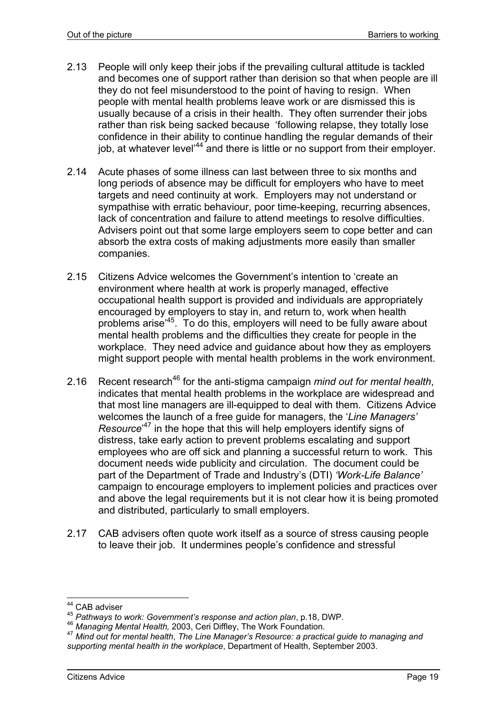- 2.13 People will only keep their jobs if the prevailing cultural attitude is tackled and becomes one of support rather than derision so that when people are ill they do not feel misunderstood to the point of having to resign. When people with mental health problems leave work or are dismissed this is usually because of a crisis in their health. They often surrender their jobs rather than risk being sacked because 'following relapse, they totally lose confidence in their ability to continue handling the regular demands of their job, at whatever level<sup>'44</sup> and there is little or no support from their employer.
- 2.14 Acute phases of some illness can last between three to six months and long periods of absence may be difficult for employers who have to meet targets and need continuity at work. Employers may not understand or sympathise with erratic behaviour, poor time-keeping, recurring absences, lack of concentration and failure to attend meetings to resolve difficulties. Advisers point out that some large employers seem to cope better and can absorb the extra costs of making adjustments more easily than smaller companies.
- 2.15 Citizens Advice welcomes the Government's intention to 'create an environment where health at work is properly managed, effective occupational health support is provided and individuals are appropriately encouraged by employers to stay in, and return to, work when health problems arise'45. To do this, employers will need to be fully aware about mental health problems and the difficulties they create for people in the workplace. They need advice and guidance about how they as employers might support people with mental health problems in the work environment.
- 2.16 Recent research<sup>46</sup> for the anti-stigma campaign *mind out for mental health*, indicates that mental health problems in the workplace are widespread and that most line managers are ill-equipped to deal with them. Citizens Advice welcomes the launch of a free guide for managers, the '*Line Managers' Resource*' 47 in the hope that this will help employers identify signs of distress, take early action to prevent problems escalating and support employees who are off sick and planning a successful return to work. This document needs wide publicity and circulation. The document could be part of the Department of Trade and Industry's (DTI) *'Work-Life Balance'* campaign to encourage employers to implement policies and practices over and above the legal requirements but it is not clear how it is being promoted and distributed, particularly to small employers.
- 2.17 CAB advisers often quote work itself as a source of stress causing people to leave their job. It undermines people's confidence and stressful

<sup>&</sup>lt;sup>44</sup> CAB adviser

<sup>&</sup>lt;sup>45</sup> Pathways to work: Government's response and action plan, p.18, DWP.<br><sup>46</sup> Managing Mental Health, 2003, Ceri Diffley, The Work Foundation.<br><sup>47</sup> Mind out for mental health, The Line Manager's Resource: a practical guide *supporting mental health in the workplace*, Department of Health, September 2003.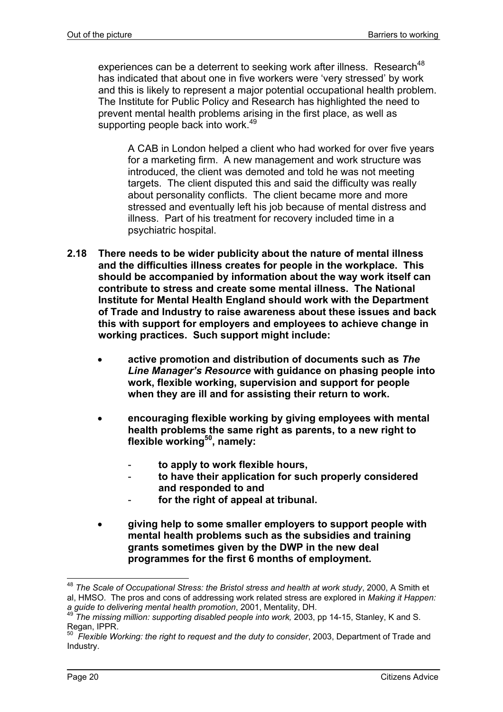experiences can be a deterrent to seeking work after illness. Research<sup>48</sup> has indicated that about one in five workers were 'very stressed' by work and this is likely to represent a major potential occupational health problem. The Institute for Public Policy and Research has highlighted the need to prevent mental health problems arising in the first place, as well as supporting people back into work.<sup>49</sup>

A CAB in London helped a client who had worked for over five years for a marketing firm. A new management and work structure was introduced, the client was demoted and told he was not meeting targets. The client disputed this and said the difficulty was really about personality conflicts. The client became more and more stressed and eventually left his job because of mental distress and illness. Part of his treatment for recovery included time in a psychiatric hospital.

- **2.18 There needs to be wider publicity about the nature of mental illness and the difficulties illness creates for people in the workplace. This should be accompanied by information about the way work itself can contribute to stress and create some mental illness. The National Institute for Mental Health England should work with the Department of Trade and Industry to raise awareness about these issues and back this with support for employers and employees to achieve change in working practices. Such support might include:** 
	- **active promotion and distribution of documents such as** *The Line Manager's Resource* **with guidance on phasing people into work, flexible working, supervision and support for people when they are ill and for assisting their return to work.**
	- **encouraging flexible working by giving employees with mental health problems the same right as parents, to a new right to**  flexible working<sup>50</sup>, namely:
		- **to apply to work flexible hours,**
		- **to have their application for such properly considered and responded to and**
		- **for the right of appeal at tribunal.**
	- **giving help to some smaller employers to support people with mental health problems such as the subsidies and training grants sometimes given by the DWP in the new deal programmes for the first 6 months of employment.**

<sup>48</sup> *The Scale of Occupational Stress: the Bristol stress and health at work study*, 2000, A Smith et al, HMSO. The pros and cons of addressing work related stress are explored in *Making it Happen:*<br>a quide to delivering mental health promotion, 2001, Mentality, DH,

*The missing million: supporting disabled people into work, 2003, pp 14-15, Stanley, K and S.* Regan, IPPR.

<sup>&</sup>lt;sup>50</sup> *Flexible Working: the right to request and the duty to consider*, 2003, Department of Trade and Industry.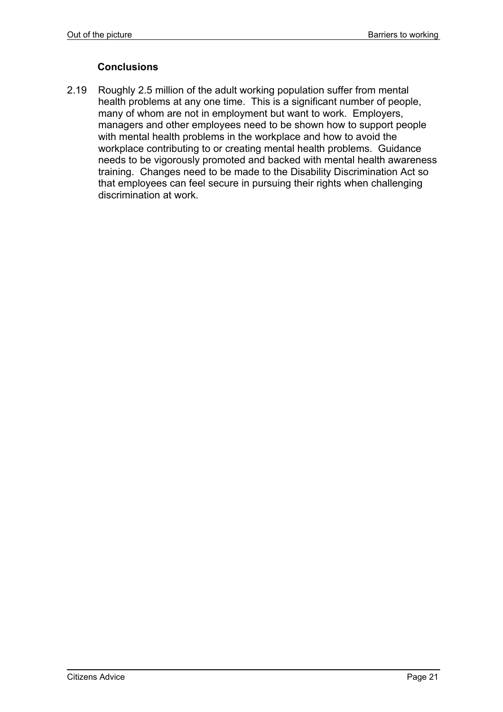#### **Conclusions**

2.19 Roughly 2.5 million of the adult working population suffer from mental health problems at any one time. This is a significant number of people, many of whom are not in employment but want to work. Employers, managers and other employees need to be shown how to support people with mental health problems in the workplace and how to avoid the workplace contributing to or creating mental health problems. Guidance needs to be vigorously promoted and backed with mental health awareness training. Changes need to be made to the Disability Discrimination Act so that employees can feel secure in pursuing their rights when challenging discrimination at work.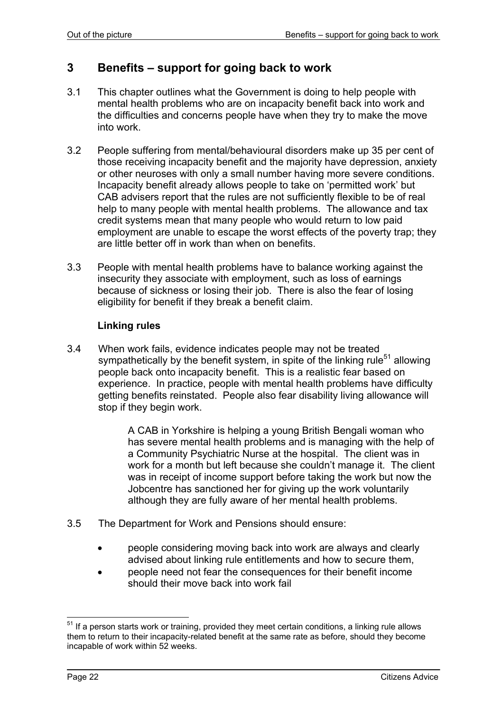# **3 Benefits – support for going back to work**

- 3.1 This chapter outlines what the Government is doing to help people with mental health problems who are on incapacity benefit back into work and the difficulties and concerns people have when they try to make the move into work.
- 3.2 People suffering from mental/behavioural disorders make up 35 per cent of those receiving incapacity benefit and the majority have depression, anxiety or other neuroses with only a small number having more severe conditions. Incapacity benefit already allows people to take on 'permitted work' but CAB advisers report that the rules are not sufficiently flexible to be of real help to many people with mental health problems. The allowance and tax credit systems mean that many people who would return to low paid employment are unable to escape the worst effects of the poverty trap; they are little better off in work than when on benefits.
- 3.3 People with mental health problems have to balance working against the insecurity they associate with employment, such as loss of earnings because of sickness or losing their job. There is also the fear of losing eligibility for benefit if they break a benefit claim.

#### **Linking rules**

3.4 When work fails, evidence indicates people may not be treated sympathetically by the benefit system, in spite of the linking rule<sup>51</sup> allowing people back onto incapacity benefit. This is a realistic fear based on experience. In practice, people with mental health problems have difficulty getting benefits reinstated. People also fear disability living allowance will stop if they begin work.

> A CAB in Yorkshire is helping a young British Bengali woman who has severe mental health problems and is managing with the help of a Community Psychiatric Nurse at the hospital. The client was in work for a month but left because she couldn't manage it. The client was in receipt of income support before taking the work but now the Jobcentre has sanctioned her for giving up the work voluntarily although they are fully aware of her mental health problems.

- 3.5 The Department for Work and Pensions should ensure:
	- people considering moving back into work are always and clearly advised about linking rule entitlements and how to secure them,
	- people need not fear the consequences for their benefit income should their move back into work fail

l  $51$  If a person starts work or training, provided they meet certain conditions, a linking rule allows them to return to their incapacity-related benefit at the same rate as before, should they become incapable of work within 52 weeks.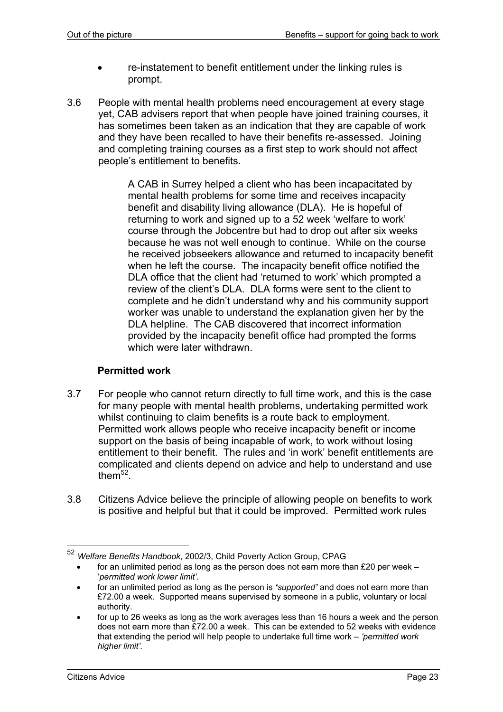- re-instatement to benefit entitlement under the linking rules is prompt.
- 3.6 People with mental health problems need encouragement at every stage yet, CAB advisers report that when people have joined training courses, it has sometimes been taken as an indication that they are capable of work and they have been recalled to have their benefits re-assessed. Joining and completing training courses as a first step to work should not affect people's entitlement to benefits.

A CAB in Surrey helped a client who has been incapacitated by mental health problems for some time and receives incapacity benefit and disability living allowance (DLA). He is hopeful of returning to work and signed up to a 52 week 'welfare to work' course through the Jobcentre but had to drop out after six weeks because he was not well enough to continue. While on the course he received jobseekers allowance and returned to incapacity benefit when he left the course. The incapacity benefit office notified the DLA office that the client had 'returned to work' which prompted a review of the client's DLA. DLA forms were sent to the client to complete and he didn't understand why and his community support worker was unable to understand the explanation given her by the DLA helpline. The CAB discovered that incorrect information provided by the incapacity benefit office had prompted the forms which were later withdrawn.

#### **Permitted work**

- 3.7 For people who cannot return directly to full time work, and this is the case for many people with mental health problems, undertaking permitted work whilst continuing to claim benefits is a route back to employment. Permitted work allows people who receive incapacity benefit or income support on the basis of being incapable of work, to work without losing entitlement to their benefit. The rules and 'in work' benefit entitlements are complicated and clients depend on advice and help to understand and use them $52$ .
- 3.8 Citizens Advice believe the principle of allowing people on benefits to work is positive and helpful but that it could be improved. Permitted work rules

<sup>52</sup> *Welfare Benefits Handbook*, 2002/3, Child Poverty Action Group, CPAG

for an unlimited period as long as the person does not earn more than £20 per week  $-$ '*permitted work lower limit'.*

<sup>•</sup> for an unlimited period as long as the person is *'supported'* and does not earn more than £72.00 a week. Supported means supervised by someone in a public, voluntary or local authority.

<sup>•</sup> for up to 26 weeks as long as the work averages less than 16 hours a week and the person does not earn more than £72.00 a week. This can be extended to 52 weeks with evidence that extending the period will help people to undertake full time work – *'permitted work higher limit'.*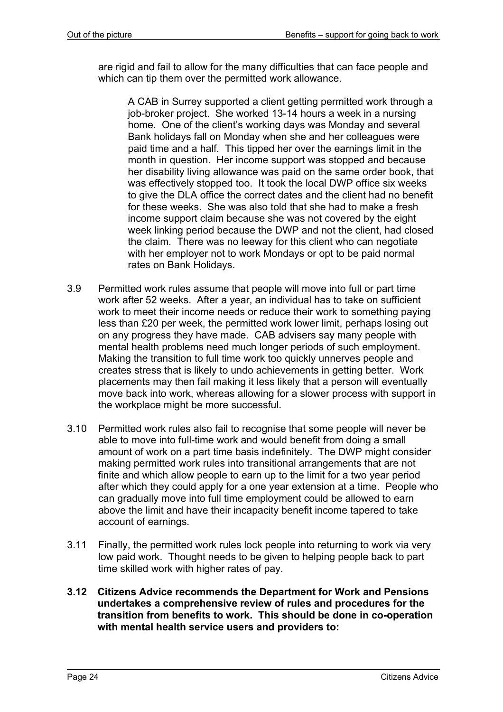are rigid and fail to allow for the many difficulties that can face people and which can tip them over the permitted work allowance.

A CAB in Surrey supported a client getting permitted work through a job-broker project. She worked 13-14 hours a week in a nursing home. One of the client's working days was Monday and several Bank holidays fall on Monday when she and her colleagues were paid time and a half. This tipped her over the earnings limit in the month in question. Her income support was stopped and because her disability living allowance was paid on the same order book, that was effectively stopped too. It took the local DWP office six weeks to give the DLA office the correct dates and the client had no benefit for these weeks. She was also told that she had to make a fresh income support claim because she was not covered by the eight week linking period because the DWP and not the client, had closed the claim. There was no leeway for this client who can negotiate with her employer not to work Mondays or opt to be paid normal rates on Bank Holidays.

- 3.9 Permitted work rules assume that people will move into full or part time work after 52 weeks. After a year, an individual has to take on sufficient work to meet their income needs or reduce their work to something paying less than £20 per week, the permitted work lower limit, perhaps losing out on any progress they have made. CAB advisers say many people with mental health problems need much longer periods of such employment. Making the transition to full time work too quickly unnerves people and creates stress that is likely to undo achievements in getting better. Work placements may then fail making it less likely that a person will eventually move back into work, whereas allowing for a slower process with support in the workplace might be more successful.
- 3.10 Permitted work rules also fail to recognise that some people will never be able to move into full-time work and would benefit from doing a small amount of work on a part time basis indefinitely. The DWP might consider making permitted work rules into transitional arrangements that are not finite and which allow people to earn up to the limit for a two year period after which they could apply for a one year extension at a time. People who can gradually move into full time employment could be allowed to earn above the limit and have their incapacity benefit income tapered to take account of earnings.
- 3.11 Finally, the permitted work rules lock people into returning to work via very low paid work. Thought needs to be given to helping people back to part time skilled work with higher rates of pay.
- **3.12 Citizens Advice recommends the Department for Work and Pensions undertakes a comprehensive review of rules and procedures for the transition from benefits to work. This should be done in co-operation with mental health service users and providers to:**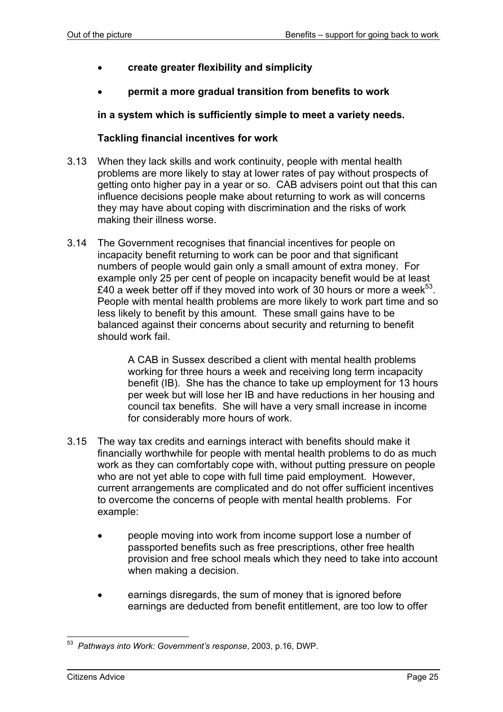- **create greater flexibility and simplicity**
- **permit a more gradual transition from benefits to work**

**in a system which is sufficiently simple to meet a variety needs.** 

#### **Tackling financial incentives for work**

- 3.13 When they lack skills and work continuity, people with mental health problems are more likely to stay at lower rates of pay without prospects of getting onto higher pay in a year or so. CAB advisers point out that this can influence decisions people make about returning to work as will concerns they may have about coping with discrimination and the risks of work making their illness worse.
- 3.14 The Government recognises that financial incentives for people on incapacity benefit returning to work can be poor and that significant numbers of people would gain only a small amount of extra money. For example only 25 per cent of people on incapacity benefit would be at least £40 a week better off if they moved into work of 30 hours or more a week $53$ . People with mental health problems are more likely to work part time and so less likely to benefit by this amount. These small gains have to be balanced against their concerns about security and returning to benefit should work fail.

A CAB in Sussex described a client with mental health problems working for three hours a week and receiving long term incapacity benefit (IB). She has the chance to take up employment for 13 hours per week but will lose her IB and have reductions in her housing and council tax benefits. She will have a very small increase in income for considerably more hours of work.

- 3.15 The way tax credits and earnings interact with benefits should make it financially worthwhile for people with mental health problems to do as much work as they can comfortably cope with, without putting pressure on people who are not yet able to cope with full time paid employment. However, current arrangements are complicated and do not offer sufficient incentives to overcome the concerns of people with mental health problems. For example:
	- people moving into work from income support lose a number of passported benefits such as free prescriptions, other free health provision and free school meals which they need to take into account when making a decision.
	- earnings disregards, the sum of money that is ignored before earnings are deducted from benefit entitlement, are too low to offer

l 53 *Pathways into Work: Government's response*, 2003, p.16, DWP.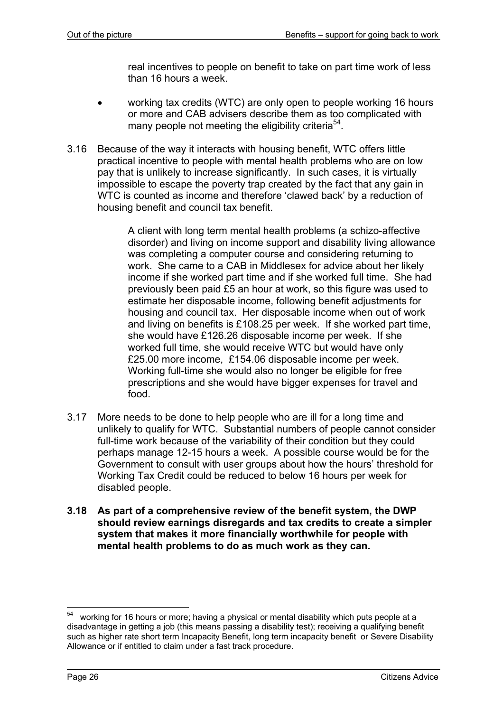real incentives to people on benefit to take on part time work of less than 16 hours a week.

- working tax credits (WTC) are only open to people working 16 hours or more and CAB advisers describe them as too complicated with many people not meeting the eligibility criteria<sup>54</sup>.
- 3.16 Because of the way it interacts with housing benefit, WTC offers little practical incentive to people with mental health problems who are on low pay that is unlikely to increase significantly. In such cases, it is virtually impossible to escape the poverty trap created by the fact that any gain in WTC is counted as income and therefore 'clawed back' by a reduction of housing benefit and council tax benefit.

A client with long term mental health problems (a schizo-affective disorder) and living on income support and disability living allowance was completing a computer course and considering returning to work. She came to a CAB in Middlesex for advice about her likely income if she worked part time and if she worked full time. She had previously been paid £5 an hour at work, so this figure was used to estimate her disposable income, following benefit adjustments for housing and council tax. Her disposable income when out of work and living on benefits is £108.25 per week. If she worked part time, she would have £126.26 disposable income per week. If she worked full time, she would receive WTC but would have only £25.00 more income, £154.06 disposable income per week. Working full-time she would also no longer be eligible for free prescriptions and she would have bigger expenses for travel and food.

- 3.17 More needs to be done to help people who are ill for a long time and unlikely to qualify for WTC. Substantial numbers of people cannot consider full-time work because of the variability of their condition but they could perhaps manage 12-15 hours a week. A possible course would be for the Government to consult with user groups about how the hours' threshold for Working Tax Credit could be reduced to below 16 hours per week for disabled people.
- **3.18 As part of a comprehensive review of the benefit system, the DWP should review earnings disregards and tax credits to create a simpler system that makes it more financially worthwhile for people with mental health problems to do as much work as they can.**

<sup>54</sup> working for 16 hours or more; having a physical or mental disability which puts people at a disadvantage in getting a job (this means passing a disability test); receiving a qualifying benefit such as higher rate short term Incapacity Benefit, long term incapacity benefit or Severe Disability Allowance or if entitled to claim under a fast track procedure.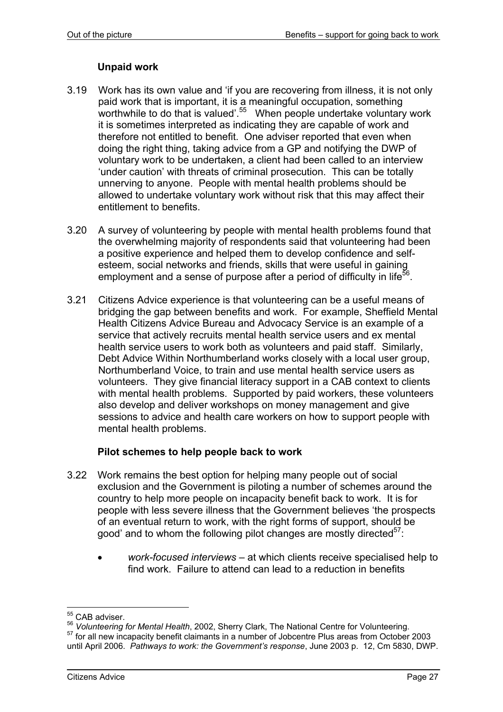#### **Unpaid work**

- 3.19 Work has its own value and 'if you are recovering from illness, it is not only paid work that is important, it is a meaningful occupation, something worthwhile to do that is valued<sup>'.55</sup> When people undertake voluntary work it is sometimes interpreted as indicating they are capable of work and therefore not entitled to benefit. One adviser reported that even when doing the right thing, taking advice from a GP and notifying the DWP of voluntary work to be undertaken, a client had been called to an interview 'under caution' with threats of criminal prosecution. This can be totally unnerving to anyone. People with mental health problems should be allowed to undertake voluntary work without risk that this may affect their entitlement to benefits.
- 3.20 A survey of volunteering by people with mental health problems found that the overwhelming majority of respondents said that volunteering had been a positive experience and helped them to develop confidence and selfesteem, social networks and friends, skills that were useful in gaining employment and a sense of purpose after a period of difficulty in life<sup>56</sup>.
- 3.21 Citizens Advice experience is that volunteering can be a useful means of bridging the gap between benefits and work. For example, Sheffield Mental Health Citizens Advice Bureau and Advocacy Service is an example of a service that actively recruits mental health service users and ex mental health service users to work both as volunteers and paid staff. Similarly, Debt Advice Within Northumberland works closely with a local user group, Northumberland Voice, to train and use mental health service users as volunteers. They give financial literacy support in a CAB context to clients with mental health problems. Supported by paid workers, these volunteers also develop and deliver workshops on money management and give sessions to advice and health care workers on how to support people with mental health problems.

#### **Pilot schemes to help people back to work**

- 3.22 Work remains the best option for helping many people out of social exclusion and the Government is piloting a number of schemes around the country to help more people on incapacity benefit back to work. It is for people with less severe illness that the Government believes 'the prospects of an eventual return to work, with the right forms of support, should be good' and to whom the following pilot changes are mostly directed<sup>57</sup>:
	- *work-focused interviews*  at which clients receive specialised help to find work. Failure to attend can lead to a reduction in benefits

<sup>&</sup>lt;sup>55</sup> CAB adviser.

<sup>&</sup>lt;sup>56</sup> *Volunteering for Mental Health*, 2002, Sherry Clark, The National Centre for Volunteering.<br><sup>57</sup> for all new incapacity benefit claimants in a number of Jobcentre Plus areas from October 2003

until April 2006. *Pathways to work: the Government's response*, June 2003 p. 12, Cm 5830, DWP.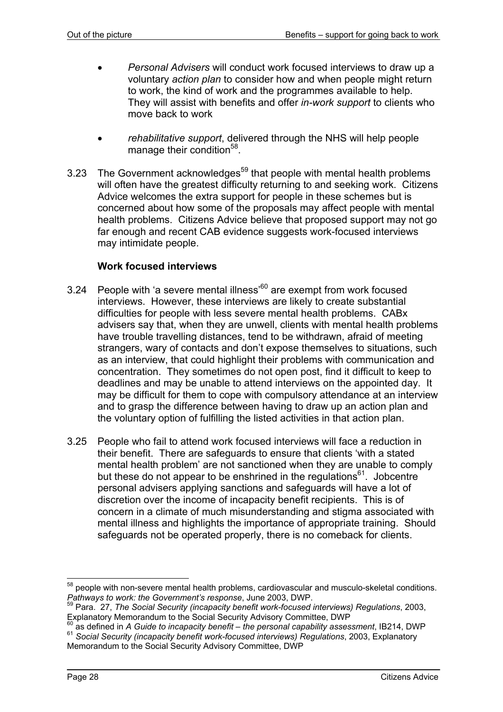- *Personal Advisers* will conduct work focused interviews to draw up a voluntary *action plan* to consider how and when people might return to work, the kind of work and the programmes available to help. They will assist with benefits and offer *in-work support* to clients who move back to work
- *rehabilitative support*, delivered through the NHS will help people manage their condition<sup>58</sup>.
- 3.23 The Government acknowledges<sup>59</sup> that people with mental health problems will often have the greatest difficulty returning to and seeking work. Citizens Advice welcomes the extra support for people in these schemes but is concerned about how some of the proposals may affect people with mental health problems. Citizens Advice believe that proposed support may not go far enough and recent CAB evidence suggests work-focused interviews may intimidate people.

#### **Work focused interviews**

- 3.24 People with 'a severe mental illness<sup>'60</sup> are exempt from work focused interviews. However, these interviews are likely to create substantial difficulties for people with less severe mental health problems. CABx advisers say that, when they are unwell, clients with mental health problems have trouble travelling distances, tend to be withdrawn, afraid of meeting strangers, wary of contacts and don't expose themselves to situations, such as an interview, that could highlight their problems with communication and concentration. They sometimes do not open post, find it difficult to keep to deadlines and may be unable to attend interviews on the appointed day. It may be difficult for them to cope with compulsory attendance at an interview and to grasp the difference between having to draw up an action plan and the voluntary option of fulfilling the listed activities in that action plan.
- 3.25 People who fail to attend work focused interviews will face a reduction in their benefit. There are safeguards to ensure that clients 'with a stated mental health problem' are not sanctioned when they are unable to comply but these do not appear to be enshrined in the regulations<sup>61</sup>. Jobcentre personal advisers applying sanctions and safeguards will have a lot of discretion over the income of incapacity benefit recipients. This is of concern in a climate of much misunderstanding and stigma associated with mental illness and highlights the importance of appropriate training. Should safeguards not be operated properly, there is no comeback for clients.

 $58$  people with non-severe mental health problems, cardiovascular and musculo-skeletal conditions. *Pathways to work: the Government's response*, June 2003, DWP.

<sup>59</sup> Para. 27, *The Social Security (incapacity benefit work-focused interviews) Regulations*, 2003,

Explanatory Memorandum to the Social Security Advisory Committee, DWP<br><sup>60</sup> as defined in *A Guide to incapacity benefit – the personal capability assessment*, IB214, DWP <sup>61</sup> *Social Security (incapacity benefit work-focused interviews) Regulations*, 2003, Explanatory Memorandum to the Social Security Advisory Committee, DWP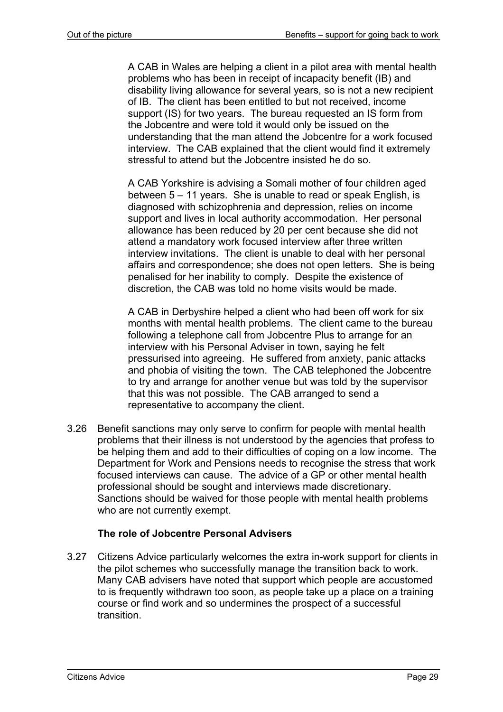A CAB in Wales are helping a client in a pilot area with mental health problems who has been in receipt of incapacity benefit (IB) and disability living allowance for several years, so is not a new recipient of IB. The client has been entitled to but not received, income support (IS) for two years. The bureau requested an IS form from the Jobcentre and were told it would only be issued on the understanding that the man attend the Jobcentre for a work focused interview. The CAB explained that the client would find it extremely stressful to attend but the Jobcentre insisted he do so.

A CAB Yorkshire is advising a Somali mother of four children aged between 5 – 11 years. She is unable to read or speak English, is diagnosed with schizophrenia and depression, relies on income support and lives in local authority accommodation. Her personal allowance has been reduced by 20 per cent because she did not attend a mandatory work focused interview after three written interview invitations. The client is unable to deal with her personal affairs and correspondence; she does not open letters. She is being penalised for her inability to comply. Despite the existence of discretion, the CAB was told no home visits would be made.

A CAB in Derbyshire helped a client who had been off work for six months with mental health problems. The client came to the bureau following a telephone call from Jobcentre Plus to arrange for an interview with his Personal Adviser in town, saying he felt pressurised into agreeing. He suffered from anxiety, panic attacks and phobia of visiting the town. The CAB telephoned the Jobcentre to try and arrange for another venue but was told by the supervisor that this was not possible. The CAB arranged to send a representative to accompany the client.

3.26 Benefit sanctions may only serve to confirm for people with mental health problems that their illness is not understood by the agencies that profess to be helping them and add to their difficulties of coping on a low income. The Department for Work and Pensions needs to recognise the stress that work focused interviews can cause. The advice of a GP or other mental health professional should be sought and interviews made discretionary. Sanctions should be waived for those people with mental health problems who are not currently exempt.

#### **The role of Jobcentre Personal Advisers**

3.27 Citizens Advice particularly welcomes the extra in-work support for clients in the pilot schemes who successfully manage the transition back to work. Many CAB advisers have noted that support which people are accustomed to is frequently withdrawn too soon, as people take up a place on a training course or find work and so undermines the prospect of a successful transition.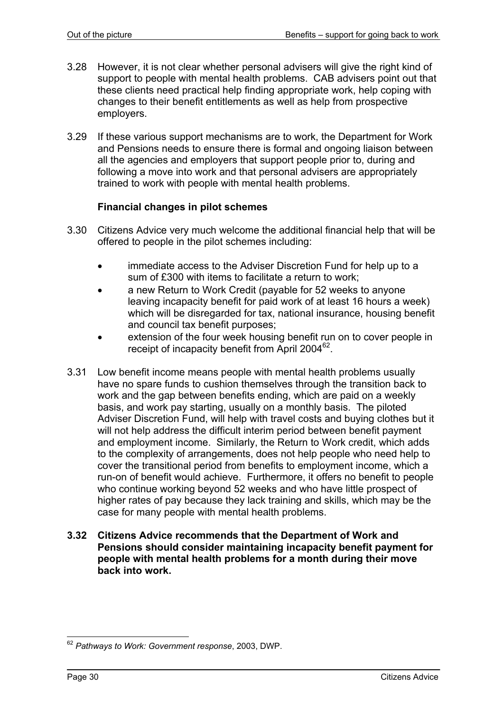- 3.28 However, it is not clear whether personal advisers will give the right kind of support to people with mental health problems. CAB advisers point out that these clients need practical help finding appropriate work, help coping with changes to their benefit entitlements as well as help from prospective employers.
- 3.29 If these various support mechanisms are to work, the Department for Work and Pensions needs to ensure there is formal and ongoing liaison between all the agencies and employers that support people prior to, during and following a move into work and that personal advisers are appropriately trained to work with people with mental health problems.

#### **Financial changes in pilot schemes**

- 3.30 Citizens Advice very much welcome the additional financial help that will be offered to people in the pilot schemes including:
	- immediate access to the Adviser Discretion Fund for help up to a sum of £300 with items to facilitate a return to work;
	- a new Return to Work Credit (payable for 52 weeks to anyone leaving incapacity benefit for paid work of at least 16 hours a week) which will be disregarded for tax, national insurance, housing benefit and council tax benefit purposes;
	- extension of the four week housing benefit run on to cover people in receipt of incapacity benefit from April 2004<sup>62</sup>.
- 3.31 Low benefit income means people with mental health problems usually have no spare funds to cushion themselves through the transition back to work and the gap between benefits ending, which are paid on a weekly basis, and work pay starting, usually on a monthly basis. The piloted Adviser Discretion Fund, will help with travel costs and buying clothes but it will not help address the difficult interim period between benefit payment and employment income. Similarly, the Return to Work credit, which adds to the complexity of arrangements, does not help people who need help to cover the transitional period from benefits to employment income, which a run-on of benefit would achieve. Furthermore, it offers no benefit to people who continue working beyond 52 weeks and who have little prospect of higher rates of pay because they lack training and skills, which may be the case for many people with mental health problems.
- **3.32 Citizens Advice recommends that the Department of Work and Pensions should consider maintaining incapacity benefit payment for people with mental health problems for a month during their move back into work.**

l <sup>62</sup> *Pathways to Work: Government response*, 2003, DWP.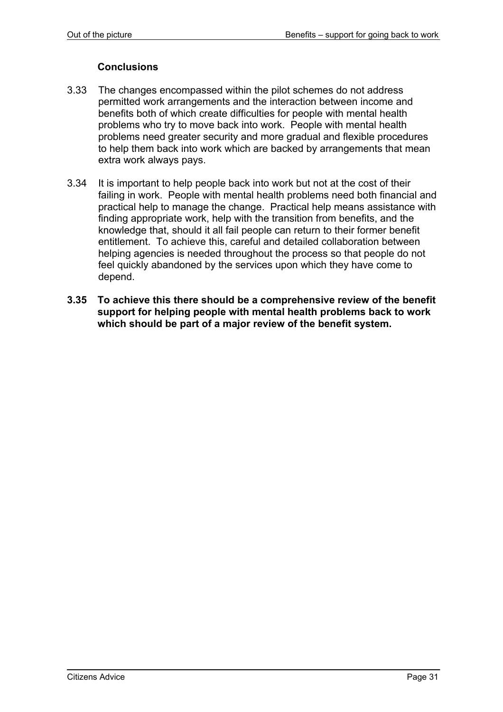#### **Conclusions**

- 3.33 The changes encompassed within the pilot schemes do not address permitted work arrangements and the interaction between income and benefits both of which create difficulties for people with mental health problems who try to move back into work. People with mental health problems need greater security and more gradual and flexible procedures to help them back into work which are backed by arrangements that mean extra work always pays.
- 3.34 It is important to help people back into work but not at the cost of their failing in work. People with mental health problems need both financial and practical help to manage the change. Practical help means assistance with finding appropriate work, help with the transition from benefits, and the knowledge that, should it all fail people can return to their former benefit entitlement. To achieve this, careful and detailed collaboration between helping agencies is needed throughout the process so that people do not feel quickly abandoned by the services upon which they have come to depend.
- **3.35 To achieve this there should be a comprehensive review of the benefit support for helping people with mental health problems back to work which should be part of a major review of the benefit system.**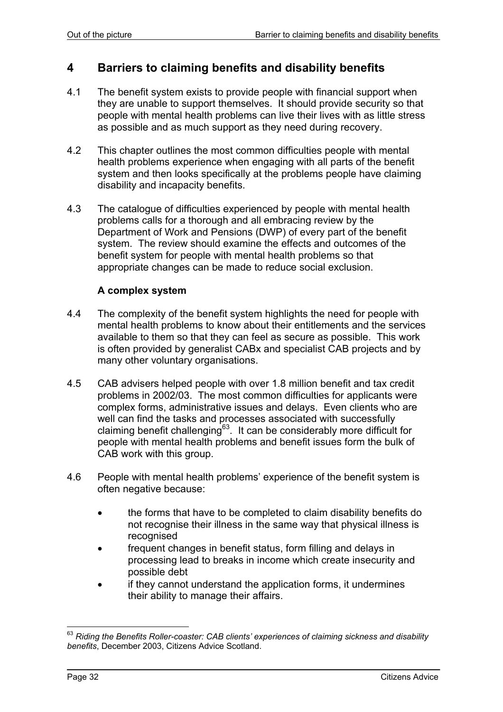### **4 Barriers to claiming benefits and disability benefits**

- 4.1 The benefit system exists to provide people with financial support when they are unable to support themselves. It should provide security so that people with mental health problems can live their lives with as little stress as possible and as much support as they need during recovery.
- 4.2 This chapter outlines the most common difficulties people with mental health problems experience when engaging with all parts of the benefit system and then looks specifically at the problems people have claiming disability and incapacity benefits.
- 4.3 The catalogue of difficulties experienced by people with mental health problems calls for a thorough and all embracing review by the Department of Work and Pensions (DWP) of every part of the benefit system. The review should examine the effects and outcomes of the benefit system for people with mental health problems so that appropriate changes can be made to reduce social exclusion.

#### **A complex system**

- 4.4 The complexity of the benefit system highlights the need for people with mental health problems to know about their entitlements and the services available to them so that they can feel as secure as possible. This work is often provided by generalist CABx and specialist CAB projects and by many other voluntary organisations.
- 4.5 CAB advisers helped people with over 1.8 million benefit and tax credit problems in 2002/03. The most common difficulties for applicants were complex forms, administrative issues and delays. Even clients who are well can find the tasks and processes associated with successfully claiming benefit challenging<sup>63</sup>. It can be considerably more difficult for people with mental health problems and benefit issues form the bulk of CAB work with this group.
- 4.6 People with mental health problems' experience of the benefit system is often negative because:
	- the forms that have to be completed to claim disability benefits do not recognise their illness in the same way that physical illness is recognised
	- frequent changes in benefit status, form filling and delays in processing lead to breaks in income which create insecurity and possible debt
	- if they cannot understand the application forms, it undermines their ability to manage their affairs.

<sup>63</sup> *Riding the Benefits Roller-coaster: CAB clients' experiences of claiming sickness and disability benefits*, December 2003, Citizens Advice Scotland.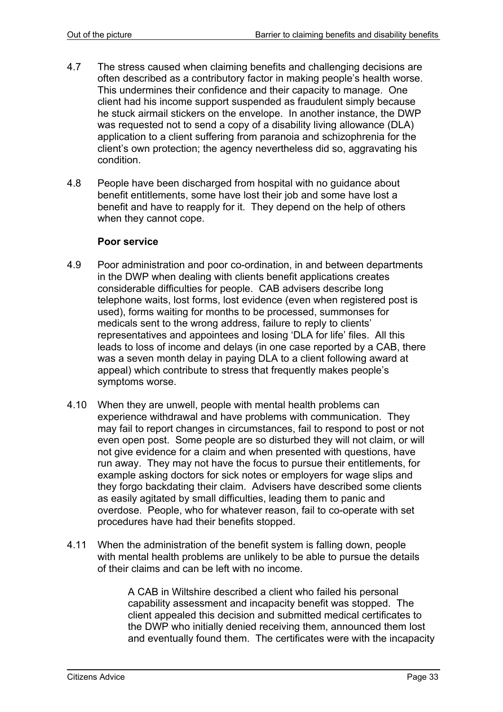- 4.7 The stress caused when claiming benefits and challenging decisions are often described as a contributory factor in making people's health worse. This undermines their confidence and their capacity to manage. One client had his income support suspended as fraudulent simply because he stuck airmail stickers on the envelope. In another instance, the DWP was requested not to send a copy of a disability living allowance (DLA) application to a client suffering from paranoia and schizophrenia for the client's own protection; the agency nevertheless did so, aggravating his condition.
- 4.8 People have been discharged from hospital with no guidance about benefit entitlements, some have lost their job and some have lost a benefit and have to reapply for it. They depend on the help of others when they cannot cope.

#### **Poor service**

- 4.9 Poor administration and poor co-ordination, in and between departments in the DWP when dealing with clients benefit applications creates considerable difficulties for people. CAB advisers describe long telephone waits, lost forms, lost evidence (even when registered post is used), forms waiting for months to be processed, summonses for medicals sent to the wrong address, failure to reply to clients' representatives and appointees and losing 'DLA for life' files. All this leads to loss of income and delays (in one case reported by a CAB, there was a seven month delay in paying DLA to a client following award at appeal) which contribute to stress that frequently makes people's symptoms worse.
- 4.10 When they are unwell, people with mental health problems can experience withdrawal and have problems with communication. They may fail to report changes in circumstances, fail to respond to post or not even open post. Some people are so disturbed they will not claim, or will not give evidence for a claim and when presented with questions, have run away. They may not have the focus to pursue their entitlements, for example asking doctors for sick notes or employers for wage slips and they forgo backdating their claim. Advisers have described some clients as easily agitated by small difficulties, leading them to panic and overdose. People, who for whatever reason, fail to co-operate with set procedures have had their benefits stopped.
- 4.11 When the administration of the benefit system is falling down, people with mental health problems are unlikely to be able to pursue the details of their claims and can be left with no income.

A CAB in Wiltshire described a client who failed his personal capability assessment and incapacity benefit was stopped. The client appealed this decision and submitted medical certificates to the DWP who initially denied receiving them, announced them lost and eventually found them. The certificates were with the incapacity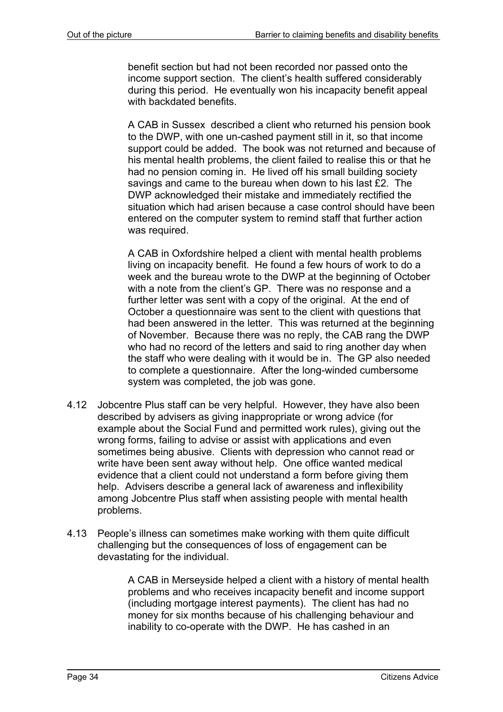benefit section but had not been recorded nor passed onto the income support section. The client's health suffered considerably during this period. He eventually won his incapacity benefit appeal with backdated benefits.

A CAB in Sussex described a client who returned his pension book to the DWP, with one un-cashed payment still in it, so that income support could be added. The book was not returned and because of his mental health problems, the client failed to realise this or that he had no pension coming in. He lived off his small building society savings and came to the bureau when down to his last £2. The DWP acknowledged their mistake and immediately rectified the situation which had arisen because a case control should have been entered on the computer system to remind staff that further action was required.

A CAB in Oxfordshire helped a client with mental health problems living on incapacity benefit. He found a few hours of work to do a week and the bureau wrote to the DWP at the beginning of October with a note from the client's GP. There was no response and a further letter was sent with a copy of the original. At the end of October a questionnaire was sent to the client with questions that had been answered in the letter. This was returned at the beginning of November. Because there was no reply, the CAB rang the DWP who had no record of the letters and said to ring another day when the staff who were dealing with it would be in. The GP also needed to complete a questionnaire. After the long-winded cumbersome system was completed, the job was gone.

- 4.12 Jobcentre Plus staff can be very helpful. However, they have also been described by advisers as giving inappropriate or wrong advice (for example about the Social Fund and permitted work rules), giving out the wrong forms, failing to advise or assist with applications and even sometimes being abusive. Clients with depression who cannot read or write have been sent away without help. One office wanted medical evidence that a client could not understand a form before giving them help. Advisers describe a general lack of awareness and inflexibility among Jobcentre Plus staff when assisting people with mental health problems.
- 4.13 People's illness can sometimes make working with them quite difficult challenging but the consequences of loss of engagement can be devastating for the individual.

A CAB in Merseyside helped a client with a history of mental health problems and who receives incapacity benefit and income support (including mortgage interest payments). The client has had no money for six months because of his challenging behaviour and inability to co-operate with the DWP. He has cashed in an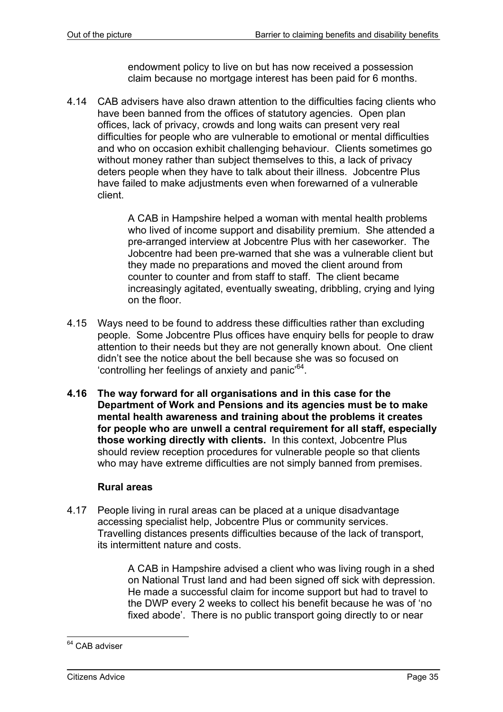endowment policy to live on but has now received a possession claim because no mortgage interest has been paid for 6 months.

4.14 CAB advisers have also drawn attention to the difficulties facing clients who have been banned from the offices of statutory agencies. Open plan offices, lack of privacy, crowds and long waits can present very real difficulties for people who are vulnerable to emotional or mental difficulties and who on occasion exhibit challenging behaviour. Clients sometimes go without money rather than subject themselves to this, a lack of privacy deters people when they have to talk about their illness. Jobcentre Plus have failed to make adjustments even when forewarned of a vulnerable client.

> A CAB in Hampshire helped a woman with mental health problems who lived of income support and disability premium. She attended a pre-arranged interview at Jobcentre Plus with her caseworker. The Jobcentre had been pre-warned that she was a vulnerable client but they made no preparations and moved the client around from counter to counter and from staff to staff. The client became increasingly agitated, eventually sweating, dribbling, crying and lying on the floor.

- 4.15 Ways need to be found to address these difficulties rather than excluding people. Some Jobcentre Plus offices have enquiry bells for people to draw attention to their needs but they are not generally known about. One client didn't see the notice about the bell because she was so focused on 'controlling her feelings of anxiety and panic'64.
- **4.16 The way forward for all organisations and in this case for the Department of Work and Pensions and its agencies must be to make mental health awareness and training about the problems it creates for people who are unwell a central requirement for all staff, especially those working directly with clients.** In this context, Jobcentre Plus should review reception procedures for vulnerable people so that clients who may have extreme difficulties are not simply banned from premises.

### **Rural areas**

4.17 People living in rural areas can be placed at a unique disadvantage accessing specialist help, Jobcentre Plus or community services. Travelling distances presents difficulties because of the lack of transport, its intermittent nature and costs.

> A CAB in Hampshire advised a client who was living rough in a shed on National Trust land and had been signed off sick with depression. He made a successful claim for income support but had to travel to the DWP every 2 weeks to collect his benefit because he was of 'no fixed abode'. There is no public transport going directly to or near

l <sup>64</sup> CAB adviser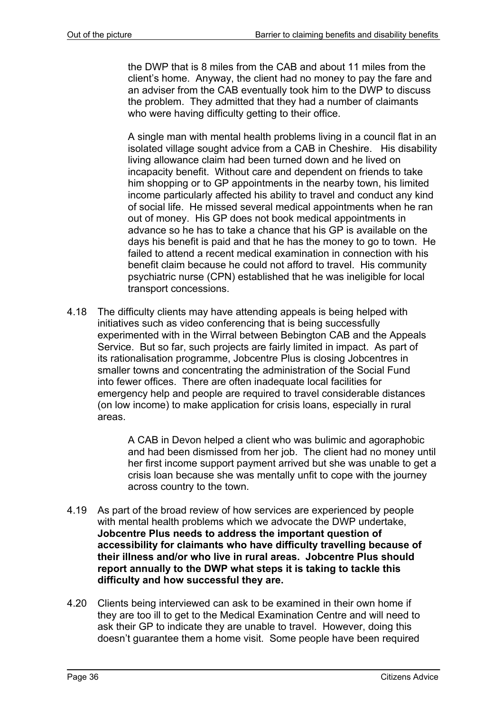the DWP that is 8 miles from the CAB and about 11 miles from the client's home. Anyway, the client had no money to pay the fare and an adviser from the CAB eventually took him to the DWP to discuss the problem. They admitted that they had a number of claimants who were having difficulty getting to their office.

A single man with mental health problems living in a council flat in an isolated village sought advice from a CAB in Cheshire. His disability living allowance claim had been turned down and he lived on incapacity benefit. Without care and dependent on friends to take him shopping or to GP appointments in the nearby town, his limited income particularly affected his ability to travel and conduct any kind of social life. He missed several medical appointments when he ran out of money. His GP does not book medical appointments in advance so he has to take a chance that his GP is available on the days his benefit is paid and that he has the money to go to town. He failed to attend a recent medical examination in connection with his benefit claim because he could not afford to travel. His community psychiatric nurse (CPN) established that he was ineligible for local transport concessions.

4.18 The difficulty clients may have attending appeals is being helped with initiatives such as video conferencing that is being successfully experimented with in the Wirral between Bebington CAB and the Appeals Service. But so far, such projects are fairly limited in impact. As part of its rationalisation programme, Jobcentre Plus is closing Jobcentres in smaller towns and concentrating the administration of the Social Fund into fewer offices. There are often inadequate local facilities for emergency help and people are required to travel considerable distances (on low income) to make application for crisis loans, especially in rural areas.

> A CAB in Devon helped a client who was bulimic and agoraphobic and had been dismissed from her job. The client had no money until her first income support payment arrived but she was unable to get a crisis loan because she was mentally unfit to cope with the journey across country to the town.

- 4.19 As part of the broad review of how services are experienced by people with mental health problems which we advocate the DWP undertake, **Jobcentre Plus needs to address the important question of accessibility for claimants who have difficulty travelling because of their illness and/or who live in rural areas. Jobcentre Plus should report annually to the DWP what steps it is taking to tackle this difficulty and how successful they are.**
- 4.20 Clients being interviewed can ask to be examined in their own home if they are too ill to get to the Medical Examination Centre and will need to ask their GP to indicate they are unable to travel. However, doing this doesn't guarantee them a home visit. Some people have been required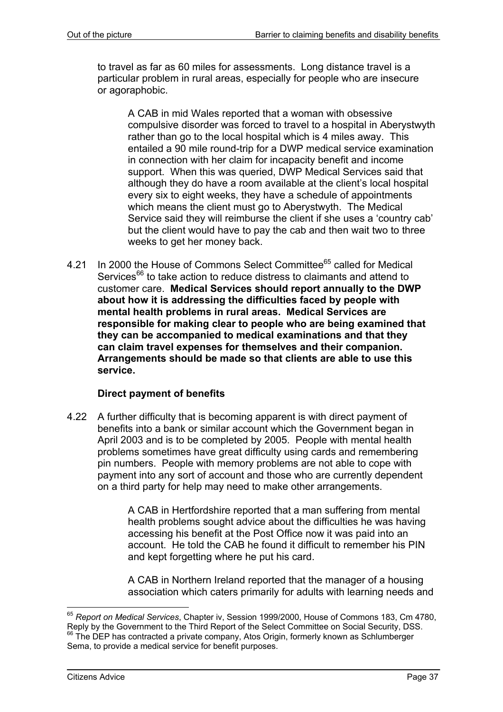to travel as far as 60 miles for assessments. Long distance travel is a particular problem in rural areas, especially for people who are insecure or agoraphobic.

A CAB in mid Wales reported that a woman with obsessive compulsive disorder was forced to travel to a hospital in Aberystwyth rather than go to the local hospital which is 4 miles away. This entailed a 90 mile round-trip for a DWP medical service examination in connection with her claim for incapacity benefit and income support. When this was queried, DWP Medical Services said that although they do have a room available at the client's local hospital every six to eight weeks, they have a schedule of appointments which means the client must go to Aberystwyth. The Medical Service said they will reimburse the client if she uses a 'country cab' but the client would have to pay the cab and then wait two to three weeks to get her money back.

4.21 In 2000 the House of Commons Select Committee<sup>65</sup> called for Medical Services<sup>66</sup> to take action to reduce distress to claimants and attend to customer care. **Medical Services should report annually to the DWP about how it is addressing the difficulties faced by people with mental health problems in rural areas. Medical Services are responsible for making clear to people who are being examined that they can be accompanied to medical examinations and that they can claim travel expenses for themselves and their companion. Arrangements should be made so that clients are able to use this service.** 

### **Direct payment of benefits**

4.22 A further difficulty that is becoming apparent is with direct payment of benefits into a bank or similar account which the Government began in April 2003 and is to be completed by 2005. People with mental health problems sometimes have great difficulty using cards and remembering pin numbers. People with memory problems are not able to cope with payment into any sort of account and those who are currently dependent on a third party for help may need to make other arrangements.

> A CAB in Hertfordshire reported that a man suffering from mental health problems sought advice about the difficulties he was having accessing his benefit at the Post Office now it was paid into an account. He told the CAB he found it difficult to remember his PIN and kept forgetting where he put his card.

A CAB in Northern Ireland reported that the manager of a housing association which caters primarily for adults with learning needs and

<sup>65</sup> *Report on Medical Services*, Chapter iv, Session 1999/2000, House of Commons 183, Cm 4780, Reply by the Government to the Third Report of the Select Committee on Social Security, DSS. <sup>66</sup> The DEP has contracted a private company, Atos Origin, formerly known as Schlumberger Sema, to provide a medical service for benefit purposes.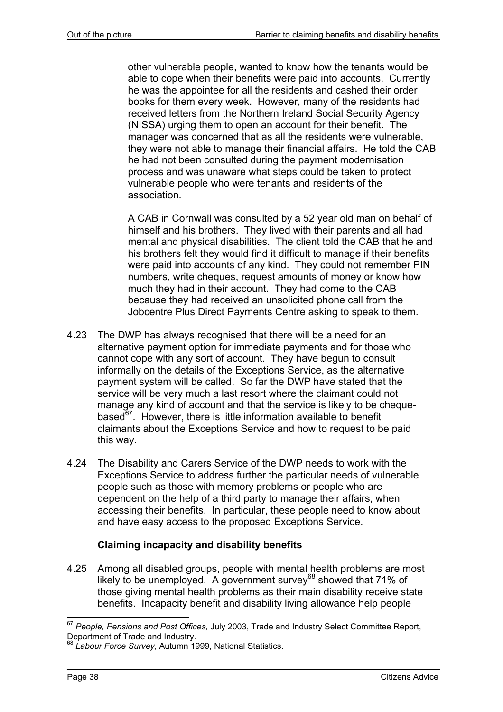other vulnerable people, wanted to know how the tenants would be able to cope when their benefits were paid into accounts. Currently he was the appointee for all the residents and cashed their order books for them every week. However, many of the residents had received letters from the Northern Ireland Social Security Agency (NISSA) urging them to open an account for their benefit. The manager was concerned that as all the residents were vulnerable, they were not able to manage their financial affairs. He told the CAB he had not been consulted during the payment modernisation process and was unaware what steps could be taken to protect vulnerable people who were tenants and residents of the association.

A CAB in Cornwall was consulted by a 52 year old man on behalf of himself and his brothers. They lived with their parents and all had mental and physical disabilities. The client told the CAB that he and his brothers felt they would find it difficult to manage if their benefits were paid into accounts of any kind. They could not remember PIN numbers, write cheques, request amounts of money or know how much they had in their account. They had come to the CAB because they had received an unsolicited phone call from the Jobcentre Plus Direct Payments Centre asking to speak to them.

- 4.23 The DWP has always recognised that there will be a need for an alternative payment option for immediate payments and for those who cannot cope with any sort of account. They have begun to consult informally on the details of the Exceptions Service, as the alternative payment system will be called. So far the DWP have stated that the service will be very much a last resort where the claimant could not manage any kind of account and that the service is likely to be chequebased $67$ . However, there is little information available to benefit claimants about the Exceptions Service and how to request to be paid this way.
- 4.24 The Disability and Carers Service of the DWP needs to work with the Exceptions Service to address further the particular needs of vulnerable people such as those with memory problems or people who are dependent on the help of a third party to manage their affairs, when accessing their benefits. In particular, these people need to know about and have easy access to the proposed Exceptions Service.

# **Claiming incapacity and disability benefits**

4.25 Among all disabled groups, people with mental health problems are most likely to be unemployed. A government survey<sup>68</sup> showed that 71% of those giving mental health problems as their main disability receive state benefits. Incapacity benefit and disability living allowance help people

<sup>67</sup> *People, Pensions and Post Offices,* July 2003, Trade and Industry Select Committee Report, Department of Trade and Industry.

<sup>68</sup> *Labour Force Survey*, Autumn 1999, National Statistics.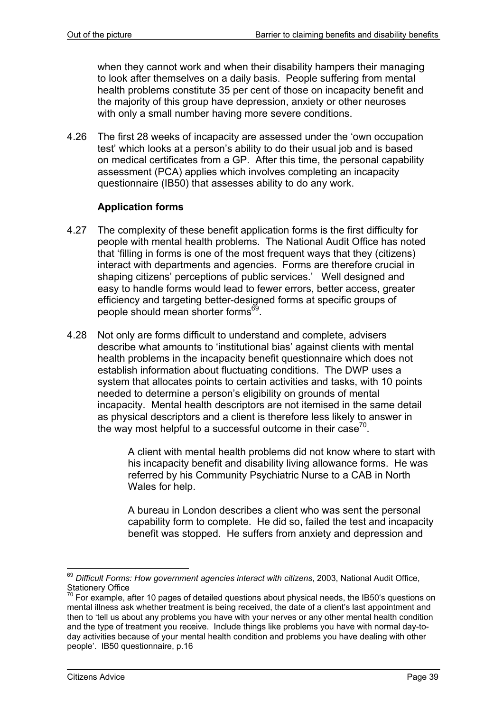when they cannot work and when their disability hampers their managing to look after themselves on a daily basis. People suffering from mental health problems constitute 35 per cent of those on incapacity benefit and the majority of this group have depression, anxiety or other neuroses with only a small number having more severe conditions.

4.26 The first 28 weeks of incapacity are assessed under the 'own occupation test' which looks at a person's ability to do their usual job and is based on medical certificates from a GP. After this time, the personal capability assessment (PCA) applies which involves completing an incapacity questionnaire (IB50) that assesses ability to do any work.

### **Application forms**

- 4.27 The complexity of these benefit application forms is the first difficulty for people with mental health problems. The National Audit Office has noted that 'filling in forms is one of the most frequent ways that they (citizens) interact with departments and agencies. Forms are therefore crucial in shaping citizens' perceptions of public services.' Well designed and easy to handle forms would lead to fewer errors, better access, greater efficiency and targeting better-designed forms at specific groups of people should mean shorter forms<sup>69</sup>.
- 4.28 Not only are forms difficult to understand and complete, advisers describe what amounts to 'institutional bias' against clients with mental health problems in the incapacity benefit questionnaire which does not establish information about fluctuating conditions. The DWP uses a system that allocates points to certain activities and tasks, with 10 points needed to determine a person's eligibility on grounds of mental incapacity. Mental health descriptors are not itemised in the same detail as physical descriptors and a client is therefore less likely to answer in the way most helpful to a successful outcome in their case<sup>70</sup>.

A client with mental health problems did not know where to start with his incapacity benefit and disability living allowance forms. He was referred by his Community Psychiatric Nurse to a CAB in North Wales for help.

A bureau in London describes a client who was sent the personal capability form to complete. He did so, failed the test and incapacity benefit was stopped. He suffers from anxiety and depression and

 $\overline{a}$ <sup>69</sup> *Difficult Forms: How government agencies interact with citizens*, 2003, National Audit Office, Stationery Office

 $70$  For example, after 10 pages of detailed questions about physical needs, the IB50's questions on mental illness ask whether treatment is being received, the date of a client's last appointment and then to 'tell us about any problems you have with your nerves or any other mental health condition and the type of treatment you receive. Include things like problems you have with normal day-today activities because of your mental health condition and problems you have dealing with other people'. IB50 questionnaire, p.16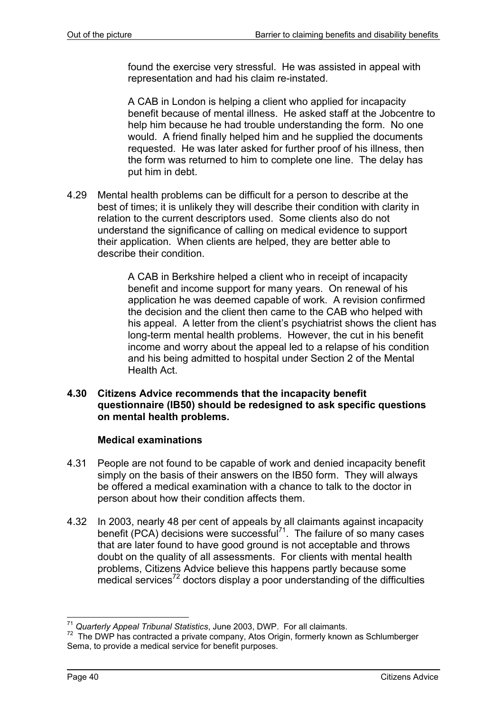found the exercise very stressful. He was assisted in appeal with representation and had his claim re-instated.

A CAB in London is helping a client who applied for incapacity benefit because of mental illness. He asked staff at the Jobcentre to help him because he had trouble understanding the form. No one would. A friend finally helped him and he supplied the documents requested. He was later asked for further proof of his illness, then the form was returned to him to complete one line. The delay has put him in debt.

4.29 Mental health problems can be difficult for a person to describe at the best of times; it is unlikely they will describe their condition with clarity in relation to the current descriptors used. Some clients also do not understand the significance of calling on medical evidence to support their application. When clients are helped, they are better able to describe their condition.

> A CAB in Berkshire helped a client who in receipt of incapacity benefit and income support for many years. On renewal of his application he was deemed capable of work. A revision confirmed the decision and the client then came to the CAB who helped with his appeal. A letter from the client's psychiatrist shows the client has long-term mental health problems. However, the cut in his benefit income and worry about the appeal led to a relapse of his condition and his being admitted to hospital under Section 2 of the Mental Health Act.

#### **4.30 Citizens Advice recommends that the incapacity benefit questionnaire (IB50) should be redesigned to ask specific questions on mental health problems.**

### **Medical examinations**

- 4.31 People are not found to be capable of work and denied incapacity benefit simply on the basis of their answers on the IB50 form. They will always be offered a medical examination with a chance to talk to the doctor in person about how their condition affects them.
- 4.32 In 2003, nearly 48 per cent of appeals by all claimants against incapacity benefit (PCA) decisions were successful<sup>71</sup>. The failure of so many cases that are later found to have good ground is not acceptable and throws doubt on the quality of all assessments. For clients with mental health problems, Citizens Advice believe this happens partly because some  $\frac{1}{2}$  medical services<sup>72</sup> doctors display a poor understanding of the difficulties

l <sup>71</sup> *Quarterly Appeal Tribunal Statistics*, June 2003, DWP. For all claimants.

<sup>&</sup>lt;sup>72</sup> The DWP has contracted a private company, Atos Origin, formerly known as Schlumberger Sema, to provide a medical service for benefit purposes.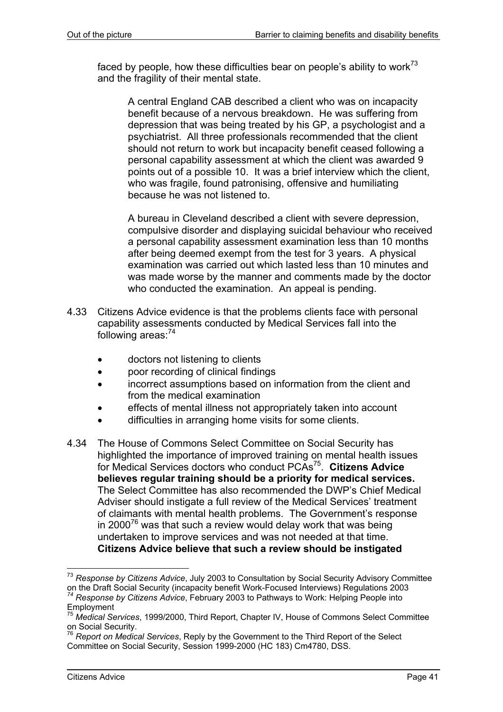faced by people, how these difficulties bear on people's ability to work $73$ and the fragility of their mental state.

A central England CAB described a client who was on incapacity benefit because of a nervous breakdown. He was suffering from depression that was being treated by his GP, a psychologist and a psychiatrist. All three professionals recommended that the client should not return to work but incapacity benefit ceased following a personal capability assessment at which the client was awarded 9 points out of a possible 10. It was a brief interview which the client, who was fragile, found patronising, offensive and humiliating because he was not listened to.

A bureau in Cleveland described a client with severe depression, compulsive disorder and displaying suicidal behaviour who received a personal capability assessment examination less than 10 months after being deemed exempt from the test for 3 years. A physical examination was carried out which lasted less than 10 minutes and was made worse by the manner and comments made by the doctor who conducted the examination. An appeal is pending.

- 4.33 Citizens Advice evidence is that the problems clients face with personal capability assessments conducted by Medical Services fall into the following areas:<sup>74</sup>
	- doctors not listening to clients
	- poor recording of clinical findings
	- incorrect assumptions based on information from the client and from the medical examination
	- effects of mental illness not appropriately taken into account
	- difficulties in arranging home visits for some clients.
- 4.34 The House of Commons Select Committee on Social Security has highlighted the importance of improved training on mental health issues for Medical Services doctors who conduct PCAs75. **Citizens Advice believes regular training should be a priority for medical services.**  The Select Committee has also recommended the DWP's Chief Medical Adviser should instigate a full review of the Medical Services' treatment of claimants with mental health problems. The Government's response in 2000<sup>76</sup> was that such a review would delay work that was being undertaken to improve services and was not needed at that time. **Citizens Advice believe that such a review should be instigated**

 $\overline{a}$ 

<sup>&</sup>lt;sup>73</sup> *Response by Citizens Advice*, July 2003 to Consultation by Social Security Advisory Committee<br>on the Draft Social Security (incapacity benefit Work-Focused Interviews) Regulations 2003 <sup>74</sup> Response by Citizens Advice, February 2003 to Pathways to Work: Helping People into Employment

<sup>75</sup> *Medical Services*, 1999/2000, Third Report, Chapter IV, House of Commons Select Committee on Social Security.

<sup>76</sup> *Report on Medical Services*, Reply by the Government to the Third Report of the Select Committee on Social Security, Session 1999-2000 (HC 183) Cm4780, DSS.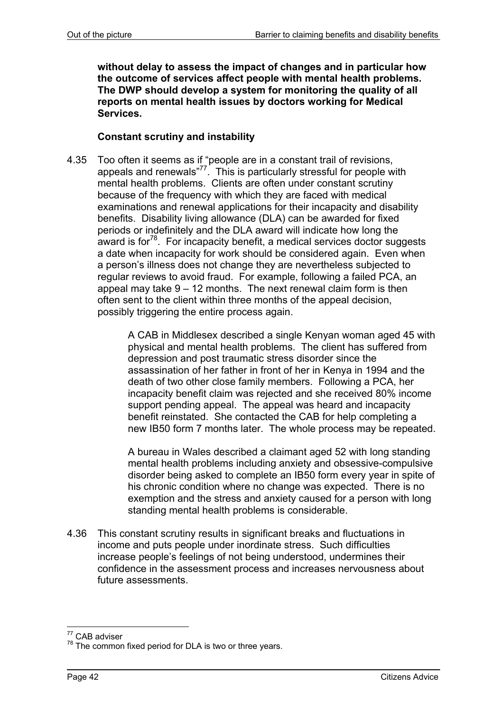**without delay to assess the impact of changes and in particular how the outcome of services affect people with mental health problems. The DWP should develop a system for monitoring the quality of all reports on mental health issues by doctors working for Medical Services.**

### **Constant scrutiny and instability**

4.35 Too often it seems as if "people are in a constant trail of revisions, appeals and renewals" $77$ . This is particularly stressful for people with mental health problems. Clients are often under constant scrutiny because of the frequency with which they are faced with medical examinations and renewal applications for their incapacity and disability benefits. Disability living allowance (DLA) can be awarded for fixed periods or indefinitely and the DLA award will indicate how long the award is for $78$ . For incapacity benefit, a medical services doctor suggests a date when incapacity for work should be considered again. Even when a person's illness does not change they are nevertheless subjected to regular reviews to avoid fraud. For example, following a failed PCA, an appeal may take  $9 - 12$  months. The next renewal claim form is then often sent to the client within three months of the appeal decision, possibly triggering the entire process again.

> A CAB in Middlesex described a single Kenyan woman aged 45 with physical and mental health problems. The client has suffered from depression and post traumatic stress disorder since the assassination of her father in front of her in Kenya in 1994 and the death of two other close family members. Following a PCA, her incapacity benefit claim was rejected and she received 80% income support pending appeal. The appeal was heard and incapacity benefit reinstated. She contacted the CAB for help completing a new IB50 form 7 months later. The whole process may be repeated.

> A bureau in Wales described a claimant aged 52 with long standing mental health problems including anxiety and obsessive-compulsive disorder being asked to complete an IB50 form every year in spite of his chronic condition where no change was expected. There is no exemption and the stress and anxiety caused for a person with long standing mental health problems is considerable.

4.36 This constant scrutiny results in significant breaks and fluctuations in income and puts people under inordinate stress. Such difficulties increase people's feelings of not being understood, undermines their confidence in the assessment process and increases nervousness about future assessments.

l <sup>77</sup> CAB adviser

 $78$  The common fixed period for DLA is two or three years.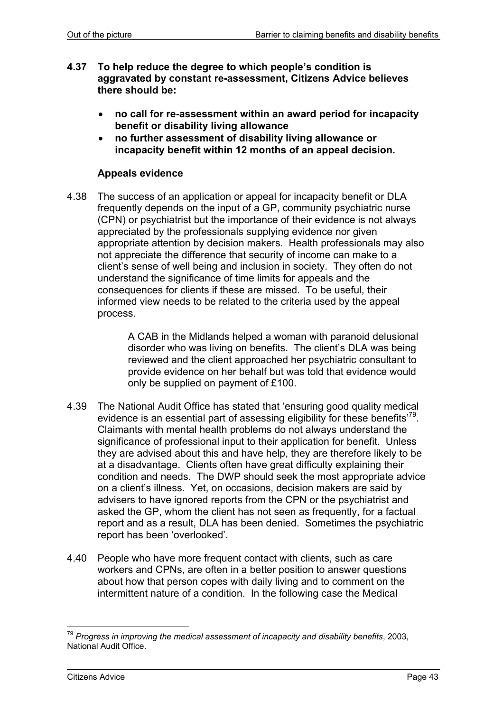- **4.37 To help reduce the degree to which people's condition is aggravated by constant re-assessment, Citizens Advice believes there should be:** 
	- **no call for re-assessment within an award period for incapacity benefit or disability living allowance**
	- **no further assessment of disability living allowance or incapacity benefit within 12 months of an appeal decision.**

## **Appeals evidence**

4.38 The success of an application or appeal for incapacity benefit or DLA frequently depends on the input of a GP, community psychiatric nurse (CPN) or psychiatrist but the importance of their evidence is not always appreciated by the professionals supplying evidence nor given appropriate attention by decision makers. Health professionals may also not appreciate the difference that security of income can make to a client's sense of well being and inclusion in society. They often do not understand the significance of time limits for appeals and the consequences for clients if these are missed. To be useful, their informed view needs to be related to the criteria used by the appeal process.

> A CAB in the Midlands helped a woman with paranoid delusional disorder who was living on benefits. The client's DLA was being reviewed and the client approached her psychiatric consultant to provide evidence on her behalf but was told that evidence would only be supplied on payment of £100.

- 4.39 The National Audit Office has stated that 'ensuring good quality medical evidence is an essential part of assessing eligibility for these benefits<sup> $79$ </sup>. Claimants with mental health problems do not always understand the significance of professional input to their application for benefit. Unless they are advised about this and have help, they are therefore likely to be at a disadvantage. Clients often have great difficulty explaining their condition and needs. The DWP should seek the most appropriate advice on a client's illness. Yet, on occasions, decision makers are said by advisers to have ignored reports from the CPN or the psychiatrist and asked the GP, whom the client has not seen as frequently, for a factual report and as a result, DLA has been denied. Sometimes the psychiatric report has been 'overlooked'.
- 4.40 People who have more frequent contact with clients, such as care workers and CPNs, are often in a better position to answer questions about how that person copes with daily living and to comment on the intermittent nature of a condition. In the following case the Medical

l <sup>79</sup> *Progress in improving the medical assessment of incapacity and disability benefits*, 2003, National Audit Office.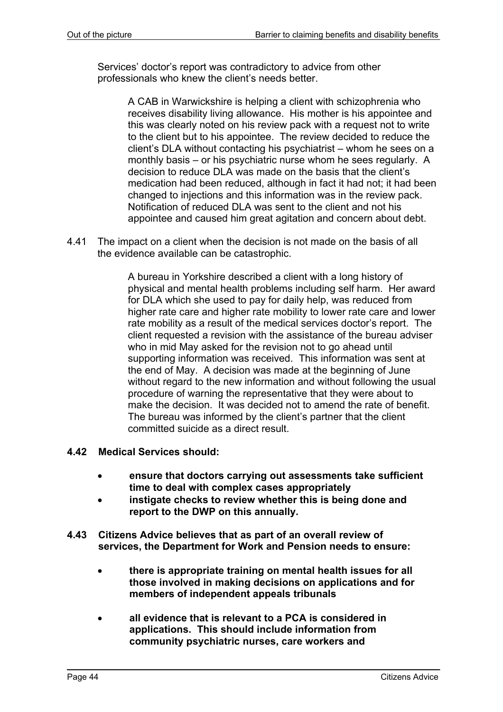Services' doctor's report was contradictory to advice from other professionals who knew the client's needs better.

> A CAB in Warwickshire is helping a client with schizophrenia who receives disability living allowance. His mother is his appointee and this was clearly noted on his review pack with a request not to write to the client but to his appointee. The review decided to reduce the client's DLA without contacting his psychiatrist – whom he sees on a monthly basis – or his psychiatric nurse whom he sees regularly. A decision to reduce DLA was made on the basis that the client's medication had been reduced, although in fact it had not; it had been changed to injections and this information was in the review pack. Notification of reduced DLA was sent to the client and not his appointee and caused him great agitation and concern about debt.

4.41 The impact on a client when the decision is not made on the basis of all the evidence available can be catastrophic.

> A bureau in Yorkshire described a client with a long history of physical and mental health problems including self harm. Her award for DLA which she used to pay for daily help, was reduced from higher rate care and higher rate mobility to lower rate care and lower rate mobility as a result of the medical services doctor's report. The client requested a revision with the assistance of the bureau adviser who in mid May asked for the revision not to go ahead until supporting information was received. This information was sent at the end of May. A decision was made at the beginning of June without regard to the new information and without following the usual procedure of warning the representative that they were about to make the decision. It was decided not to amend the rate of benefit. The bureau was informed by the client's partner that the client committed suicide as a direct result.

- **4.42 Medical Services should:** 
	- **ensure that doctors carrying out assessments take sufficient time to deal with complex cases appropriately**
	- **instigate checks to review whether this is being done and report to the DWP on this annually.**
- **4.43 Citizens Advice believes that as part of an overall review of services, the Department for Work and Pension needs to ensure:**
	- **there is appropriate training on mental health issues for all those involved in making decisions on applications and for members of independent appeals tribunals**
	- **all evidence that is relevant to a PCA is considered in applications. This should include information from community psychiatric nurses, care workers and**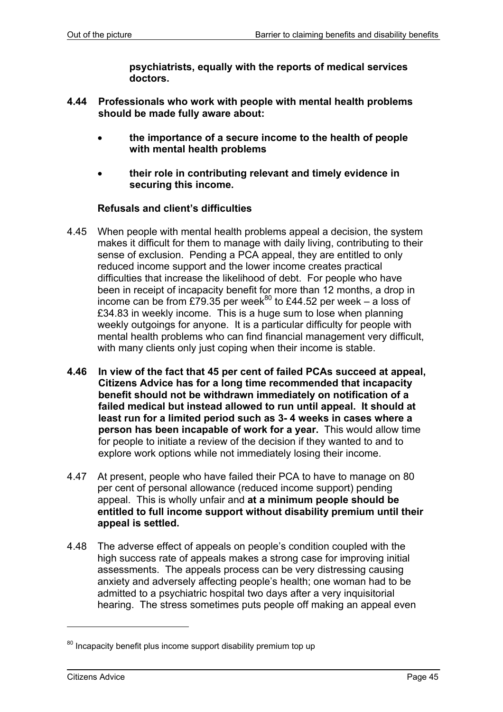**psychiatrists, equally with the reports of medical services doctors.**

- **4.44 Professionals who work with people with mental health problems should be made fully aware about:** 
	- **the importance of a secure income to the health of people with mental health problems**
	- **their role in contributing relevant and timely evidence in securing this income.**

### **Refusals and client's difficulties**

- 4.45 When people with mental health problems appeal a decision, the system makes it difficult for them to manage with daily living, contributing to their sense of exclusion. Pending a PCA appeal, they are entitled to only reduced income support and the lower income creates practical difficulties that increase the likelihood of debt. For people who have been in receipt of incapacity benefit for more than 12 months, a drop in income can be from £79.35 per week<sup>80</sup> to £44.52 per week – a loss of £34.83 in weekly income. This is a huge sum to lose when planning weekly outgoings for anyone. It is a particular difficulty for people with mental health problems who can find financial management very difficult, with many clients only just coping when their income is stable.
- **4.46 In view of the fact that 45 per cent of failed PCAs succeed at appeal, Citizens Advice has for a long time recommended that incapacity benefit should not be withdrawn immediately on notification of a failed medical but instead allowed to run until appeal. It should at least run for a limited period such as 3- 4 weeks in cases where a person has been incapable of work for a year.** This would allow time for people to initiate a review of the decision if they wanted to and to explore work options while not immediately losing their income.
- 4.47 At present, people who have failed their PCA to have to manage on 80 per cent of personal allowance (reduced income support) pending appeal. This is wholly unfair and **at a minimum people should be entitled to full income support without disability premium until their appeal is settled.**
- 4.48 The adverse effect of appeals on people's condition coupled with the high success rate of appeals makes a strong case for improving initial assessments. The appeals process can be very distressing causing anxiety and adversely affecting people's health; one woman had to be admitted to a psychiatric hospital two days after a very inquisitorial hearing. The stress sometimes puts people off making an appeal even

 $80$  Incapacity benefit plus income support disability premium top up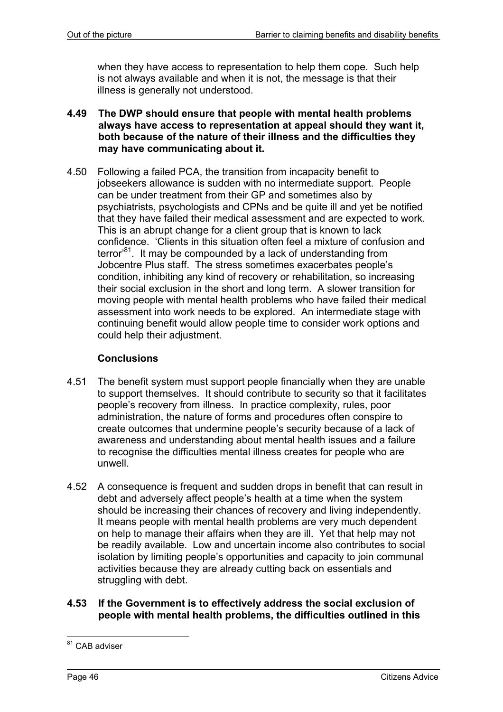when they have access to representation to help them cope. Such help is not always available and when it is not, the message is that their illness is generally not understood.

- **4.49 The DWP should ensure that people with mental health problems always have access to representation at appeal should they want it, both because of the nature of their illness and the difficulties they may have communicating about it.**
- 4.50 Following a failed PCA, the transition from incapacity benefit to jobseekers allowance is sudden with no intermediate support. People can be under treatment from their GP and sometimes also by psychiatrists, psychologists and CPNs and be quite ill and yet be notified that they have failed their medical assessment and are expected to work. This is an abrupt change for a client group that is known to lack confidence. 'Clients in this situation often feel a mixture of confusion and terror<sup>81</sup>. It may be compounded by a lack of understanding from Jobcentre Plus staff. The stress sometimes exacerbates people's condition, inhibiting any kind of recovery or rehabilitation, so increasing their social exclusion in the short and long term. A slower transition for moving people with mental health problems who have failed their medical assessment into work needs to be explored. An intermediate stage with continuing benefit would allow people time to consider work options and could help their adjustment.

## **Conclusions**

- 4.51 The benefit system must support people financially when they are unable to support themselves. It should contribute to security so that it facilitates people's recovery from illness. In practice complexity, rules, poor administration, the nature of forms and procedures often conspire to create outcomes that undermine people's security because of a lack of awareness and understanding about mental health issues and a failure to recognise the difficulties mental illness creates for people who are unwell.
- 4.52 A consequence is frequent and sudden drops in benefit that can result in debt and adversely affect people's health at a time when the system should be increasing their chances of recovery and living independently. It means people with mental health problems are very much dependent on help to manage their affairs when they are ill. Yet that help may not be readily available. Low and uncertain income also contributes to social isolation by limiting people's opportunities and capacity to join communal activities because they are already cutting back on essentials and struggling with debt.
- **4.53 If the Government is to effectively address the social exclusion of people with mental health problems, the difficulties outlined in this**

l <sup>81</sup> CAB adviser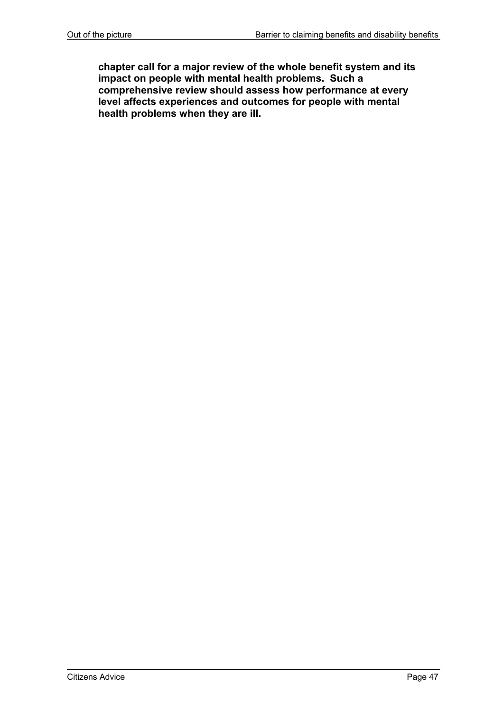**chapter call for a major review of the whole benefit system and its impact on people with mental health problems. Such a comprehensive review should assess how performance at every level affects experiences and outcomes for people with mental health problems when they are ill.**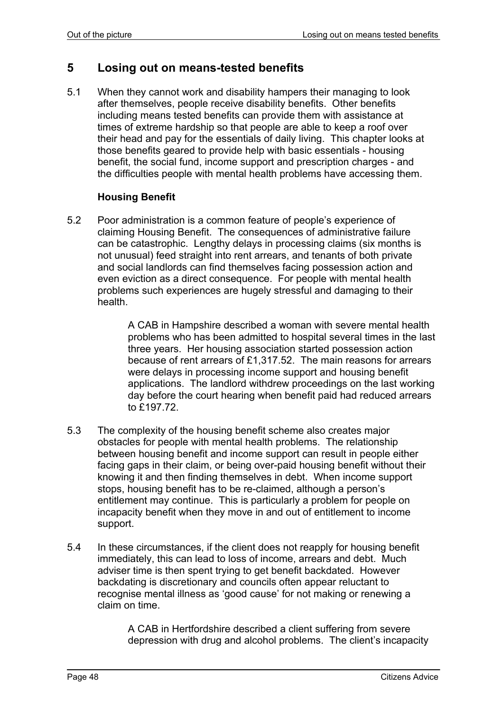# **5 Losing out on means-tested benefits**

5.1 When they cannot work and disability hampers their managing to look after themselves, people receive disability benefits. Other benefits including means tested benefits can provide them with assistance at times of extreme hardship so that people are able to keep a roof over their head and pay for the essentials of daily living. This chapter looks at those benefits geared to provide help with basic essentials - housing benefit, the social fund, income support and prescription charges - and the difficulties people with mental health problems have accessing them.

### **Housing Benefit**

5.2 Poor administration is a common feature of people's experience of claiming Housing Benefit. The consequences of administrative failure can be catastrophic. Lengthy delays in processing claims (six months is not unusual) feed straight into rent arrears, and tenants of both private and social landlords can find themselves facing possession action and even eviction as a direct consequence. For people with mental health problems such experiences are hugely stressful and damaging to their health.

> A CAB in Hampshire described a woman with severe mental health problems who has been admitted to hospital several times in the last three years. Her housing association started possession action because of rent arrears of £1,317.52. The main reasons for arrears were delays in processing income support and housing benefit applications. The landlord withdrew proceedings on the last working day before the court hearing when benefit paid had reduced arrears to £197.72.

- 5.3 The complexity of the housing benefit scheme also creates major obstacles for people with mental health problems. The relationship between housing benefit and income support can result in people either facing gaps in their claim, or being over-paid housing benefit without their knowing it and then finding themselves in debt. When income support stops, housing benefit has to be re-claimed, although a person's entitlement may continue. This is particularly a problem for people on incapacity benefit when they move in and out of entitlement to income support.
- 5.4 In these circumstances, if the client does not reapply for housing benefit immediately, this can lead to loss of income, arrears and debt. Much adviser time is then spent trying to get benefit backdated. However backdating is discretionary and councils often appear reluctant to recognise mental illness as 'good cause' for not making or renewing a claim on time.

A CAB in Hertfordshire described a client suffering from severe depression with drug and alcohol problems. The client's incapacity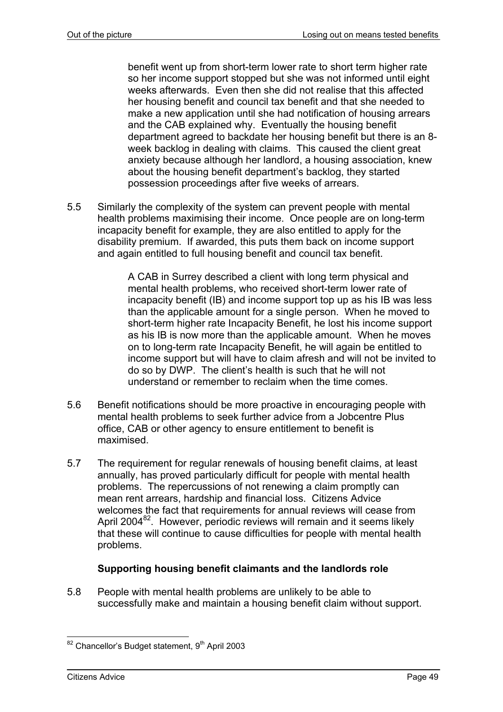benefit went up from short-term lower rate to short term higher rate so her income support stopped but she was not informed until eight weeks afterwards. Even then she did not realise that this affected her housing benefit and council tax benefit and that she needed to make a new application until she had notification of housing arrears and the CAB explained why. Eventually the housing benefit department agreed to backdate her housing benefit but there is an 8 week backlog in dealing with claims. This caused the client great anxiety because although her landlord, a housing association, knew about the housing benefit department's backlog, they started possession proceedings after five weeks of arrears.

5.5 Similarly the complexity of the system can prevent people with mental health problems maximising their income. Once people are on long-term incapacity benefit for example, they are also entitled to apply for the disability premium. If awarded, this puts them back on income support and again entitled to full housing benefit and council tax benefit.

> A CAB in Surrey described a client with long term physical and mental health problems, who received short-term lower rate of incapacity benefit (IB) and income support top up as his IB was less than the applicable amount for a single person. When he moved to short-term higher rate Incapacity Benefit, he lost his income support as his IB is now more than the applicable amount. When he moves on to long-term rate Incapacity Benefit, he will again be entitled to income support but will have to claim afresh and will not be invited to do so by DWP. The client's health is such that he will not understand or remember to reclaim when the time comes.

- 5.6 Benefit notifications should be more proactive in encouraging people with mental health problems to seek further advice from a Jobcentre Plus office, CAB or other agency to ensure entitlement to benefit is maximised.
- 5.7 The requirement for regular renewals of housing benefit claims, at least annually, has proved particularly difficult for people with mental health problems. The repercussions of not renewing a claim promptly can mean rent arrears, hardship and financial loss. Citizens Advice welcomes the fact that requirements for annual reviews will cease from April 2004 $^{82}$ . However, periodic reviews will remain and it seems likely that these will continue to cause difficulties for people with mental health problems.

# **Supporting housing benefit claimants and the landlords role**

5.8 People with mental health problems are unlikely to be able to successfully make and maintain a housing benefit claim without support.

 $82$  Chancellor's Budget statement, 9<sup>th</sup> April 2003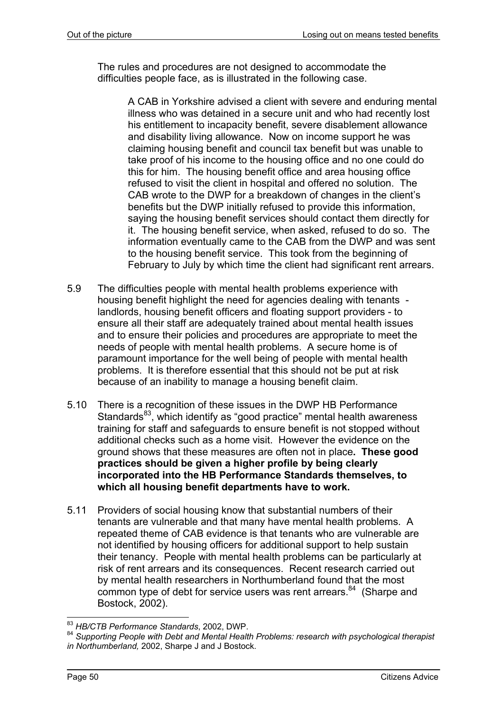The rules and procedures are not designed to accommodate the difficulties people face, as is illustrated in the following case.

> A CAB in Yorkshire advised a client with severe and enduring mental illness who was detained in a secure unit and who had recently lost his entitlement to incapacity benefit, severe disablement allowance and disability living allowance. Now on income support he was claiming housing benefit and council tax benefit but was unable to take proof of his income to the housing office and no one could do this for him. The housing benefit office and area housing office refused to visit the client in hospital and offered no solution. The CAB wrote to the DWP for a breakdown of changes in the client's benefits but the DWP initially refused to provide this information, saying the housing benefit services should contact them directly for it. The housing benefit service, when asked, refused to do so. The information eventually came to the CAB from the DWP and was sent to the housing benefit service. This took from the beginning of February to July by which time the client had significant rent arrears.

- 5.9 The difficulties people with mental health problems experience with housing benefit highlight the need for agencies dealing with tenants landlords, housing benefit officers and floating support providers - to ensure all their staff are adequately trained about mental health issues and to ensure their policies and procedures are appropriate to meet the needs of people with mental health problems. A secure home is of paramount importance for the well being of people with mental health problems. It is therefore essential that this should not be put at risk because of an inability to manage a housing benefit claim.
- 5.10 There is a recognition of these issues in the DWP HB Performance Standards<sup>83</sup>, which identify as "good practice" mental health awareness training for staff and safeguards to ensure benefit is not stopped without additional checks such as a home visit. However the evidence on the ground shows that these measures are often not in place**. These good practices should be given a higher profile by being clearly incorporated into the HB Performance Standards themselves, to which all housing benefit departments have to work.**
- 5.11 Providers of social housing know that substantial numbers of their tenants are vulnerable and that many have mental health problems. A repeated theme of CAB evidence is that tenants who are vulnerable are not identified by housing officers for additional support to help sustain their tenancy. People with mental health problems can be particularly at risk of rent arrears and its consequences. Recent research carried out by mental health researchers in Northumberland found that the most common type of debt for service users was rent arrears.<sup>84</sup> (Sharpe and Bostock, 2002).

l <sup>83</sup> *HB/CTB Performance Standards*, 2002, DWP.

<sup>84</sup> *Supporting People with Debt and Mental Health Problems: research with psychological therapist in Northumberland,* 2002, Sharpe J and J Bostock.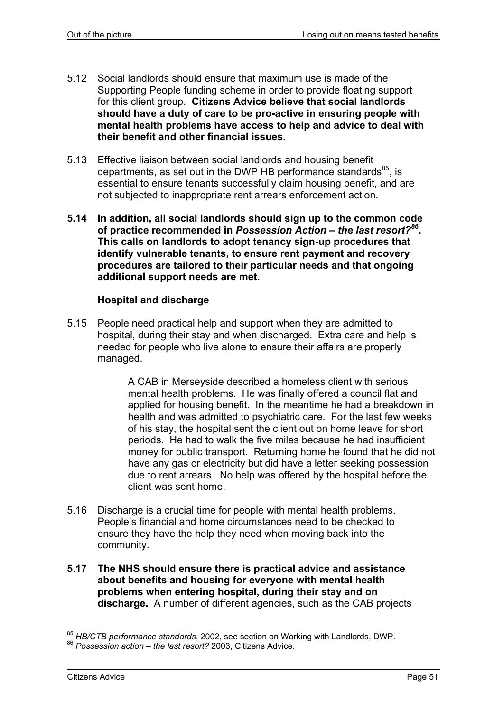- 5.12 Social landlords should ensure that maximum use is made of the Supporting People funding scheme in order to provide floating support for this client group. **Citizens Advice believe that social landlords should have a duty of care to be pro-active in ensuring people with mental health problems have access to help and advice to deal with their benefit and other financial issues.**
- 5.13 Effective liaison between social landlords and housing benefit departments, as set out in the DWP HB performance standards $^{85}$ , is essential to ensure tenants successfully claim housing benefit, and are not subjected to inappropriate rent arrears enforcement action.
- **5.14 In addition, all social landlords should sign up to the common code of practice recommended in** *Possession Action – the last resort?86***. This calls on landlords to adopt tenancy sign-up procedures that identify vulnerable tenants, to ensure rent payment and recovery procedures are tailored to their particular needs and that ongoing additional support needs are met.**

# **Hospital and discharge**

5.15 People need practical help and support when they are admitted to hospital, during their stay and when discharged. Extra care and help is needed for people who live alone to ensure their affairs are properly managed.

> A CAB in Merseyside described a homeless client with serious mental health problems. He was finally offered a council flat and applied for housing benefit. In the meantime he had a breakdown in health and was admitted to psychiatric care. For the last few weeks of his stay, the hospital sent the client out on home leave for short periods. He had to walk the five miles because he had insufficient money for public transport. Returning home he found that he did not have any gas or electricity but did have a letter seeking possession due to rent arrears. No help was offered by the hospital before the client was sent home.

- 5.16 Discharge is a crucial time for people with mental health problems. People's financial and home circumstances need to be checked to ensure they have the help they need when moving back into the community.
- **5.17 The NHS should ensure there is practical advice and assistance about benefits and housing for everyone with mental health problems when entering hospital, during their stay and on discharge.** A number of different agencies, such as the CAB projects

l <sup>85</sup> *HB/CTB performance standards,* 2002, see section on Working with Landlords, DWP.<br><sup>86</sup> *Possession action – the last resort?* 2003, Citizens Advice.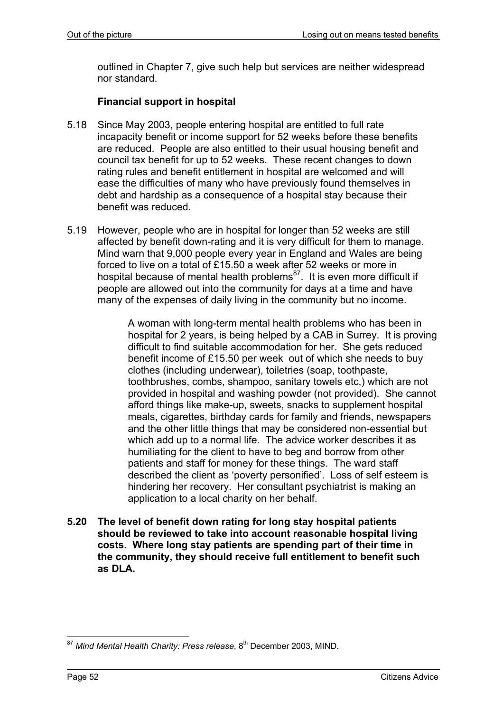outlined in Chapter 7, give such help but services are neither widespread nor standard.

# **Financial support in hospital**

- 5.18 Since May 2003, people entering hospital are entitled to full rate incapacity benefit or income support for 52 weeks before these benefits are reduced. People are also entitled to their usual housing benefit and council tax benefit for up to 52 weeks. These recent changes to down rating rules and benefit entitlement in hospital are welcomed and will ease the difficulties of many who have previously found themselves in debt and hardship as a consequence of a hospital stay because their benefit was reduced.
- 5.19 However, people who are in hospital for longer than 52 weeks are still affected by benefit down-rating and it is very difficult for them to manage. Mind warn that 9,000 people every year in England and Wales are being forced to live on a total of £15.50 a week after 52 weeks or more in hospital because of mental health problems<sup>87</sup>. It is even more difficult if people are allowed out into the community for days at a time and have many of the expenses of daily living in the community but no income.

A woman with long-term mental health problems who has been in hospital for 2 years, is being helped by a CAB in Surrey. It is proving difficult to find suitable accommodation for her. She gets reduced benefit income of £15.50 per week out of which she needs to buy clothes (including underwear), toiletries (soap, toothpaste, toothbrushes, combs, shampoo, sanitary towels etc,) which are not provided in hospital and washing powder (not provided). She cannot afford things like make-up, sweets, snacks to supplement hospital meals, cigarettes, birthday cards for family and friends, newspapers and the other little things that may be considered non-essential but which add up to a normal life. The advice worker describes it as humiliating for the client to have to beg and borrow from other patients and staff for money for these things. The ward staff described the client as 'poverty personified'. Loss of self esteem is hindering her recovery. Her consultant psychiatrist is making an application to a local charity on her behalf.

**5.20 The level of benefit down rating for long stay hospital patients should be reviewed to take into account reasonable hospital living costs. Where long stay patients are spending part of their time in the community, they should receive full entitlement to benefit such as DLA.** 

l <sup>87</sup> Mind Mental Health Charity: Press release, 8<sup>th</sup> December 2003, MIND.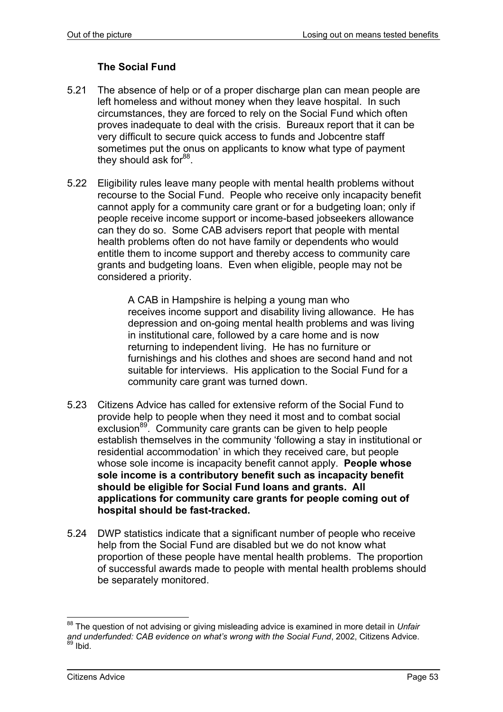# **The Social Fund**

- 5.21 The absence of help or of a proper discharge plan can mean people are left homeless and without money when they leave hospital. In such circumstances, they are forced to rely on the Social Fund which often proves inadequate to deal with the crisis. Bureaux report that it can be very difficult to secure quick access to funds and Jobcentre staff sometimes put the onus on applicants to know what type of payment they should ask for  $88$ .
- 5.22 Eligibility rules leave many people with mental health problems without recourse to the Social Fund. People who receive only incapacity benefit cannot apply for a community care grant or for a budgeting loan; only if people receive income support or income-based jobseekers allowance can they do so. Some CAB advisers report that people with mental health problems often do not have family or dependents who would entitle them to income support and thereby access to community care grants and budgeting loans. Even when eligible, people may not be considered a priority.

A CAB in Hampshire is helping a young man who receives income support and disability living allowance. He has depression and on-going mental health problems and was living in institutional care, followed by a care home and is now returning to independent living. He has no furniture or furnishings and his clothes and shoes are second hand and not suitable for interviews. His application to the Social Fund for a community care grant was turned down.

- 5.23 Citizens Advice has called for extensive reform of the Social Fund to provide help to people when they need it most and to combat social exclusion<sup>89</sup>. Community care grants can be given to help people establish themselves in the community 'following a stay in institutional or residential accommodation' in which they received care, but people whose sole income is incapacity benefit cannot apply. **People whose sole income is a contributory benefit such as incapacity benefit should be eligible for Social Fund loans and grants. All applications for community care grants for people coming out of hospital should be fast-tracked.**
- 5.24 DWP statistics indicate that a significant number of people who receive help from the Social Fund are disabled but we do not know what proportion of these people have mental health problems. The proportion of successful awards made to people with mental health problems should be separately monitored.

l 88 The question of not advising or giving misleading advice is examined in more detail in *Unfair and underfunded: CAB evidence on what's wrong with the Social Fund*, 2002, Citizens Advice.  $89$  Ibid.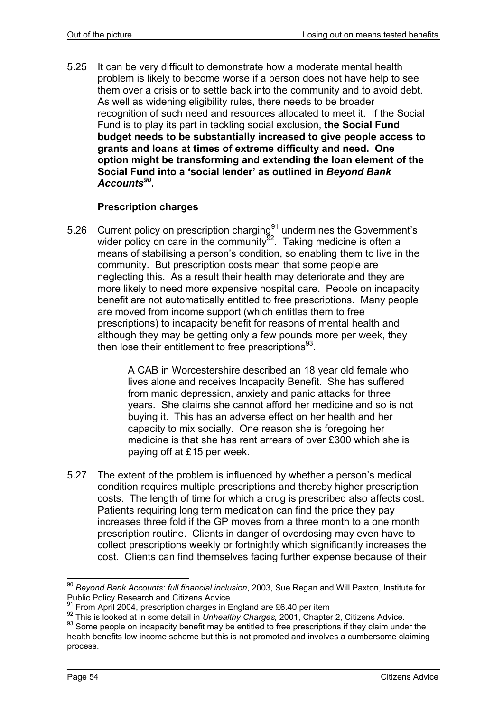5.25 It can be very difficult to demonstrate how a moderate mental health problem is likely to become worse if a person does not have help to see them over a crisis or to settle back into the community and to avoid debt. As well as widening eligibility rules, there needs to be broader recognition of such need and resources allocated to meet it. If the Social Fund is to play its part in tackling social exclusion, **the Social Fund budget needs to be substantially increased to give people access to grants and loans at times of extreme difficulty and need. One option might be transforming and extending the loan element of the Social Fund into a 'social lender' as outlined in** *Beyond Bank Accounts<sup>90</sup>***.** 

### **Prescription charges**

5.26 Current policy on prescription charging $91$  undermines the Government's wider policy on care in the community $92$ . Taking medicine is often a means of stabilising a person's condition, so enabling them to live in the community. But prescription costs mean that some people are neglecting this. As a result their health may deteriorate and they are more likely to need more expensive hospital care. People on incapacity benefit are not automatically entitled to free prescriptions. Many people are moved from income support (which entitles them to free prescriptions) to incapacity benefit for reasons of mental health and although they may be getting only a few pounds more per week, they then lose their entitlement to free prescriptions $93$ .

> A CAB in Worcestershire described an 18 year old female who lives alone and receives Incapacity Benefit. She has suffered from manic depression, anxiety and panic attacks for three years. She claims she cannot afford her medicine and so is not buying it. This has an adverse effect on her health and her capacity to mix socially. One reason she is foregoing her medicine is that she has rent arrears of over £300 which she is paying off at £15 per week.

5.27 The extent of the problem is influenced by whether a person's medical condition requires multiple prescriptions and thereby higher prescription costs. The length of time for which a drug is prescribed also affects cost. Patients requiring long term medication can find the price they pay increases three fold if the GP moves from a three month to a one month prescription routine. Clients in danger of overdosing may even have to collect prescriptions weekly or fortnightly which significantly increases the cost. Clients can find themselves facing further expense because of their

l <sup>90</sup> *Beyond Bank Accounts: full financial inclusion*, 2003, Sue Regan and Will Paxton, Institute for Public Policy Research and Citizens Advice.<br><sup>91</sup> From April 2004, prescription charges in England are £6.40 per item

<sup>&</sup>lt;sup>92</sup> This is looked at in some detail in *Unhealthy Charges,* 2001, Chapter 2, Citizens Advice.<br><sup>93</sup> Some people on incapacity benefit may be entitled to free prescriptions if they claim under the health benefits low income scheme but this is not promoted and involves a cumbersome claiming process.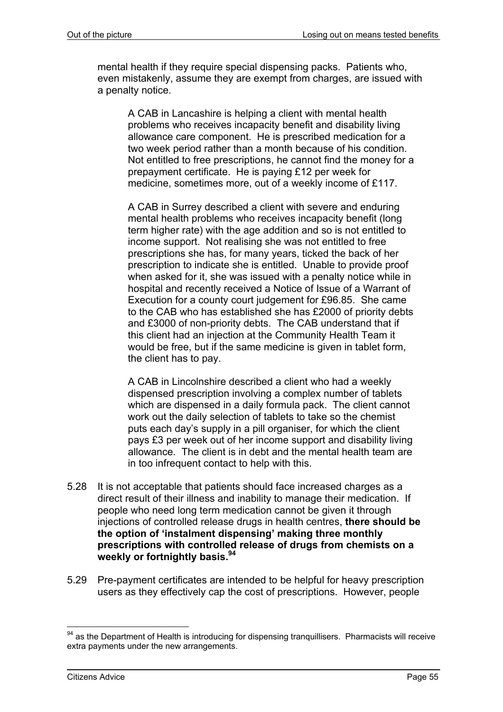mental health if they require special dispensing packs. Patients who, even mistakenly, assume they are exempt from charges, are issued with a penalty notice.

A CAB in Lancashire is helping a client with mental health problems who receives incapacity benefit and disability living allowance care component. He is prescribed medication for a two week period rather than a month because of his condition. Not entitled to free prescriptions, he cannot find the money for a prepayment certificate. He is paying £12 per week for medicine, sometimes more, out of a weekly income of £117.

A CAB in Surrey described a client with severe and enduring mental health problems who receives incapacity benefit (long term higher rate) with the age addition and so is not entitled to income support. Not realising she was not entitled to free prescriptions she has, for many years, ticked the back of her prescription to indicate she is entitled. Unable to provide proof when asked for it, she was issued with a penalty notice while in hospital and recently received a Notice of Issue of a Warrant of Execution for a county court judgement for £96.85. She came to the CAB who has established she has £2000 of priority debts and £3000 of non-priority debts. The CAB understand that if this client had an injection at the Community Health Team it would be free, but if the same medicine is given in tablet form, the client has to pay.

A CAB in Lincolnshire described a client who had a weekly dispensed prescription involving a complex number of tablets which are dispensed in a daily formula pack. The client cannot work out the daily selection of tablets to take so the chemist puts each day's supply in a pill organiser, for which the client pays £3 per week out of her income support and disability living allowance. The client is in debt and the mental health team are in too infrequent contact to help with this.

- 5.28 It is not acceptable that patients should face increased charges as a direct result of their illness and inability to manage their medication. If people who need long term medication cannot be given it through injections of controlled release drugs in health centres, **there should be the option of 'instalment dispensing' making three monthly prescriptions with controlled release of drugs from chemists on a weekly or fortnightly basis.94**
- 5.29 Pre-payment certificates are intended to be helpful for heavy prescription users as they effectively cap the cost of prescriptions. However, people

 $94$  as the Department of Health is introducing for dispensing tranquillisers. Pharmacists will receive extra payments under the new arrangements.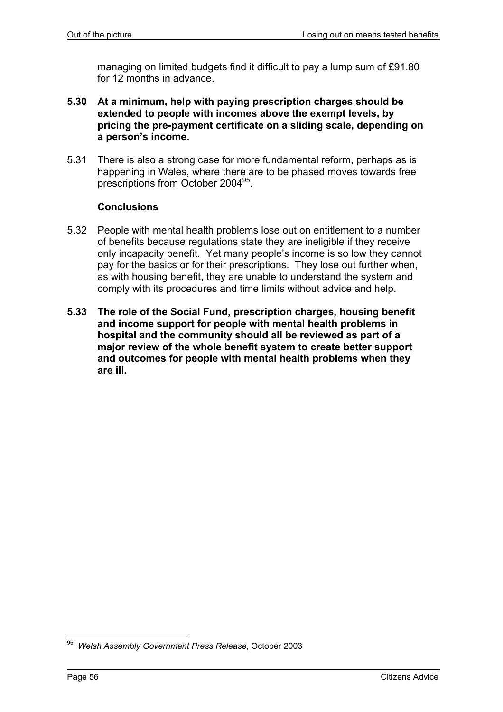managing on limited budgets find it difficult to pay a lump sum of £91.80 for 12 months in advance.

- **5.30 At a minimum, help with paying prescription charges should be extended to people with incomes above the exempt levels, by pricing the pre-payment certificate on a sliding scale, depending on a person's income.**
- 5.31 There is also a strong case for more fundamental reform, perhaps as is happening in Wales, where there are to be phased moves towards free prescriptions from October 2004<sup>95</sup>.

### **Conclusions**

- 5.32 People with mental health problems lose out on entitlement to a number of benefits because regulations state they are ineligible if they receive only incapacity benefit. Yet many people's income is so low they cannot pay for the basics or for their prescriptions. They lose out further when, as with housing benefit, they are unable to understand the system and comply with its procedures and time limits without advice and help.
- **5.33 The role of the Social Fund, prescription charges, housing benefit and income support for people with mental health problems in hospital and the community should all be reviewed as part of a major review of the whole benefit system to create better support and outcomes for people with mental health problems when they are ill.**

l 95 *Welsh Assembly Government Press Release*, October 2003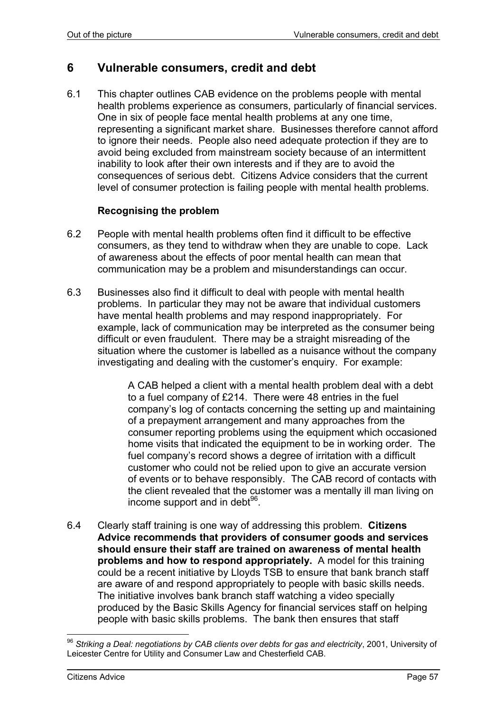# **6 Vulnerable consumers, credit and debt**

6.1 This chapter outlines CAB evidence on the problems people with mental health problems experience as consumers, particularly of financial services. One in six of people face mental health problems at any one time, representing a significant market share. Businesses therefore cannot afford to ignore their needs. People also need adequate protection if they are to avoid being excluded from mainstream society because of an intermittent inability to look after their own interests and if they are to avoid the consequences of serious debt. Citizens Advice considers that the current level of consumer protection is failing people with mental health problems.

### **Recognising the problem**

- 6.2 People with mental health problems often find it difficult to be effective consumers, as they tend to withdraw when they are unable to cope. Lack of awareness about the effects of poor mental health can mean that communication may be a problem and misunderstandings can occur.
- 6.3 Businesses also find it difficult to deal with people with mental health problems. In particular they may not be aware that individual customers have mental health problems and may respond inappropriately. For example, lack of communication may be interpreted as the consumer being difficult or even fraudulent. There may be a straight misreading of the situation where the customer is labelled as a nuisance without the company investigating and dealing with the customer's enquiry. For example:

A CAB helped a client with a mental health problem deal with a debt to a fuel company of £214. There were 48 entries in the fuel company's log of contacts concerning the setting up and maintaining of a prepayment arrangement and many approaches from the consumer reporting problems using the equipment which occasioned home visits that indicated the equipment to be in working order. The fuel company's record shows a degree of irritation with a difficult customer who could not be relied upon to give an accurate version of events or to behave responsibly. The CAB record of contacts with the client revealed that the customer was a mentally ill man living on income support and in debt $96$ .

6.4 Clearly staff training is one way of addressing this problem. **Citizens Advice recommends that providers of consumer goods and services should ensure their staff are trained on awareness of mental health problems and how to respond appropriately.** A model for this training could be a recent initiative by Lloyds TSB to ensure that bank branch staff are aware of and respond appropriately to people with basic skills needs. The initiative involves bank branch staff watching a video specially produced by the Basic Skills Agency for financial services staff on helping people with basic skills problems. The bank then ensures that staff

<sup>96</sup> *Striking a Deal: negotiations by CAB clients over debts for gas and electricity*, 2001, University of Leicester Centre for Utility and Consumer Law and Chesterfield CAB.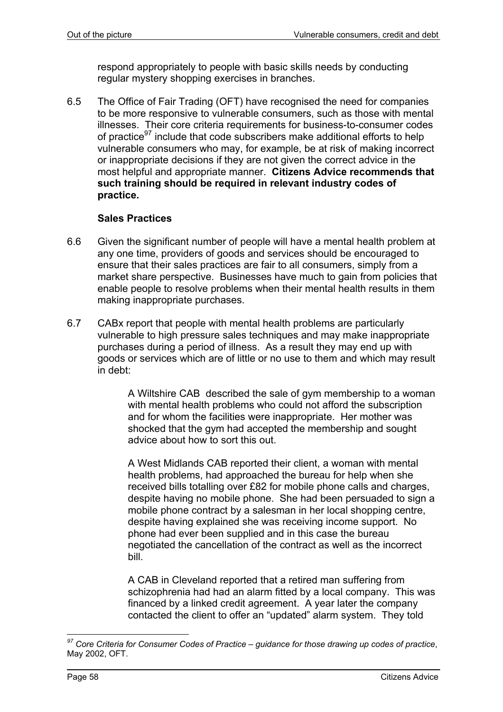respond appropriately to people with basic skills needs by conducting regular mystery shopping exercises in branches.

6.5 The Office of Fair Trading (OFT) have recognised the need for companies to be more responsive to vulnerable consumers, such as those with mental illnesses. Their core criteria requirements for business-to-consumer codes of practice<sup>97</sup> include that code subscribers make additional efforts to help vulnerable consumers who may, for example, be at risk of making incorrect or inappropriate decisions if they are not given the correct advice in the most helpful and appropriate manner. **Citizens Advice recommends that such training should be required in relevant industry codes of practice.**

### **Sales Practices**

- 6.6 Given the significant number of people will have a mental health problem at any one time, providers of goods and services should be encouraged to ensure that their sales practices are fair to all consumers, simply from a market share perspective. Businesses have much to gain from policies that enable people to resolve problems when their mental health results in them making inappropriate purchases.
- 6.7 CABx report that people with mental health problems are particularly vulnerable to high pressure sales techniques and may make inappropriate purchases during a period of illness. As a result they may end up with goods or services which are of little or no use to them and which may result in debt:

A Wiltshire CAB described the sale of gym membership to a woman with mental health problems who could not afford the subscription and for whom the facilities were inappropriate. Her mother was shocked that the gym had accepted the membership and sought advice about how to sort this out.

A West Midlands CAB reported their client, a woman with mental health problems, had approached the bureau for help when she received bills totalling over £82 for mobile phone calls and charges, despite having no mobile phone. She had been persuaded to sign a mobile phone contract by a salesman in her local shopping centre, despite having explained she was receiving income support. No phone had ever been supplied and in this case the bureau negotiated the cancellation of the contract as well as the incorrect bill.

A CAB in Cleveland reported that a retired man suffering from schizophrenia had had an alarm fitted by a local company. This was financed by a linked credit agreement. A year later the company contacted the client to offer an "updated" alarm system. They told

*<sup>97</sup> Core Criteria for Consumer Codes of Practice – guidance for those drawing up codes of practice*, May 2002, OFT.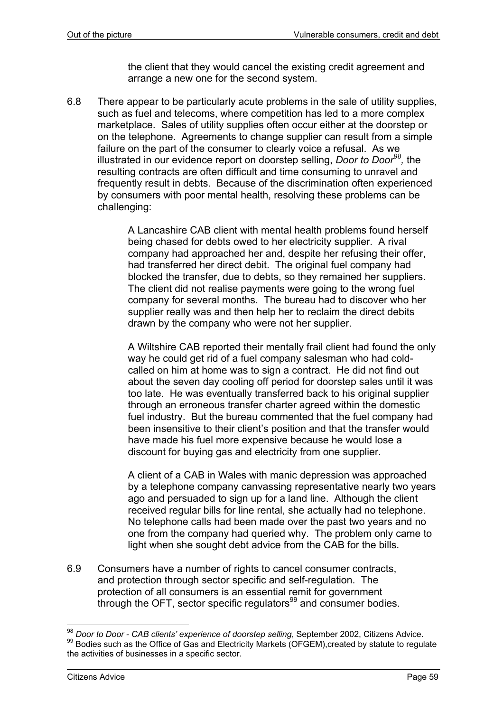the client that they would cancel the existing credit agreement and arrange a new one for the second system.

6.8 There appear to be particularly acute problems in the sale of utility supplies, such as fuel and telecoms, where competition has led to a more complex marketplace. Sales of utility supplies often occur either at the doorstep or on the telephone. Agreements to change supplier can result from a simple failure on the part of the consumer to clearly voice a refusal. As we illustrated in our evidence report on doorstep selling, *Door to Door98,* the resulting contracts are often difficult and time consuming to unravel and frequently result in debts. Because of the discrimination often experienced by consumers with poor mental health, resolving these problems can be challenging:

> A Lancashire CAB client with mental health problems found herself being chased for debts owed to her electricity supplier. A rival company had approached her and, despite her refusing their offer, had transferred her direct debit. The original fuel company had blocked the transfer, due to debts, so they remained her suppliers. The client did not realise payments were going to the wrong fuel company for several months. The bureau had to discover who her supplier really was and then help her to reclaim the direct debits drawn by the company who were not her supplier.

A Wiltshire CAB reported their mentally frail client had found the only way he could get rid of a fuel company salesman who had coldcalled on him at home was to sign a contract. He did not find out about the seven day cooling off period for doorstep sales until it was too late. He was eventually transferred back to his original supplier through an erroneous transfer charter agreed within the domestic fuel industry. But the bureau commented that the fuel company had been insensitive to their client's position and that the transfer would have made his fuel more expensive because he would lose a discount for buying gas and electricity from one supplier.

A client of a CAB in Wales with manic depression was approached by a telephone company canvassing representative nearly two years ago and persuaded to sign up for a land line. Although the client received regular bills for line rental, she actually had no telephone. No telephone calls had been made over the past two years and no one from the company had queried why. The problem only came to light when she sought debt advice from the CAB for the bills.

6.9 Consumers have a number of rights to cancel consumer contracts, and protection through sector specific and self-regulation. The protection of all consumers is an essential remit for government through the OFT, sector specific regulators<sup>99</sup> and consumer bodies.

<sup>&</sup>lt;sup>98</sup> Door to Door - CAB clients' experience of doorstep selling, September 2002, Citizens Advice. <sup>99</sup> Bodies such as the Office of Gas and Electricity Markets (OFGEM), created by statute to regulate the activities of businesses in a specific sector.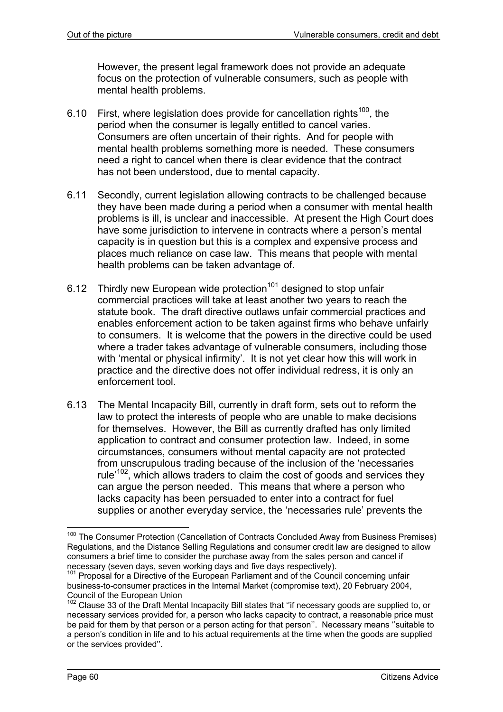However, the present legal framework does not provide an adequate focus on the protection of vulnerable consumers, such as people with mental health problems.

- 6.10 First, where legislation does provide for cancellation rights<sup>100</sup>, the period when the consumer is legally entitled to cancel varies. Consumers are often uncertain of their rights. And for people with mental health problems something more is needed. These consumers need a right to cancel when there is clear evidence that the contract has not been understood, due to mental capacity.
- 6.11 Secondly, current legislation allowing contracts to be challenged because they have been made during a period when a consumer with mental health problems is ill, is unclear and inaccessible. At present the High Court does have some jurisdiction to intervene in contracts where a person's mental capacity is in question but this is a complex and expensive process and places much reliance on case law. This means that people with mental health problems can be taken advantage of.
- 6.12 Thirdly new European wide protection<sup>101</sup> designed to stop unfair commercial practices will take at least another two years to reach the statute book. The draft directive outlaws unfair commercial practices and enables enforcement action to be taken against firms who behave unfairly to consumers. It is welcome that the powers in the directive could be used where a trader takes advantage of vulnerable consumers, including those with 'mental or physical infirmity'. It is not yet clear how this will work in practice and the directive does not offer individual redress, it is only an enforcement tool.
- 6.13 The Mental Incapacity Bill, currently in draft form, sets out to reform the law to protect the interests of people who are unable to make decisions for themselves. However, the Bill as currently drafted has only limited application to contract and consumer protection law. Indeed, in some circumstances, consumers without mental capacity are not protected from unscrupulous trading because of the inclusion of the 'necessaries rule<sup>'102</sup>, which allows traders to claim the cost of goods and services they can argue the person needed. This means that where a person who lacks capacity has been persuaded to enter into a contract for fuel supplies or another everyday service, the 'necessaries rule' prevents the

 $\overline{a}$ 

<sup>&</sup>lt;sup>100</sup> The Consumer Protection (Cancellation of Contracts Concluded Away from Business Premises) Regulations, and the Distance Selling Regulations and consumer credit law are designed to allow consumers a brief time to consider the purchase away from the sales person and cancel if necessary (seven days, seven working days and five days respectively).

 $101$  Proposal for a Directive of the European Parliament and of the Council concerning unfair business-to-consumer practices in the Internal Market (compromise text), 20 February 2004, Council of the European Union

<sup>&</sup>lt;sup>102</sup> Clause 33 of the Draft Mental Incapacity Bill states that "if necessary goods are supplied to, or necessary services provided for, a person who lacks capacity to contract, a reasonable price must be paid for them by that person or a person acting for that person''. Necessary means ''suitable to a person's condition in life and to his actual requirements at the time when the goods are supplied or the services provided''.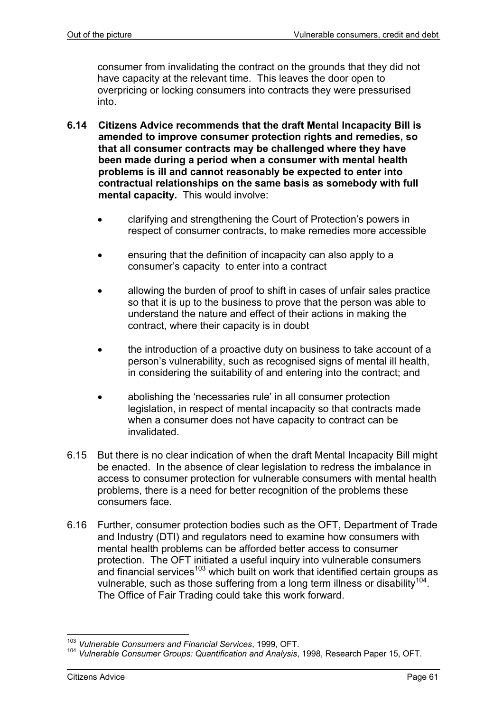consumer from invalidating the contract on the grounds that they did not have capacity at the relevant time. This leaves the door open to overpricing or locking consumers into contracts they were pressurised into.

- **6.14 Citizens Advice recommends that the draft Mental Incapacity Bill is amended to improve consumer protection rights and remedies, so that all consumer contracts may be challenged where they have been made during a period when a consumer with mental health problems is ill and cannot reasonably be expected to enter into contractual relationships on the same basis as somebody with full mental capacity.** This would involve:
	- clarifying and strengthening the Court of Protection's powers in respect of consumer contracts, to make remedies more accessible
	- ensuring that the definition of incapacity can also apply to a consumer's capacity to enter into a contract
	- allowing the burden of proof to shift in cases of unfair sales practice so that it is up to the business to prove that the person was able to understand the nature and effect of their actions in making the contract, where their capacity is in doubt
	- the introduction of a proactive duty on business to take account of a person's vulnerability, such as recognised signs of mental ill health, in considering the suitability of and entering into the contract; and
	- abolishing the 'necessaries rule' in all consumer protection legislation, in respect of mental incapacity so that contracts made when a consumer does not have capacity to contract can be invalidated.
- 6.15 But there is no clear indication of when the draft Mental Incapacity Bill might be enacted. In the absence of clear legislation to redress the imbalance in access to consumer protection for vulnerable consumers with mental health problems, there is a need for better recognition of the problems these consumers face.
- 6.16 Further, consumer protection bodies such as the OFT, Department of Trade and Industry (DTI) and regulators need to examine how consumers with mental health problems can be afforded better access to consumer protection. The OFT initiated a useful inquiry into vulnerable consumers and financial services<sup>103</sup> which built on work that identified certain groups as vulnerable, such as those suffering from a long term illness or disability<sup>104</sup>. The Office of Fair Trading could take this work forward.

<sup>103</sup> *Vulnerable Consumers and Financial Services*, 1999, OFT.

<sup>104</sup> *Vulnerable Consumer Groups: Quantification and Analysis*, 1998, Research Paper 15, OFT.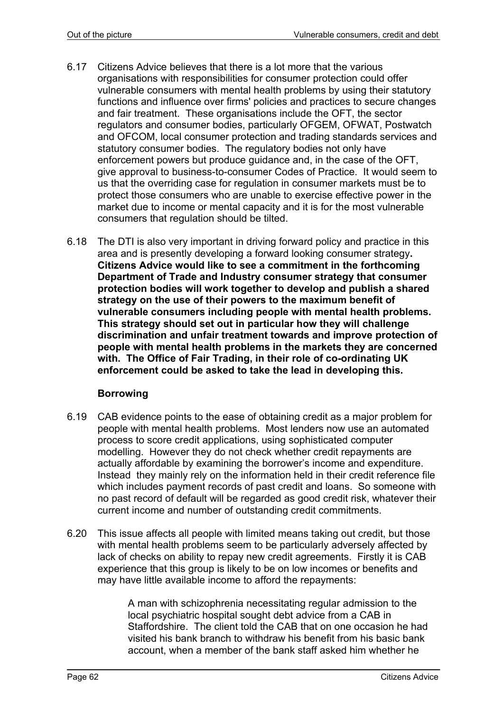- 6.17 Citizens Advice believes that there is a lot more that the various organisations with responsibilities for consumer protection could offer vulnerable consumers with mental health problems by using their statutory functions and influence over firms' policies and practices to secure changes and fair treatment. These organisations include the OFT, the sector regulators and consumer bodies, particularly OFGEM, OFWAT, Postwatch and OFCOM, local consumer protection and trading standards services and statutory consumer bodies. The regulatory bodies not only have enforcement powers but produce guidance and, in the case of the OFT, give approval to business-to-consumer Codes of Practice. It would seem to us that the overriding case for regulation in consumer markets must be to protect those consumers who are unable to exercise effective power in the market due to income or mental capacity and it is for the most vulnerable consumers that regulation should be tilted.
- 6.18 The DTI is also very important in driving forward policy and practice in this area and is presently developing a forward looking consumer strategy**. Citizens Advice would like to see a commitment in the forthcoming Department of Trade and Industry consumer strategy that consumer protection bodies will work together to develop and publish a shared strategy on the use of their powers to the maximum benefit of vulnerable consumers including people with mental health problems. This strategy should set out in particular how they will challenge discrimination and unfair treatment towards and improve protection of people with mental health problems in the markets they are concerned with. The Office of Fair Trading, in their role of co-ordinating UK enforcement could be asked to take the lead in developing this.**

# **Borrowing**

- 6.19 CAB evidence points to the ease of obtaining credit as a major problem for people with mental health problems. Most lenders now use an automated process to score credit applications, using sophisticated computer modelling. However they do not check whether credit repayments are actually affordable by examining the borrower's income and expenditure. Instead they mainly rely on the information held in their credit reference file which includes payment records of past credit and loans. So someone with no past record of default will be regarded as good credit risk, whatever their current income and number of outstanding credit commitments.
- 6.20 This issue affects all people with limited means taking out credit, but those with mental health problems seem to be particularly adversely affected by lack of checks on ability to repay new credit agreements. Firstly it is CAB experience that this group is likely to be on low incomes or benefits and may have little available income to afford the repayments:

A man with schizophrenia necessitating regular admission to the local psychiatric hospital sought debt advice from a CAB in Staffordshire. The client told the CAB that on one occasion he had visited his bank branch to withdraw his benefit from his basic bank account, when a member of the bank staff asked him whether he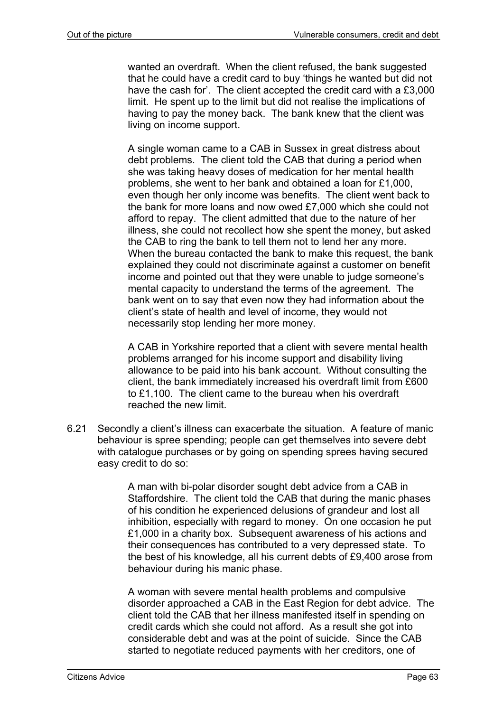wanted an overdraft. When the client refused, the bank suggested that he could have a credit card to buy 'things he wanted but did not have the cash for'. The client accepted the credit card with a £3,000 limit. He spent up to the limit but did not realise the implications of having to pay the money back. The bank knew that the client was living on income support.

A single woman came to a CAB in Sussex in great distress about debt problems. The client told the CAB that during a period when she was taking heavy doses of medication for her mental health problems, she went to her bank and obtained a loan for £1,000, even though her only income was benefits. The client went back to the bank for more loans and now owed £7,000 which she could not afford to repay. The client admitted that due to the nature of her illness, she could not recollect how she spent the money, but asked the CAB to ring the bank to tell them not to lend her any more. When the bureau contacted the bank to make this request, the bank explained they could not discriminate against a customer on benefit income and pointed out that they were unable to judge someone's mental capacity to understand the terms of the agreement. The bank went on to say that even now they had information about the client's state of health and level of income, they would not necessarily stop lending her more money.

A CAB in Yorkshire reported that a client with severe mental health problems arranged for his income support and disability living allowance to be paid into his bank account. Without consulting the client, the bank immediately increased his overdraft limit from £600 to £1,100. The client came to the bureau when his overdraft reached the new limit.

6.21 Secondly a client's illness can exacerbate the situation. A feature of manic behaviour is spree spending; people can get themselves into severe debt with catalogue purchases or by going on spending sprees having secured easy credit to do so:

> A man with bi-polar disorder sought debt advice from a CAB in Staffordshire. The client told the CAB that during the manic phases of his condition he experienced delusions of grandeur and lost all inhibition, especially with regard to money. On one occasion he put £1,000 in a charity box. Subsequent awareness of his actions and their consequences has contributed to a very depressed state. To the best of his knowledge, all his current debts of £9,400 arose from behaviour during his manic phase.

> A woman with severe mental health problems and compulsive disorder approached a CAB in the East Region for debt advice. The client told the CAB that her illness manifested itself in spending on credit cards which she could not afford. As a result she got into considerable debt and was at the point of suicide. Since the CAB started to negotiate reduced payments with her creditors, one of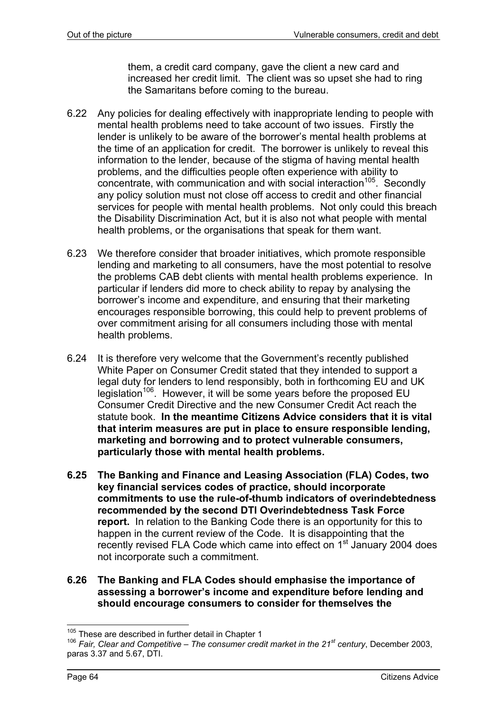them, a credit card company, gave the client a new card and increased her credit limit. The client was so upset she had to ring the Samaritans before coming to the bureau.

- 6.22 Any policies for dealing effectively with inappropriate lending to people with mental health problems need to take account of two issues. Firstly the lender is unlikely to be aware of the borrower's mental health problems at the time of an application for credit. The borrower is unlikely to reveal this information to the lender, because of the stigma of having mental health problems, and the difficulties people often experience with ability to concentrate, with communication and with social interaction<sup>105</sup>. Secondly any policy solution must not close off access to credit and other financial services for people with mental health problems. Not only could this breach the Disability Discrimination Act, but it is also not what people with mental health problems, or the organisations that speak for them want.
- 6.23 We therefore consider that broader initiatives, which promote responsible lending and marketing to all consumers, have the most potential to resolve the problems CAB debt clients with mental health problems experience. In particular if lenders did more to check ability to repay by analysing the borrower's income and expenditure, and ensuring that their marketing encourages responsible borrowing, this could help to prevent problems of over commitment arising for all consumers including those with mental health problems.
- 6.24 It is therefore very welcome that the Government's recently published White Paper on Consumer Credit stated that they intended to support a legal duty for lenders to lend responsibly, both in forthcoming EU and UK legislation<sup>106</sup>. However, it will be some years before the proposed EU Consumer Credit Directive and the new Consumer Credit Act reach the statute book. **In the meantime Citizens Advice considers that it is vital that interim measures are put in place to ensure responsible lending, marketing and borrowing and to protect vulnerable consumers, particularly those with mental health problems.**
- **6.25 The Banking and Finance and Leasing Association (FLA) Codes, two key financial services codes of practice, should incorporate commitments to use the rule-of-thumb indicators of overindebtedness recommended by the second DTI Overindebtedness Task Force report.** In relation to the Banking Code there is an opportunity for this to happen in the current review of the Code. It is disappointing that the recently revised FLA Code which came into effect on 1<sup>st</sup> January 2004 does not incorporate such a commitment.
- **6.26 The Banking and FLA Codes should emphasise the importance of assessing a borrower's income and expenditure before lending and should encourage consumers to consider for themselves the**

<sup>&</sup>lt;sup>105</sup> These are described in further detail in Chapter 1

<sup>&</sup>lt;sup>106</sup> Fair, Clear and Competitive – The consumer credit market in the 21<sup>st</sup> century, December 2003, paras 3.37 and 5.67, DTI.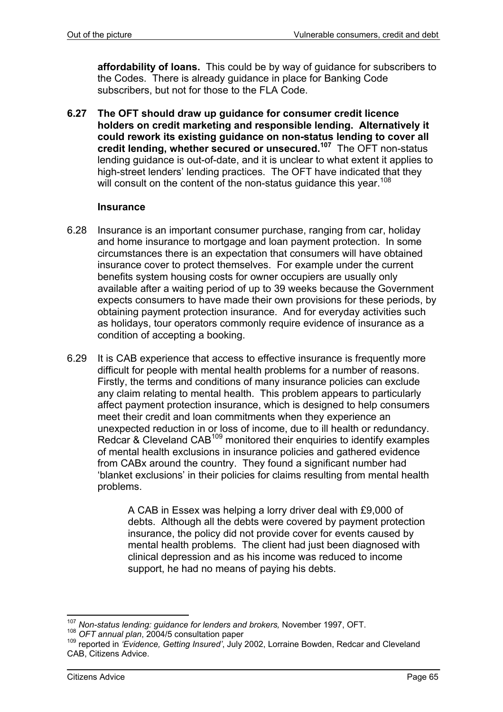**affordability of loans.** This could be by way of guidance for subscribers to the Codes. There is already guidance in place for Banking Code subscribers, but not for those to the FLA Code.

**6.27 The OFT should draw up guidance for consumer credit licence holders on credit marketing and responsible lending. Alternatively it could rework its existing guidance on non-status lending to cover all credit lending, whether secured or unsecured.107** The OFT non-status lending guidance is out-of-date, and it is unclear to what extent it applies to high-street lenders' lending practices. The OFT have indicated that they will consult on the content of the non-status quidance this year.<sup>108</sup>

#### **Insurance**

- 6.28 Insurance is an important consumer purchase, ranging from car, holiday and home insurance to mortgage and loan payment protection. In some circumstances there is an expectation that consumers will have obtained insurance cover to protect themselves. For example under the current benefits system housing costs for owner occupiers are usually only available after a waiting period of up to 39 weeks because the Government expects consumers to have made their own provisions for these periods, by obtaining payment protection insurance. And for everyday activities such as holidays, tour operators commonly require evidence of insurance as a condition of accepting a booking.
- 6.29 It is CAB experience that access to effective insurance is frequently more difficult for people with mental health problems for a number of reasons. Firstly, the terms and conditions of many insurance policies can exclude any claim relating to mental health. This problem appears to particularly affect payment protection insurance, which is designed to help consumers meet their credit and loan commitments when they experience an unexpected reduction in or loss of income, due to ill health or redundancy. Redcar & Cleveland CAB109 monitored their enquiries to identify examples of mental health exclusions in insurance policies and gathered evidence from CABx around the country. They found a significant number had 'blanket exclusions' in their policies for claims resulting from mental health problems.

A CAB in Essex was helping a lorry driver deal with £9,000 of debts. Although all the debts were covered by payment protection insurance, the policy did not provide cover for events caused by mental health problems. The client had just been diagnosed with clinical depression and as his income was reduced to income support, he had no means of paying his debts.

l <sup>107</sup> *Non-status lending: guidance for lenders and brokers,* November 1997, OFT.

<sup>108</sup> *OFT annual plan*, 2004/5 consultation paper<br><sup>109</sup> reported in *'Evidence, Getting Insured'*, July 2002, Lorraine Bowden, Redcar and Cleveland CAB, Citizens Advice.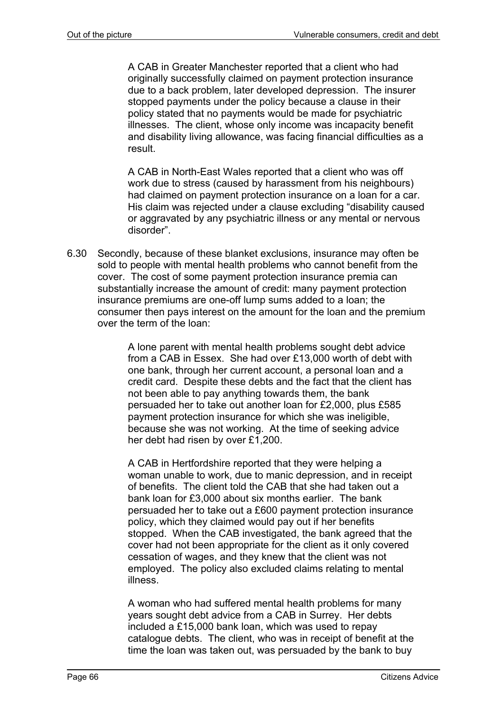A CAB in Greater Manchester reported that a client who had originally successfully claimed on payment protection insurance due to a back problem, later developed depression. The insurer stopped payments under the policy because a clause in their policy stated that no payments would be made for psychiatric illnesses. The client, whose only income was incapacity benefit and disability living allowance, was facing financial difficulties as a result.

A CAB in North-East Wales reported that a client who was off work due to stress (caused by harassment from his neighbours) had claimed on payment protection insurance on a loan for a car. His claim was rejected under a clause excluding "disability caused or aggravated by any psychiatric illness or any mental or nervous disorder".

6.30 Secondly, because of these blanket exclusions, insurance may often be sold to people with mental health problems who cannot benefit from the cover. The cost of some payment protection insurance premia can substantially increase the amount of credit: many payment protection insurance premiums are one-off lump sums added to a loan; the consumer then pays interest on the amount for the loan and the premium over the term of the loan:

> A lone parent with mental health problems sought debt advice from a CAB in Essex. She had over £13,000 worth of debt with one bank, through her current account, a personal loan and a credit card. Despite these debts and the fact that the client has not been able to pay anything towards them, the bank persuaded her to take out another loan for £2,000, plus £585 payment protection insurance for which she was ineligible, because she was not working. At the time of seeking advice her debt had risen by over £1,200.

> A CAB in Hertfordshire reported that they were helping a woman unable to work, due to manic depression, and in receipt of benefits. The client told the CAB that she had taken out a bank loan for £3,000 about six months earlier. The bank persuaded her to take out a £600 payment protection insurance policy, which they claimed would pay out if her benefits stopped. When the CAB investigated, the bank agreed that the cover had not been appropriate for the client as it only covered cessation of wages, and they knew that the client was not employed. The policy also excluded claims relating to mental illness.

> A woman who had suffered mental health problems for many years sought debt advice from a CAB in Surrey. Her debts included a £15,000 bank loan, which was used to repay catalogue debts. The client, who was in receipt of benefit at the time the loan was taken out, was persuaded by the bank to buy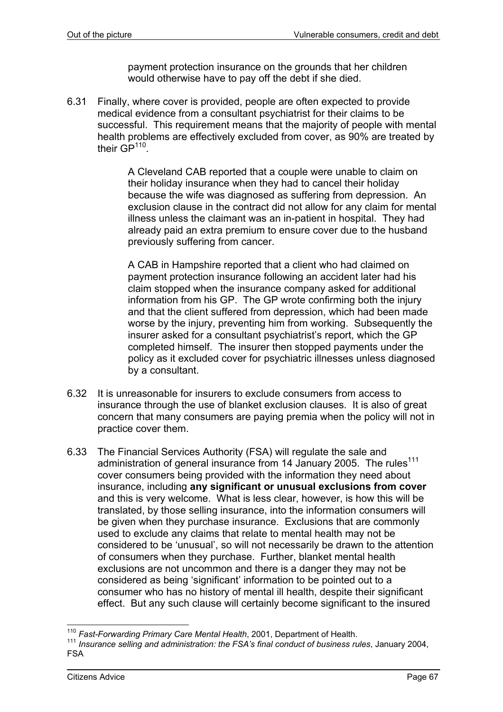payment protection insurance on the grounds that her children would otherwise have to pay off the debt if she died.

6.31 Finally, where cover is provided, people are often expected to provide medical evidence from a consultant psychiatrist for their claims to be successful. This requirement means that the majority of people with mental health problems are effectively excluded from cover, as 90% are treated by their GP<sup>110</sup>.

> A Cleveland CAB reported that a couple were unable to claim on their holiday insurance when they had to cancel their holiday because the wife was diagnosed as suffering from depression. An exclusion clause in the contract did not allow for any claim for mental illness unless the claimant was an in-patient in hospital. They had already paid an extra premium to ensure cover due to the husband previously suffering from cancer.

> A CAB in Hampshire reported that a client who had claimed on payment protection insurance following an accident later had his claim stopped when the insurance company asked for additional information from his GP. The GP wrote confirming both the injury and that the client suffered from depression, which had been made worse by the injury, preventing him from working. Subsequently the insurer asked for a consultant psychiatrist's report, which the GP completed himself. The insurer then stopped payments under the policy as it excluded cover for psychiatric illnesses unless diagnosed by a consultant.

- 6.32 It is unreasonable for insurers to exclude consumers from access to insurance through the use of blanket exclusion clauses. It is also of great concern that many consumers are paying premia when the policy will not in practice cover them.
- 6.33 The Financial Services Authority (FSA) will regulate the sale and administration of general insurance from 14 January 2005. The rules<sup>111</sup> cover consumers being provided with the information they need about insurance, including **any significant or unusual exclusions from cover** and this is very welcome. What is less clear, however, is how this will be translated, by those selling insurance, into the information consumers will be given when they purchase insurance. Exclusions that are commonly used to exclude any claims that relate to mental health may not be considered to be 'unusual', so will not necessarily be drawn to the attention of consumers when they purchase. Further, blanket mental health exclusions are not uncommon and there is a danger they may not be considered as being 'significant' information to be pointed out to a consumer who has no history of mental ill health, despite their significant effect. But any such clause will certainly become significant to the insured

<sup>&</sup>lt;sup>110</sup> Fast-Forwarding Primary Care Mental Health, 2001, Department of Health.

<sup>&</sup>lt;sup>111</sup> Insurance selling and administration: the FSA's final conduct of business rules, January 2004, FSA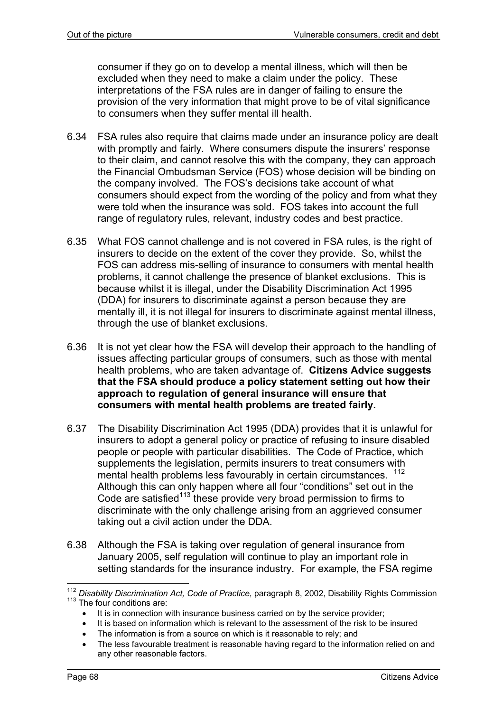consumer if they go on to develop a mental illness, which will then be excluded when they need to make a claim under the policy. These interpretations of the FSA rules are in danger of failing to ensure the provision of the very information that might prove to be of vital significance to consumers when they suffer mental ill health.

- 6.34 FSA rules also require that claims made under an insurance policy are dealt with promptly and fairly. Where consumers dispute the insurers' response to their claim, and cannot resolve this with the company, they can approach the Financial Ombudsman Service (FOS) whose decision will be binding on the company involved. The FOS's decisions take account of what consumers should expect from the wording of the policy and from what they were told when the insurance was sold. FOS takes into account the full range of regulatory rules, relevant, industry codes and best practice.
- 6.35 What FOS cannot challenge and is not covered in FSA rules, is the right of insurers to decide on the extent of the cover they provide. So, whilst the FOS can address mis-selling of insurance to consumers with mental health problems, it cannot challenge the presence of blanket exclusions. This is because whilst it is illegal, under the Disability Discrimination Act 1995 (DDA) for insurers to discriminate against a person because they are mentally ill, it is not illegal for insurers to discriminate against mental illness, through the use of blanket exclusions.
- 6.36 It is not yet clear how the FSA will develop their approach to the handling of issues affecting particular groups of consumers, such as those with mental health problems, who are taken advantage of. **Citizens Advice suggests that the FSA should produce a policy statement setting out how their approach to regulation of general insurance will ensure that consumers with mental health problems are treated fairly.**
- 6.37 The Disability Discrimination Act 1995 (DDA) provides that it is unlawful for insurers to adopt a general policy or practice of refusing to insure disabled people or people with particular disabilities. The Code of Practice, which supplements the legislation, permits insurers to treat consumers with mental health problems less favourably in certain circumstances. <sup>112</sup> Although this can only happen where all four "conditions" set out in the Code are satisfied $113$  these provide very broad permission to firms to discriminate with the only challenge arising from an aggrieved consumer taking out a civil action under the DDA.
- 6.38 Although the FSA is taking over regulation of general insurance from January 2005, self regulation will continue to play an important role in setting standards for the insurance industry. For example, the FSA regime

l <sup>112</sup> Disability Discrimination Act, Code of Practice, paragraph 8, 2002, Disability Rights Commission 113 The four conditions are:

It is in connection with insurance business carried on by the service provider;

It is based on information which is relevant to the assessment of the risk to be insured

<sup>•</sup> The information is from a source on which is it reasonable to rely; and

<sup>•</sup> The less favourable treatment is reasonable having regard to the information relied on and any other reasonable factors.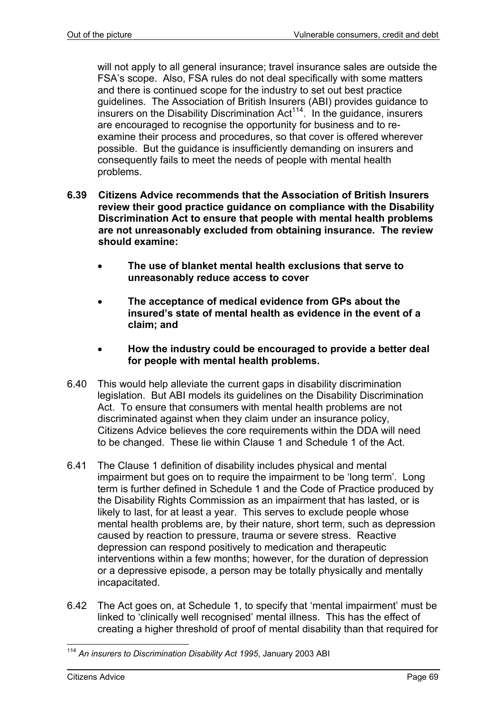will not apply to all general insurance; travel insurance sales are outside the FSA's scope. Also, FSA rules do not deal specifically with some matters and there is continued scope for the industry to set out best practice guidelines. The Association of British Insurers (ABI) provides guidance to insurers on the Disability Discrimination  $Act^{114}$ . In the guidance, insurers are encouraged to recognise the opportunity for business and to reexamine their process and procedures, so that cover is offered wherever possible. But the guidance is insufficiently demanding on insurers and consequently fails to meet the needs of people with mental health problems.

- **6.39 Citizens Advice recommends that the Association of British Insurers review their good practice guidance on compliance with the Disability Discrimination Act to ensure that people with mental health problems are not unreasonably excluded from obtaining insurance. The review should examine:** 
	- **The use of blanket mental health exclusions that serve to unreasonably reduce access to cover**
	- **The acceptance of medical evidence from GPs about the insured's state of mental health as evidence in the event of a claim; and**
	- **How the industry could be encouraged to provide a better deal for people with mental health problems.**
- 6.40 This would help alleviate the current gaps in disability discrimination legislation. But ABI models its guidelines on the Disability Discrimination Act. To ensure that consumers with mental health problems are not discriminated against when they claim under an insurance policy, Citizens Advice believes the core requirements within the DDA will need to be changed. These lie within Clause 1 and Schedule 1 of the Act.
- 6.41 The Clause 1 definition of disability includes physical and mental impairment but goes on to require the impairment to be 'long term'. Long term is further defined in Schedule 1 and the Code of Practice produced by the Disability Rights Commission as an impairment that has lasted, or is likely to last, for at least a year. This serves to exclude people whose mental health problems are, by their nature, short term, such as depression caused by reaction to pressure, trauma or severe stress. Reactive depression can respond positively to medication and therapeutic interventions within a few months; however, for the duration of depression or a depressive episode, a person may be totally physically and mentally incapacitated.
- 6.42 The Act goes on, at Schedule 1, to specify that 'mental impairment' must be linked to 'clinically well recognised' mental illness. This has the effect of creating a higher threshold of proof of mental disability than that required for

l <sup>114</sup> *An insurers to Discrimination Disability Act 1995*, January 2003 ABI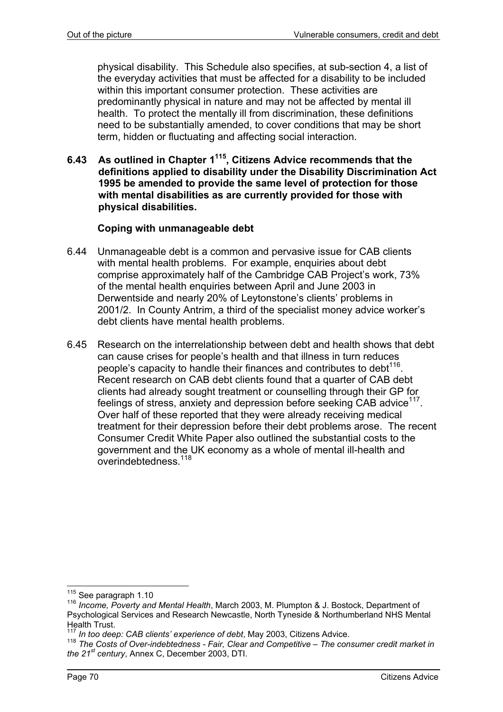physical disability. This Schedule also specifies, at sub-section 4, a list of the everyday activities that must be affected for a disability to be included within this important consumer protection. These activities are predominantly physical in nature and may not be affected by mental ill health. To protect the mentally ill from discrimination, these definitions need to be substantially amended, to cover conditions that may be short term, hidden or fluctuating and affecting social interaction.

**6.43 As outlined in Chapter 1115, Citizens Advice recommends that the definitions applied to disability under the Disability Discrimination Act 1995 be amended to provide the same level of protection for those with mental disabilities as are currently provided for those with physical disabilities.** 

# **Coping with unmanageable debt**

- 6.44 Unmanageable debt is a common and pervasive issue for CAB clients with mental health problems. For example, enquiries about debt comprise approximately half of the Cambridge CAB Project's work, 73% of the mental health enquiries between April and June 2003 in Derwentside and nearly 20% of Leytonstone's clients' problems in 2001/2. In County Antrim, a third of the specialist money advice worker's debt clients have mental health problems.
- 6.45 Research on the interrelationship between debt and health shows that debt can cause crises for people's health and that illness in turn reduces people's capacity to handle their finances and contributes to debt<sup>116</sup>. Recent research on CAB debt clients found that a quarter of CAB debt clients had already sought treatment or counselling through their GP for feelings of stress, anxiety and depression before seeking CAB advice<sup>117</sup>. Over half of these reported that they were already receiving medical treatment for their depression before their debt problems arose. The recent Consumer Credit White Paper also outlined the substantial costs to the government and the UK economy as a whole of mental ill-health and overindebtedness<sup>118</sup>

 $115$  See paragraph 1.10

<sup>&</sup>lt;sup>116</sup> Income. Poverty and Mental Health, March 2003, M. Plumpton & J. Bostock, Department of Psychological Services and Research Newcastle, North Tyneside & Northumberland NHS Mental Health Trust.<br><sup>117</sup> In too deep: CAB clients' experience of debt. May 2003. Citizens Advice.

<sup>&</sup>lt;sup>118</sup> The Costs of Over-indebtedness - Fair, Clear and Competitive – The consumer credit market in *the 21st century*, Annex C, December 2003, DTI.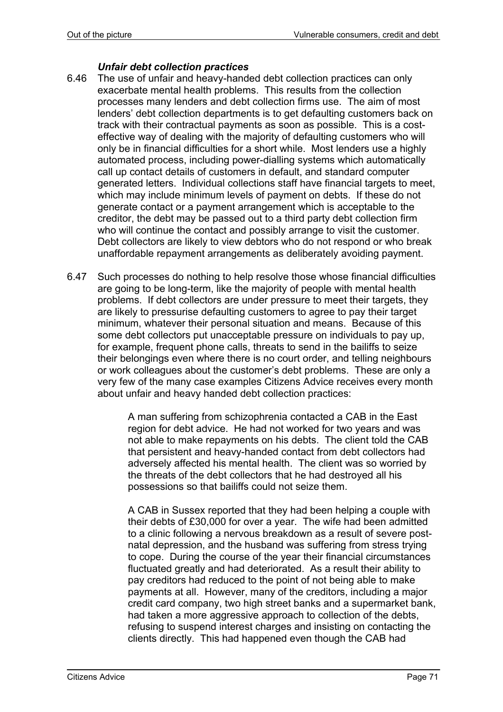### *Unfair debt collection practices*

- 6.46 The use of unfair and heavy-handed debt collection practices can only exacerbate mental health problems. This results from the collection processes many lenders and debt collection firms use. The aim of most lenders' debt collection departments is to get defaulting customers back on track with their contractual payments as soon as possible. This is a costeffective way of dealing with the majority of defaulting customers who will only be in financial difficulties for a short while. Most lenders use a highly automated process, including power-dialling systems which automatically call up contact details of customers in default, and standard computer generated letters. Individual collections staff have financial targets to meet, which may include minimum levels of payment on debts. If these do not generate contact or a payment arrangement which is acceptable to the creditor, the debt may be passed out to a third party debt collection firm who will continue the contact and possibly arrange to visit the customer. Debt collectors are likely to view debtors who do not respond or who break unaffordable repayment arrangements as deliberately avoiding payment.
- 6.47 Such processes do nothing to help resolve those whose financial difficulties are going to be long-term, like the majority of people with mental health problems. If debt collectors are under pressure to meet their targets, they are likely to pressurise defaulting customers to agree to pay their target minimum, whatever their personal situation and means. Because of this some debt collectors put unacceptable pressure on individuals to pay up, for example, frequent phone calls, threats to send in the bailiffs to seize their belongings even where there is no court order, and telling neighbours or work colleagues about the customer's debt problems. These are only a very few of the many case examples Citizens Advice receives every month about unfair and heavy handed debt collection practices:

A man suffering from schizophrenia contacted a CAB in the East region for debt advice. He had not worked for two years and was not able to make repayments on his debts. The client told the CAB that persistent and heavy-handed contact from debt collectors had adversely affected his mental health. The client was so worried by the threats of the debt collectors that he had destroyed all his possessions so that bailiffs could not seize them.

A CAB in Sussex reported that they had been helping a couple with their debts of £30,000 for over a year. The wife had been admitted to a clinic following a nervous breakdown as a result of severe postnatal depression, and the husband was suffering from stress trying to cope. During the course of the year their financial circumstances fluctuated greatly and had deteriorated. As a result their ability to pay creditors had reduced to the point of not being able to make payments at all. However, many of the creditors, including a major credit card company, two high street banks and a supermarket bank, had taken a more aggressive approach to collection of the debts, refusing to suspend interest charges and insisting on contacting the clients directly. This had happened even though the CAB had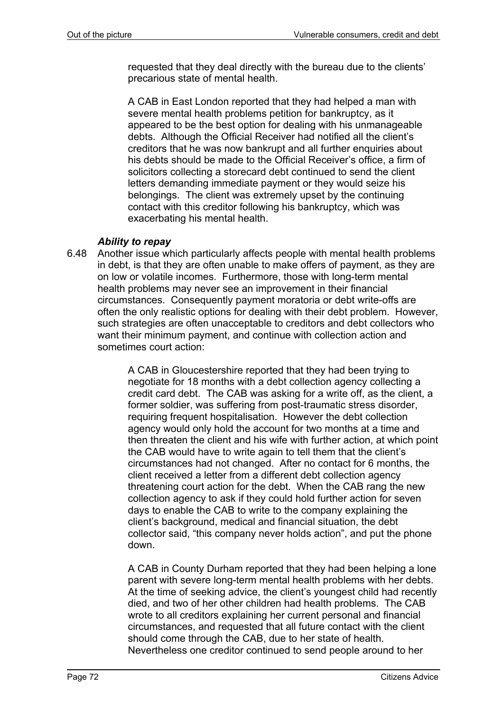requested that they deal directly with the bureau due to the clients' precarious state of mental health.

A CAB in East London reported that they had helped a man with severe mental health problems petition for bankruptcy, as it appeared to be the best option for dealing with his unmanageable debts. Although the Official Receiver had notified all the client's creditors that he was now bankrupt and all further enquiries about his debts should be made to the Official Receiver's office, a firm of solicitors collecting a storecard debt continued to send the client letters demanding immediate payment or they would seize his belongings. The client was extremely upset by the continuing contact with this creditor following his bankruptcy, which was exacerbating his mental health.

### *Ability to repay*

6.48 Another issue which particularly affects people with mental health problems in debt, is that they are often unable to make offers of payment, as they are on low or volatile incomes. Furthermore, those with long-term mental health problems may never see an improvement in their financial circumstances. Consequently payment moratoria or debt write-offs are often the only realistic options for dealing with their debt problem. However, such strategies are often unacceptable to creditors and debt collectors who want their minimum payment, and continue with collection action and sometimes court action:

> A CAB in Gloucestershire reported that they had been trying to negotiate for 18 months with a debt collection agency collecting a credit card debt. The CAB was asking for a write off, as the client, a former soldier, was suffering from post-traumatic stress disorder, requiring frequent hospitalisation. However the debt collection agency would only hold the account for two months at a time and then threaten the client and his wife with further action, at which point the CAB would have to write again to tell them that the client's circumstances had not changed. After no contact for 6 months, the client received a letter from a different debt collection agency threatening court action for the debt. When the CAB rang the new collection agency to ask if they could hold further action for seven days to enable the CAB to write to the company explaining the client's background, medical and financial situation, the debt collector said, "this company never holds action", and put the phone down.

> A CAB in County Durham reported that they had been helping a lone parent with severe long-term mental health problems with her debts. At the time of seeking advice, the client's youngest child had recently died, and two of her other children had health problems. The CAB wrote to all creditors explaining her current personal and financial circumstances, and requested that all future contact with the client should come through the CAB, due to her state of health. Nevertheless one creditor continued to send people around to her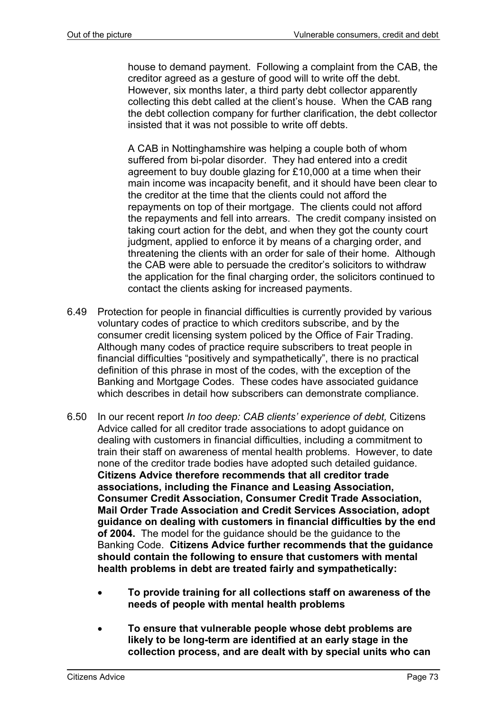house to demand payment. Following a complaint from the CAB, the creditor agreed as a gesture of good will to write off the debt. However, six months later, a third party debt collector apparently collecting this debt called at the client's house. When the CAB rang the debt collection company for further clarification, the debt collector insisted that it was not possible to write off debts.

A CAB in Nottinghamshire was helping a couple both of whom suffered from bi-polar disorder. They had entered into a credit agreement to buy double glazing for £10,000 at a time when their main income was incapacity benefit, and it should have been clear to the creditor at the time that the clients could not afford the repayments on top of their mortgage. The clients could not afford the repayments and fell into arrears. The credit company insisted on taking court action for the debt, and when they got the county court judgment, applied to enforce it by means of a charging order, and threatening the clients with an order for sale of their home. Although the CAB were able to persuade the creditor's solicitors to withdraw the application for the final charging order, the solicitors continued to contact the clients asking for increased payments.

- 6.49 Protection for people in financial difficulties is currently provided by various voluntary codes of practice to which creditors subscribe, and by the consumer credit licensing system policed by the Office of Fair Trading. Although many codes of practice require subscribers to treat people in financial difficulties "positively and sympathetically", there is no practical definition of this phrase in most of the codes, with the exception of the Banking and Mortgage Codes. These codes have associated guidance which describes in detail how subscribers can demonstrate compliance.
- 6.50 In our recent report *In too deep: CAB clients' experience of debt,* Citizens Advice called for all creditor trade associations to adopt guidance on dealing with customers in financial difficulties, including a commitment to train their staff on awareness of mental health problems. However, to date none of the creditor trade bodies have adopted such detailed guidance. **Citizens Advice therefore recommends that all creditor trade associations, including the Finance and Leasing Association, Consumer Credit Association, Consumer Credit Trade Association, Mail Order Trade Association and Credit Services Association, adopt guidance on dealing with customers in financial difficulties by the end of 2004.** The model for the guidance should be the guidance to the Banking Code. **Citizens Advice further recommends that the guidance should contain the following to ensure that customers with mental health problems in debt are treated fairly and sympathetically:** 
	- **To provide training for all collections staff on awareness of the needs of people with mental health problems**
	- **To ensure that vulnerable people whose debt problems are likely to be long-term are identified at an early stage in the collection process, and are dealt with by special units who can**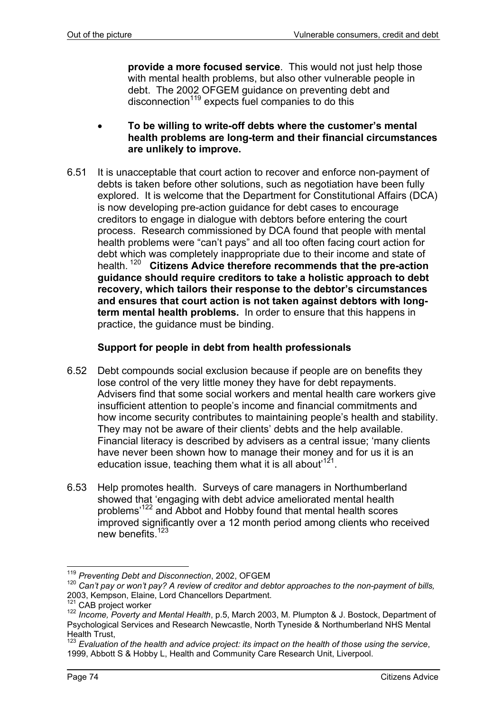**provide a more focused service**. This would not just help those with mental health problems, but also other vulnerable people in debt. The 2002 OFGEM guidance on preventing debt and disconnection $119$  expects fuel companies to do this

- **To be willing to write-off debts where the customer's mental health problems are long-term and their financial circumstances are unlikely to improve.**
- 6.51 It is unacceptable that court action to recover and enforce non-payment of debts is taken before other solutions, such as negotiation have been fully explored. It is welcome that the Department for Constitutional Affairs (DCA) is now developing pre-action guidance for debt cases to encourage creditors to engage in dialogue with debtors before entering the court process. Research commissioned by DCA found that people with mental health problems were "can't pays" and all too often facing court action for debt which was completely inappropriate due to their income and state of health. 120 **Citizens Advice therefore recommends that the pre-action guidance should require creditors to take a holistic approach to debt recovery, which tailors their response to the debtor's circumstances and ensures that court action is not taken against debtors with longterm mental health problems.** In order to ensure that this happens in practice, the guidance must be binding.

# **Support for people in debt from health professionals**

- 6.52 Debt compounds social exclusion because if people are on benefits they lose control of the very little money they have for debt repayments. Advisers find that some social workers and mental health care workers give insufficient attention to people's income and financial commitments and how income security contributes to maintaining people's health and stability. They may not be aware of their clients' debts and the help available. Financial literacy is described by advisers as a central issue; 'many clients have never been shown how to manage their money and for us it is an education issue, teaching them what it is all about<sup>121</sup>.
- 6.53 Help promotes health. Surveys of care managers in Northumberland showed that 'engaging with debt advice ameliorated mental health problems'122 and Abbot and Hobby found that mental health scores improved significantly over a 12 month period among clients who received new benefits.<sup>123</sup>

l <sup>119</sup> *Preventing Debt and Disconnection*, 2002, OFGEM

<sup>&</sup>lt;sup>120</sup> Can't pay or won't pay? A review of creditor and debtor approaches to the non-payment of bills,<br>2003, Kempson, Elaine, Lord Chancellors Department.

<sup>&</sup>lt;sup>121</sup> CAB project worker<br><sup>122</sup> Income, Poverty and Mental Health, p.5, March 2003, M. Plumpton & J. Bostock, Department of Psychological Services and Research Newcastle, North Tyneside & Northumberland NHS Mental Health Trust,

<sup>123</sup> *Evaluation of the health and advice project: its impact on the health of those using the service*, 1999, Abbott S & Hobby L, Health and Community Care Research Unit, Liverpool.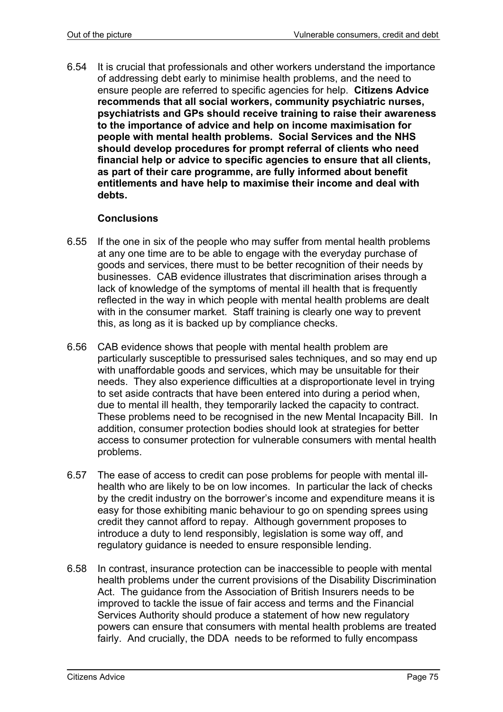6.54 It is crucial that professionals and other workers understand the importance of addressing debt early to minimise health problems, and the need to ensure people are referred to specific agencies for help. **Citizens Advice recommends that all social workers, community psychiatric nurses, psychiatrists and GPs should receive training to raise their awareness to the importance of advice and help on income maximisation for people with mental health problems. Social Services and the NHS should develop procedures for prompt referral of clients who need financial help or advice to specific agencies to ensure that all clients, as part of their care programme, are fully informed about benefit entitlements and have help to maximise their income and deal with debts.**

### **Conclusions**

- 6.55 If the one in six of the people who may suffer from mental health problems at any one time are to be able to engage with the everyday purchase of goods and services, there must to be better recognition of their needs by businesses. CAB evidence illustrates that discrimination arises through a lack of knowledge of the symptoms of mental ill health that is frequently reflected in the way in which people with mental health problems are dealt with in the consumer market. Staff training is clearly one way to prevent this, as long as it is backed up by compliance checks.
- 6.56 CAB evidence shows that people with mental health problem are particularly susceptible to pressurised sales techniques, and so may end up with unaffordable goods and services, which may be unsuitable for their needs. They also experience difficulties at a disproportionate level in trying to set aside contracts that have been entered into during a period when, due to mental ill health, they temporarily lacked the capacity to contract. These problems need to be recognised in the new Mental Incapacity Bill. In addition, consumer protection bodies should look at strategies for better access to consumer protection for vulnerable consumers with mental health problems.
- 6.57 The ease of access to credit can pose problems for people with mental illhealth who are likely to be on low incomes. In particular the lack of checks by the credit industry on the borrower's income and expenditure means it is easy for those exhibiting manic behaviour to go on spending sprees using credit they cannot afford to repay. Although government proposes to introduce a duty to lend responsibly, legislation is some way off, and regulatory guidance is needed to ensure responsible lending.
- 6.58 In contrast, insurance protection can be inaccessible to people with mental health problems under the current provisions of the Disability Discrimination Act. The guidance from the Association of British Insurers needs to be improved to tackle the issue of fair access and terms and the Financial Services Authority should produce a statement of how new regulatory powers can ensure that consumers with mental health problems are treated fairly. And crucially, the DDA needs to be reformed to fully encompass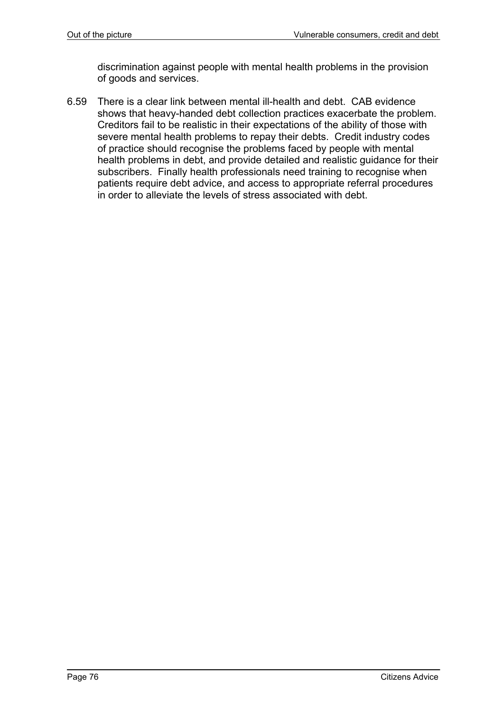discrimination against people with mental health problems in the provision of goods and services.

6.59 There is a clear link between mental ill-health and debt. CAB evidence shows that heavy-handed debt collection practices exacerbate the problem. Creditors fail to be realistic in their expectations of the ability of those with severe mental health problems to repay their debts. Credit industry codes of practice should recognise the problems faced by people with mental health problems in debt, and provide detailed and realistic guidance for their subscribers. Finally health professionals need training to recognise when patients require debt advice, and access to appropriate referral procedures in order to alleviate the levels of stress associated with debt.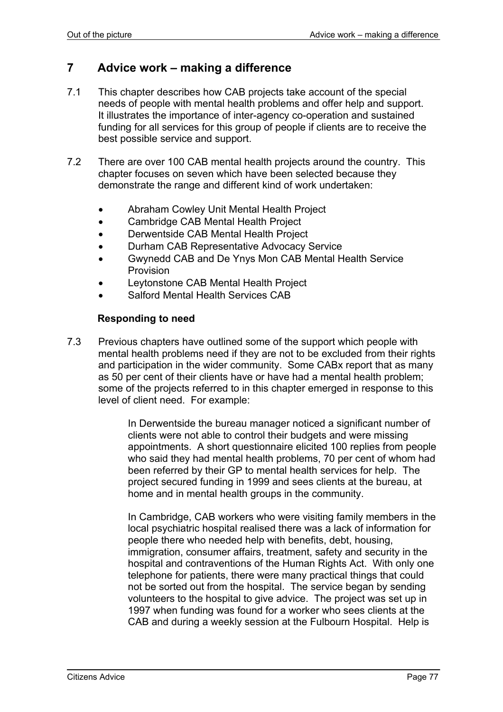# **7 Advice work – making a difference**

- 7.1 This chapter describes how CAB projects take account of the special needs of people with mental health problems and offer help and support. It illustrates the importance of inter-agency co-operation and sustained funding for all services for this group of people if clients are to receive the best possible service and support.
- 7.2 There are over 100 CAB mental health projects around the country. This chapter focuses on seven which have been selected because they demonstrate the range and different kind of work undertaken:
	- Abraham Cowley Unit Mental Health Project
	- Cambridge CAB Mental Health Project
	- Derwentside CAB Mental Health Project
	- Durham CAB Representative Advocacy Service
	- Gwynedd CAB and De Ynys Mon CAB Mental Health Service Provision
	- Leytonstone CAB Mental Health Project
	- Salford Mental Health Services CAB

### **Responding to need**

7.3 Previous chapters have outlined some of the support which people with mental health problems need if they are not to be excluded from their rights and participation in the wider community. Some CABx report that as many as 50 per cent of their clients have or have had a mental health problem; some of the projects referred to in this chapter emerged in response to this level of client need. For example:

> In Derwentside the bureau manager noticed a significant number of clients were not able to control their budgets and were missing appointments. A short questionnaire elicited 100 replies from people who said they had mental health problems, 70 per cent of whom had been referred by their GP to mental health services for help. The project secured funding in 1999 and sees clients at the bureau, at home and in mental health groups in the community.

> In Cambridge, CAB workers who were visiting family members in the local psychiatric hospital realised there was a lack of information for people there who needed help with benefits, debt, housing, immigration, consumer affairs, treatment, safety and security in the hospital and contraventions of the Human Rights Act. With only one telephone for patients, there were many practical things that could not be sorted out from the hospital. The service began by sending volunteers to the hospital to give advice. The project was set up in 1997 when funding was found for a worker who sees clients at the CAB and during a weekly session at the Fulbourn Hospital. Help is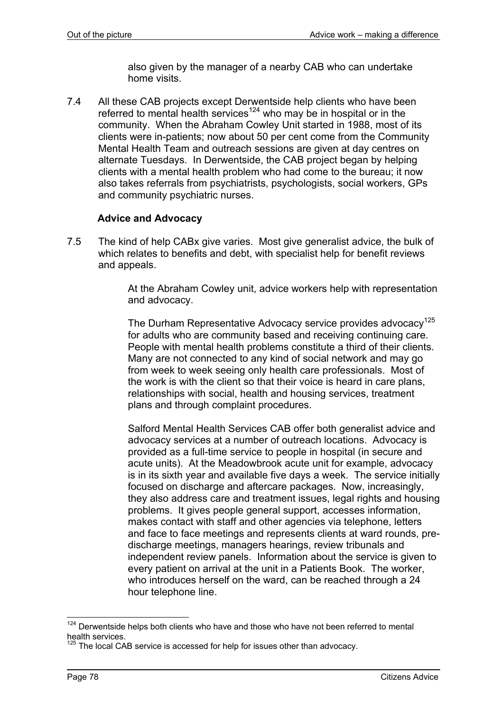also given by the manager of a nearby CAB who can undertake home visits.

7.4 All these CAB projects except Derwentside help clients who have been referred to mental health services<sup>124</sup> who may be in hospital or in the community. When the Abraham Cowley Unit started in 1988, most of its clients were in-patients; now about 50 per cent come from the Community Mental Health Team and outreach sessions are given at day centres on alternate Tuesdays. In Derwentside, the CAB project began by helping clients with a mental health problem who had come to the bureau; it now also takes referrals from psychiatrists, psychologists, social workers, GPs and community psychiatric nurses.

### **Advice and Advocacy**

7.5 The kind of help CABx give varies. Most give generalist advice, the bulk of which relates to benefits and debt, with specialist help for benefit reviews and appeals.

> At the Abraham Cowley unit, advice workers help with representation and advocacy.

> The Durham Representative Advocacy service provides advocacy<sup>125</sup> for adults who are community based and receiving continuing care. People with mental health problems constitute a third of their clients. Many are not connected to any kind of social network and may go from week to week seeing only health care professionals. Most of the work is with the client so that their voice is heard in care plans, relationships with social, health and housing services, treatment plans and through complaint procedures.

Salford Mental Health Services CAB offer both generalist advice and advocacy services at a number of outreach locations. Advocacy is provided as a full-time service to people in hospital (in secure and acute units). At the Meadowbrook acute unit for example, advocacy is in its sixth year and available five days a week. The service initially focused on discharge and aftercare packages. Now, increasingly, they also address care and treatment issues, legal rights and housing problems. It gives people general support, accesses information, makes contact with staff and other agencies via telephone, letters and face to face meetings and represents clients at ward rounds, predischarge meetings, managers hearings, review tribunals and independent review panels. Information about the service is given to every patient on arrival at the unit in a Patients Book. The worker, who introduces herself on the ward, can be reached through a 24 hour telephone line.

l

 $124$  Derwentside helps both clients who have and those who have not been referred to mental health services.

The local CAB service is accessed for help for issues other than advocacy.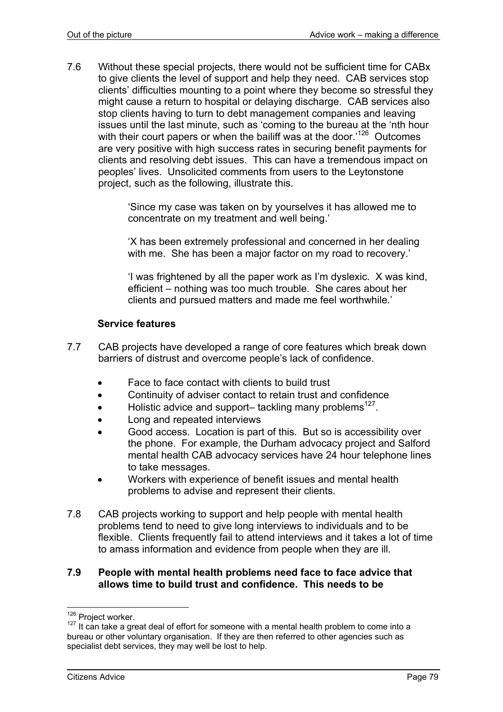7.6 Without these special projects, there would not be sufficient time for CABx to give clients the level of support and help they need. CAB services stop clients' difficulties mounting to a point where they become so stressful they might cause a return to hospital or delaying discharge. CAB services also stop clients having to turn to debt management companies and leaving issues until the last minute, such as 'coming to the bureau at the 'nth hour with their court papers or when the bailiff was at the door.<sup>126</sup> Outcomes are very positive with high success rates in securing benefit payments for clients and resolving debt issues. This can have a tremendous impact on peoples' lives. Unsolicited comments from users to the Leytonstone project, such as the following, illustrate this.

> 'Since my case was taken on by yourselves it has allowed me to concentrate on my treatment and well being.'

'X has been extremely professional and concerned in her dealing with me. She has been a major factor on my road to recovery.'

'I was frightened by all the paper work as I'm dyslexic. X was kind, efficient – nothing was too much trouble. She cares about her clients and pursued matters and made me feel worthwhile.'

### **Service features**

- 7.7 CAB projects have developed a range of core features which break down barriers of distrust and overcome people's lack of confidence.
	- Face to face contact with clients to build trust
	- Continuity of adviser contact to retain trust and confidence
	- Holistic advice and support– tackling many problems<sup>127</sup>.
	- Long and repeated interviews
	- Good access. Location is part of this. But so is accessibility over the phone. For example, the Durham advocacy project and Salford mental health CAB advocacy services have 24 hour telephone lines to take messages.
	- Workers with experience of benefit issues and mental health problems to advise and represent their clients.
- 7.8 CAB projects working to support and help people with mental health problems tend to need to give long interviews to individuals and to be flexible. Clients frequently fail to attend interviews and it takes a lot of time to amass information and evidence from people when they are ill.

#### **7.9 People with mental health problems need face to face advice that allows time to build trust and confidence. This needs to be**

<sup>&</sup>lt;sup>126</sup> Project worker.

<sup>&</sup>lt;sup>127</sup> It can take a great deal of effort for someone with a mental health problem to come into a bureau or other voluntary organisation. If they are then referred to other agencies such as specialist debt services, they may well be lost to help.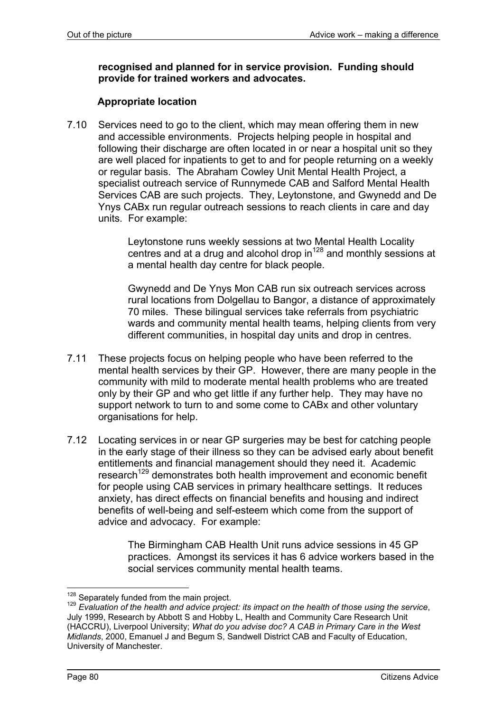### **recognised and planned for in service provision. Funding should provide for trained workers and advocates.**

### **Appropriate location**

7.10 Services need to go to the client, which may mean offering them in new and accessible environments. Projects helping people in hospital and following their discharge are often located in or near a hospital unit so they are well placed for inpatients to get to and for people returning on a weekly or regular basis. The Abraham Cowley Unit Mental Health Project, a specialist outreach service of Runnymede CAB and Salford Mental Health Services CAB are such projects. They, Leytonstone, and Gwynedd and De Ynys CABx run regular outreach sessions to reach clients in care and day units. For example:

> Leytonstone runs weekly sessions at two Mental Health Locality centres and at a drug and alcohol drop  $in^{128}$  and monthly sessions at a mental health day centre for black people.

> Gwynedd and De Ynys Mon CAB run six outreach services across rural locations from Dolgellau to Bangor, a distance of approximately 70 miles. These bilingual services take referrals from psychiatric wards and community mental health teams, helping clients from very different communities, in hospital day units and drop in centres.

- 7.11 These projects focus on helping people who have been referred to the mental health services by their GP. However, there are many people in the community with mild to moderate mental health problems who are treated only by their GP and who get little if any further help. They may have no support network to turn to and some come to CABx and other voluntary organisations for help.
- 7.12 Locating services in or near GP surgeries may be best for catching people in the early stage of their illness so they can be advised early about benefit entitlements and financial management should they need it. Academic research<sup>129</sup> demonstrates both health improvement and economic benefit for people using CAB services in primary healthcare settings. It reduces anxiety, has direct effects on financial benefits and housing and indirect benefits of well-being and self-esteem which come from the support of advice and advocacy. For example:

The Birmingham CAB Health Unit runs advice sessions in 45 GP practices. Amongst its services it has 6 advice workers based in the social services community mental health teams.

<sup>&</sup>lt;sup>128</sup> Separately funded from the main project.

<sup>&</sup>lt;sup>129</sup> Evaluation of the health and advice project: its impact on the health of those using the service, July 1999, Research by Abbott S and Hobby L, Health and Community Care Research Unit (HACCRU), Liverpool University; *What do you advise doc? A CAB in Primary Care in the West Midlands*, 2000, Emanuel J and Begum S, Sandwell District CAB and Faculty of Education, University of Manchester.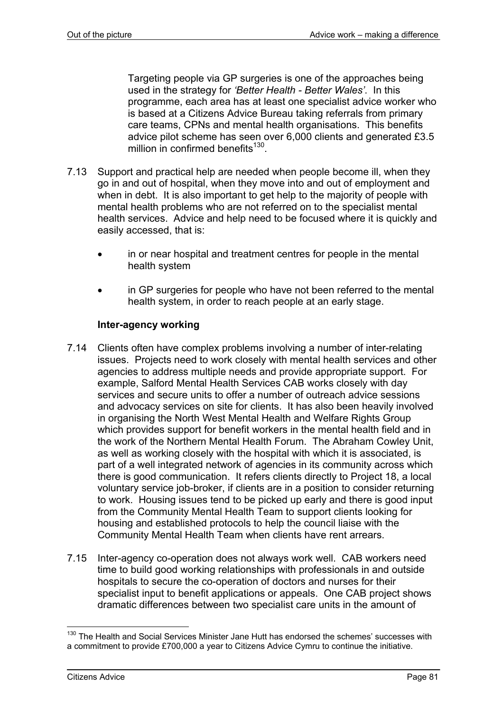Targeting people via GP surgeries is one of the approaches being used in the strategy for *'Better Health - Better Wales'*. In this programme, each area has at least one specialist advice worker who is based at a Citizens Advice Bureau taking referrals from primary care teams, CPNs and mental health organisations. This benefits advice pilot scheme has seen over 6,000 clients and generated £3.5 million in confirmed benefits<sup>130</sup>.

- 7.13 Support and practical help are needed when people become ill, when they go in and out of hospital, when they move into and out of employment and when in debt. It is also important to get help to the majority of people with mental health problems who are not referred on to the specialist mental health services. Advice and help need to be focused where it is quickly and easily accessed, that is:
	- in or near hospital and treatment centres for people in the mental health system
	- in GP surgeries for people who have not been referred to the mental health system, in order to reach people at an early stage.

### **Inter-agency working**

- 7.14 Clients often have complex problems involving a number of inter-relating issues. Projects need to work closely with mental health services and other agencies to address multiple needs and provide appropriate support. For example, Salford Mental Health Services CAB works closely with day services and secure units to offer a number of outreach advice sessions and advocacy services on site for clients. It has also been heavily involved in organising the North West Mental Health and Welfare Rights Group which provides support for benefit workers in the mental health field and in the work of the Northern Mental Health Forum. The Abraham Cowley Unit, as well as working closely with the hospital with which it is associated, is part of a well integrated network of agencies in its community across which there is good communication. It refers clients directly to Project 18, a local voluntary service job-broker, if clients are in a position to consider returning to work. Housing issues tend to be picked up early and there is good input from the Community Mental Health Team to support clients looking for housing and established protocols to help the council liaise with the Community Mental Health Team when clients have rent arrears.
- 7.15 Inter-agency co-operation does not always work well. CAB workers need time to build good working relationships with professionals in and outside hospitals to secure the co-operation of doctors and nurses for their specialist input to benefit applications or appeals. One CAB project shows dramatic differences between two specialist care units in the amount of

l <sup>130</sup> The Health and Social Services Minister Jane Hutt has endorsed the schemes' successes with a commitment to provide £700,000 a year to Citizens Advice Cymru to continue the initiative.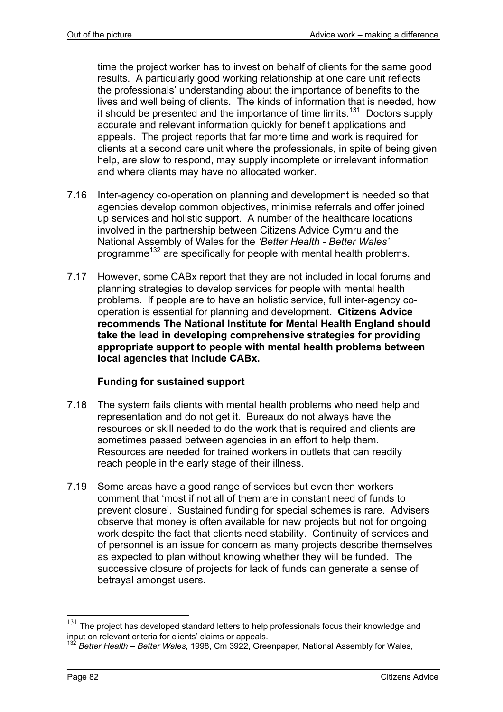time the project worker has to invest on behalf of clients for the same good results. A particularly good working relationship at one care unit reflects the professionals' understanding about the importance of benefits to the lives and well being of clients. The kinds of information that is needed, how it should be presented and the importance of time limits.<sup>131</sup> Doctors supply accurate and relevant information quickly for benefit applications and appeals. The project reports that far more time and work is required for clients at a second care unit where the professionals, in spite of being given help, are slow to respond, may supply incomplete or irrelevant information and where clients may have no allocated worker.

- 7.16 Inter-agency co-operation on planning and development is needed so that agencies develop common objectives, minimise referrals and offer joined up services and holistic support. A number of the healthcare locations involved in the partnership between Citizens Advice Cymru and the National Assembly of Wales for the *'Better Health - Better Wales'* programme<sup>132</sup> are specifically for people with mental health problems.
- 7.17 However, some CABx report that they are not included in local forums and planning strategies to develop services for people with mental health problems. If people are to have an holistic service, full inter-agency cooperation is essential for planning and development. **Citizens Advice recommends The National Institute for Mental Health England should take the lead in developing comprehensive strategies for providing appropriate support to people with mental health problems between local agencies that include CABx.**

# **Funding for sustained support**

- 7.18 The system fails clients with mental health problems who need help and representation and do not get it. Bureaux do not always have the resources or skill needed to do the work that is required and clients are sometimes passed between agencies in an effort to help them. Resources are needed for trained workers in outlets that can readily reach people in the early stage of their illness.
- 7.19 Some areas have a good range of services but even then workers comment that 'most if not all of them are in constant need of funds to prevent closure'. Sustained funding for special schemes is rare. Advisers observe that money is often available for new projects but not for ongoing work despite the fact that clients need stability. Continuity of services and of personnel is an issue for concern as many projects describe themselves as expected to plan without knowing whether they will be funded. The successive closure of projects for lack of funds can generate a sense of betrayal amongst users.

l

The project has developed standard letters to help professionals focus their knowledge and input on relevant criteria for clients' claims or appeals.

<sup>132</sup> *Better Health – Better Wales*, 1998, Cm 3922, Greenpaper, National Assembly for Wales,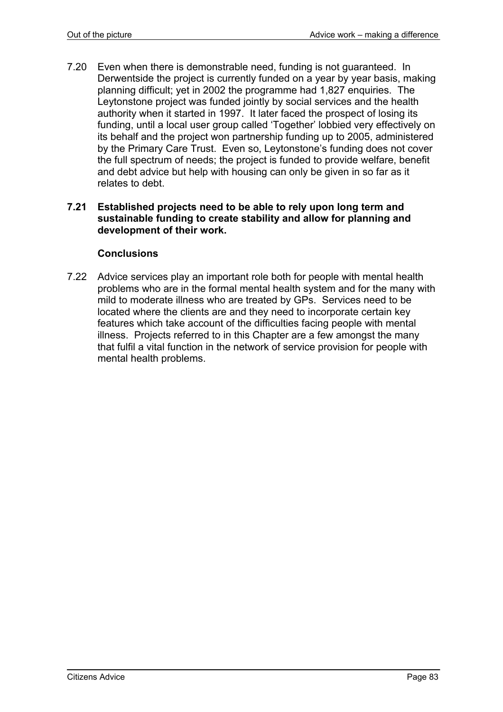7.20 Even when there is demonstrable need, funding is not guaranteed. In Derwentside the project is currently funded on a year by year basis, making planning difficult; yet in 2002 the programme had 1,827 enquiries. The Leytonstone project was funded jointly by social services and the health authority when it started in 1997. It later faced the prospect of losing its funding, until a local user group called 'Together' lobbied very effectively on its behalf and the project won partnership funding up to 2005, administered by the Primary Care Trust. Even so, Leytonstone's funding does not cover the full spectrum of needs; the project is funded to provide welfare, benefit and debt advice but help with housing can only be given in so far as it relates to debt.

#### **7.21 Established projects need to be able to rely upon long term and sustainable funding to create stability and allow for planning and development of their work.**

#### **Conclusions**

7.22 Advice services play an important role both for people with mental health problems who are in the formal mental health system and for the many with mild to moderate illness who are treated by GPs. Services need to be located where the clients are and they need to incorporate certain key features which take account of the difficulties facing people with mental illness. Projects referred to in this Chapter are a few amongst the many that fulfil a vital function in the network of service provision for people with mental health problems.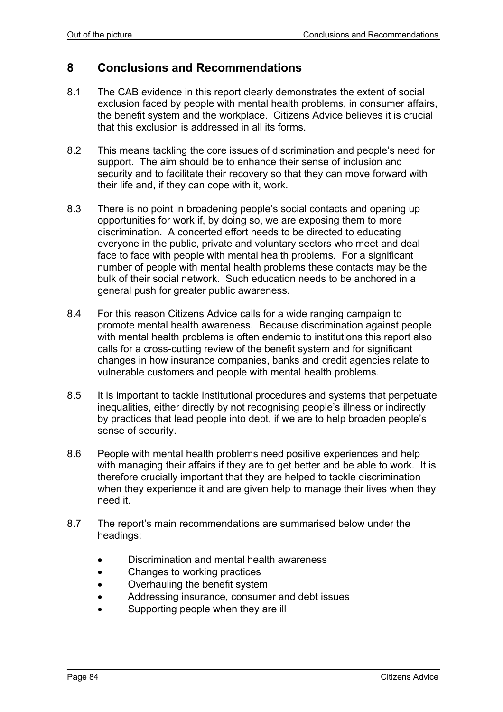# **8 Conclusions and Recommendations**

- 8.1 The CAB evidence in this report clearly demonstrates the extent of social exclusion faced by people with mental health problems, in consumer affairs, the benefit system and the workplace. Citizens Advice believes it is crucial that this exclusion is addressed in all its forms.
- 8.2 This means tackling the core issues of discrimination and people's need for support. The aim should be to enhance their sense of inclusion and security and to facilitate their recovery so that they can move forward with their life and, if they can cope with it, work.
- 8.3 There is no point in broadening people's social contacts and opening up opportunities for work if, by doing so, we are exposing them to more discrimination. A concerted effort needs to be directed to educating everyone in the public, private and voluntary sectors who meet and deal face to face with people with mental health problems. For a significant number of people with mental health problems these contacts may be the bulk of their social network. Such education needs to be anchored in a general push for greater public awareness.
- 8.4 For this reason Citizens Advice calls for a wide ranging campaign to promote mental health awareness. Because discrimination against people with mental health problems is often endemic to institutions this report also calls for a cross-cutting review of the benefit system and for significant changes in how insurance companies, banks and credit agencies relate to vulnerable customers and people with mental health problems.
- 8.5 It is important to tackle institutional procedures and systems that perpetuate inequalities, either directly by not recognising people's illness or indirectly by practices that lead people into debt, if we are to help broaden people's sense of security.
- 8.6 People with mental health problems need positive experiences and help with managing their affairs if they are to get better and be able to work. It is therefore crucially important that they are helped to tackle discrimination when they experience it and are given help to manage their lives when they need it.
- 8.7 The report's main recommendations are summarised below under the headings:
	- Discrimination and mental health awareness
	- Changes to working practices
	- Overhauling the benefit system
	- Addressing insurance, consumer and debt issues
	- Supporting people when they are ill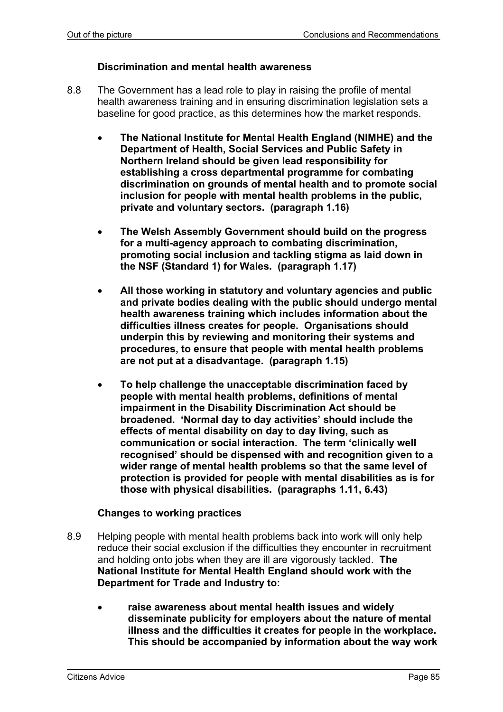#### **Discrimination and mental health awareness**

- 8.8 The Government has a lead role to play in raising the profile of mental health awareness training and in ensuring discrimination legislation sets a baseline for good practice, as this determines how the market responds.
	- **The National Institute for Mental Health England (NIMHE) and the Department of Health, Social Services and Public Safety in Northern Ireland should be given lead responsibility for establishing a cross departmental programme for combating discrimination on grounds of mental health and to promote social inclusion for people with mental health problems in the public, private and voluntary sectors. (paragraph 1.16)**
	- **The Welsh Assembly Government should build on the progress for a multi-agency approach to combating discrimination, promoting social inclusion and tackling stigma as laid down in the NSF (Standard 1) for Wales. (paragraph 1.17)**
	- **All those working in statutory and voluntary agencies and public and private bodies dealing with the public should undergo mental health awareness training which includes information about the difficulties illness creates for people. Organisations should underpin this by reviewing and monitoring their systems and procedures, to ensure that people with mental health problems are not put at a disadvantage. (paragraph 1.15)**
	- **To help challenge the unacceptable discrimination faced by people with mental health problems, definitions of mental impairment in the Disability Discrimination Act should be broadened. 'Normal day to day activities' should include the effects of mental disability on day to day living, such as communication or social interaction. The term 'clinically well recognised' should be dispensed with and recognition given to a wider range of mental health problems so that the same level of protection is provided for people with mental disabilities as is for those with physical disabilities. (paragraphs 1.11, 6.43)**

#### **Changes to working practices**

- 8.9 Helping people with mental health problems back into work will only help reduce their social exclusion if the difficulties they encounter in recruitment and holding onto jobs when they are ill are vigorously tackled. **The National Institute for Mental Health England should work with the Department for Trade and Industry to:** 
	- **raise awareness about mental health issues and widely disseminate publicity for employers about the nature of mental illness and the difficulties it creates for people in the workplace. This should be accompanied by information about the way work**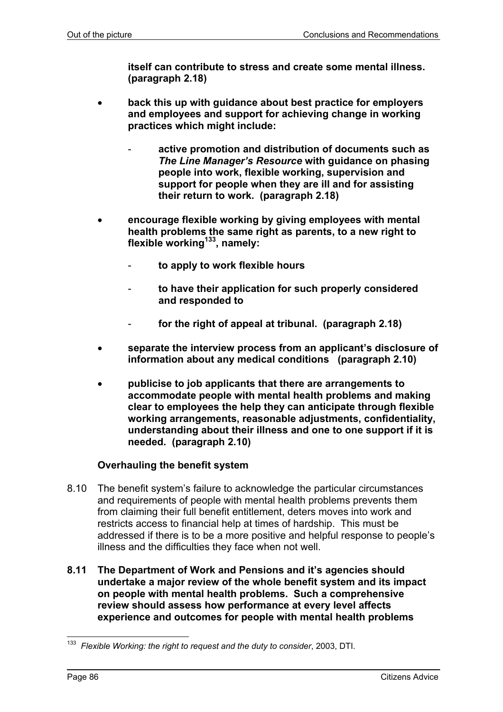**itself can contribute to stress and create some mental illness. (paragraph 2.18)** 

- **back this up with guidance about best practice for employers and employees and support for achieving change in working practices which might include:** 
	- **active promotion and distribution of documents such as**  *The Line Manager's Resource* **with guidance on phasing people into work, flexible working, supervision and support for people when they are ill and for assisting their return to work. (paragraph 2.18)**
- **encourage flexible working by giving employees with mental health problems the same right as parents, to a new right to**  flexible working<sup>133</sup>, namely:
	- **to apply to work flexible hours**
	- **to have their application for such properly considered and responded to**
	- for the right of appeal at tribunal. (paragraph 2.18)
- **separate the interview process from an applicant's disclosure of information about any medical conditions (paragraph 2.10)**
- **publicise to job applicants that there are arrangements to accommodate people with mental health problems and making clear to employees the help they can anticipate through flexible working arrangements, reasonable adjustments, confidentiality, understanding about their illness and one to one support if it is needed. (paragraph 2.10)**

### **Overhauling the benefit system**

- 8.10 The benefit system's failure to acknowledge the particular circumstances and requirements of people with mental health problems prevents them from claiming their full benefit entitlement, deters moves into work and restricts access to financial help at times of hardship. This must be addressed if there is to be a more positive and helpful response to people's illness and the difficulties they face when not well.
- **8.11 The Department of Work and Pensions and it's agencies should undertake a major review of the whole benefit system and its impact on people with mental health problems. Such a comprehensive review should assess how performance at every level affects experience and outcomes for people with mental health problems**

l 133 *Flexible Working: the right to request and the duty to consider*, 2003, DTI.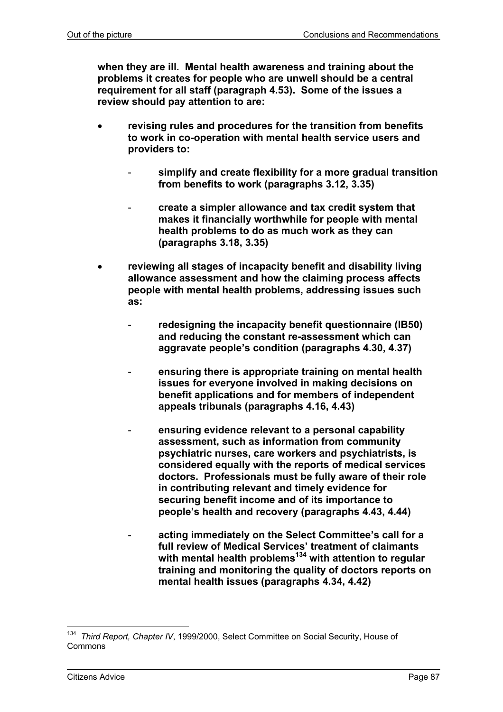**when they are ill. Mental health awareness and training about the problems it creates for people who are unwell should be a central requirement for all staff (paragraph 4.53). Some of the issues a review should pay attention to are:** 

- **revising rules and procedures for the transition from benefits to work in co-operation with mental health service users and providers to:** 
	- **simplify and create flexibility for a more gradual transition from benefits to work (paragraphs 3.12, 3.35)**
	- **create a simpler allowance and tax credit system that makes it financially worthwhile for people with mental health problems to do as much work as they can (paragraphs 3.18, 3.35)**
- **reviewing all stages of incapacity benefit and disability living allowance assessment and how the claiming process affects people with mental health problems, addressing issues such as:** 
	- redesigning the incapacity benefit questionnaire (IB50) **and reducing the constant re-assessment which can aggravate people's condition (paragraphs 4.30, 4.37)**
	- **ensuring there is appropriate training on mental health issues for everyone involved in making decisions on benefit applications and for members of independent appeals tribunals (paragraphs 4.16, 4.43)**
	- **ensuring evidence relevant to a personal capability assessment, such as information from community psychiatric nurses, care workers and psychiatrists, is considered equally with the reports of medical services doctors. Professionals must be fully aware of their role in contributing relevant and timely evidence for securing benefit income and of its importance to people's health and recovery (paragraphs 4.43, 4.44)**
	- **acting immediately on the Select Committee's call for a full review of Medical Services' treatment of claimants with mental health problems134 with attention to regular training and monitoring the quality of doctors reports on mental health issues (paragraphs 4.34, 4.42)**

l 134 *Third Report, Chapter IV*, 1999/2000, Select Committee on Social Security, House of Commons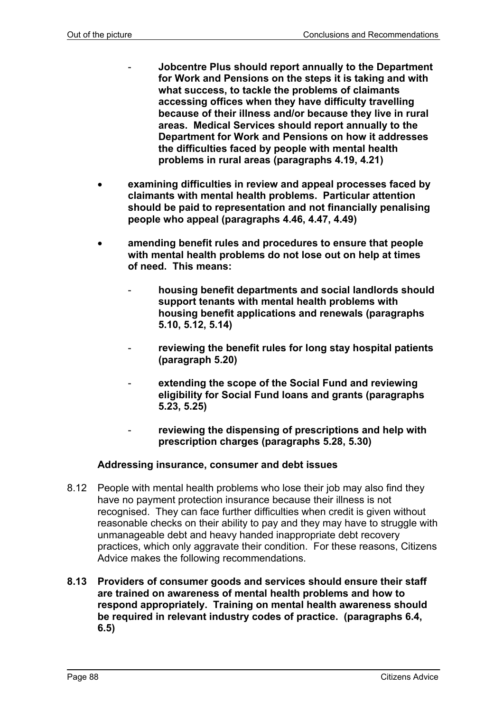- **Jobcentre Plus should report annually to the Department for Work and Pensions on the steps it is taking and with what success, to tackle the problems of claimants accessing offices when they have difficulty travelling because of their illness and/or because they live in rural areas. Medical Services should report annually to the Department for Work and Pensions on how it addresses the difficulties faced by people with mental health problems in rural areas (paragraphs 4.19, 4.21)**
- **examining difficulties in review and appeal processes faced by claimants with mental health problems. Particular attention should be paid to representation and not financially penalising people who appeal (paragraphs 4.46, 4.47, 4.49)**
- **amending benefit rules and procedures to ensure that people with mental health problems do not lose out on help at times of need. This means:** 
	- **housing benefit departments and social landlords should support tenants with mental health problems with housing benefit applications and renewals (paragraphs 5.10, 5.12, 5.14)**
	- reviewing the benefit rules for long stay hospital patients **(paragraph 5.20)**
	- extending the scope of the Social Fund and reviewing **eligibility for Social Fund loans and grants (paragraphs 5.23, 5.25)**
	- reviewing the dispensing of prescriptions and help with **prescription charges (paragraphs 5.28, 5.30)**

### **Addressing insurance, consumer and debt issues**

- 8.12 People with mental health problems who lose their job may also find they have no payment protection insurance because their illness is not recognised. They can face further difficulties when credit is given without reasonable checks on their ability to pay and they may have to struggle with unmanageable debt and heavy handed inappropriate debt recovery practices, which only aggravate their condition. For these reasons, Citizens Advice makes the following recommendations.
- **8.13 Providers of consumer goods and services should ensure their staff are trained on awareness of mental health problems and how to respond appropriately. Training on mental health awareness should be required in relevant industry codes of practice. (paragraphs 6.4, 6.5)**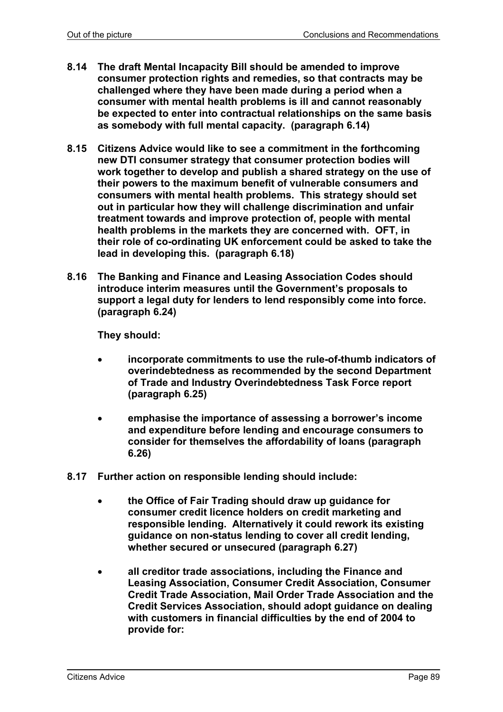- **8.14 The draft Mental Incapacity Bill should be amended to improve consumer protection rights and remedies, so that contracts may be challenged where they have been made during a period when a consumer with mental health problems is ill and cannot reasonably be expected to enter into contractual relationships on the same basis as somebody with full mental capacity. (paragraph 6.14)**
- **8.15 Citizens Advice would like to see a commitment in the forthcoming new DTI consumer strategy that consumer protection bodies will work together to develop and publish a shared strategy on the use of their powers to the maximum benefit of vulnerable consumers and consumers with mental health problems. This strategy should set out in particular how they will challenge discrimination and unfair treatment towards and improve protection of, people with mental health problems in the markets they are concerned with. OFT, in their role of co-ordinating UK enforcement could be asked to take the lead in developing this. (paragraph 6.18)**
- **8.16 The Banking and Finance and Leasing Association Codes should introduce interim measures until the Government's proposals to support a legal duty for lenders to lend responsibly come into force. (paragraph 6.24)**

**They should:** 

- **incorporate commitments to use the rule-of-thumb indicators of overindebtedness as recommended by the second Department of Trade and Industry Overindebtedness Task Force report (paragraph 6.25)**
- **emphasise the importance of assessing a borrower's income and expenditure before lending and encourage consumers to consider for themselves the affordability of loans (paragraph 6.26)**
- **8.17 Further action on responsible lending should include:** 
	- **the Office of Fair Trading should draw up guidance for consumer credit licence holders on credit marketing and responsible lending. Alternatively it could rework its existing guidance on non-status lending to cover all credit lending, whether secured or unsecured (paragraph 6.27)**
	- **all creditor trade associations, including the Finance and Leasing Association, Consumer Credit Association, Consumer Credit Trade Association, Mail Order Trade Association and the Credit Services Association, should adopt guidance on dealing with customers in financial difficulties by the end of 2004 to provide for:**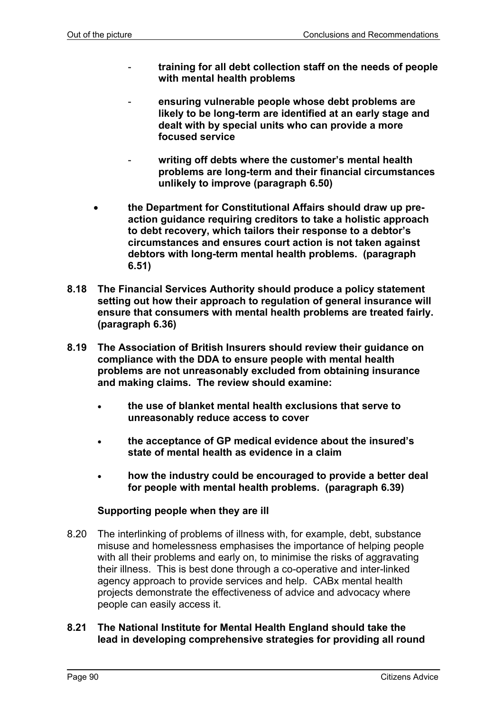- **training for all debt collection staff on the needs of people with mental health problems**
- **ensuring vulnerable people whose debt problems are likely to be long-term are identified at an early stage and dealt with by special units who can provide a more focused service**
- writing off debts where the customer's mental health **problems are long-term and their financial circumstances unlikely to improve (paragraph 6.50)**
- **the Department for Constitutional Affairs should draw up preaction guidance requiring creditors to take a holistic approach to debt recovery, which tailors their response to a debtor's circumstances and ensures court action is not taken against debtors with long-term mental health problems. (paragraph 6.51)**
- **8.18 The Financial Services Authority should produce a policy statement setting out how their approach to regulation of general insurance will ensure that consumers with mental health problems are treated fairly. (paragraph 6.36)**
- **8.19 The Association of British Insurers should review their guidance on compliance with the DDA to ensure people with mental health problems are not unreasonably excluded from obtaining insurance and making claims. The review should examine:**
	- **the use of blanket mental health exclusions that serve to unreasonably reduce access to cover**
	- **the acceptance of GP medical evidence about the insured's state of mental health as evidence in a claim**
	- **how the industry could be encouraged to provide a better deal for people with mental health problems. (paragraph 6.39)**

### **Supporting people when they are ill**

8.20 The interlinking of problems of illness with, for example, debt, substance misuse and homelessness emphasises the importance of helping people with all their problems and early on, to minimise the risks of aggravating their illness. This is best done through a co-operative and inter-linked agency approach to provide services and help. CABx mental health projects demonstrate the effectiveness of advice and advocacy where people can easily access it.

### **8.21 The National Institute for Mental Health England should take the lead in developing comprehensive strategies for providing all round**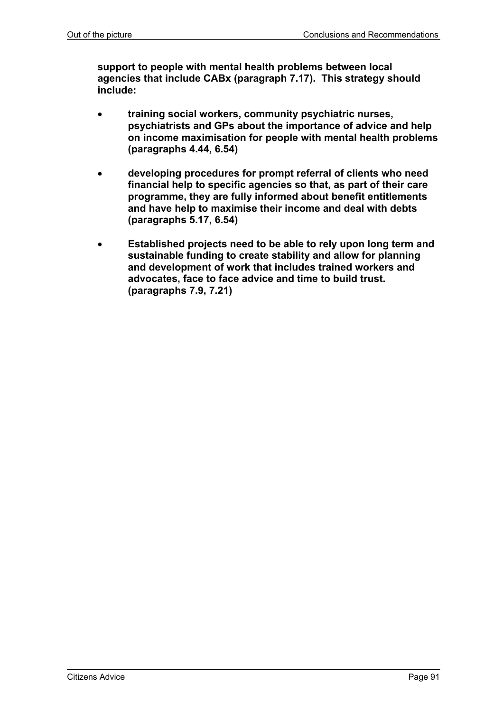**support to people with mental health problems between local agencies that include CABx (paragraph 7.17). This strategy should include:** 

- **training social workers, community psychiatric nurses, psychiatrists and GPs about the importance of advice and help on income maximisation for people with mental health problems (paragraphs 4.44, 6.54)**
- **developing procedures for prompt referral of clients who need financial help to specific agencies so that, as part of their care programme, they are fully informed about benefit entitlements and have help to maximise their income and deal with debts (paragraphs 5.17, 6.54)**
- **Established projects need to be able to rely upon long term and sustainable funding to create stability and allow for planning and development of work that includes trained workers and advocates, face to face advice and time to build trust. (paragraphs 7.9, 7.21)**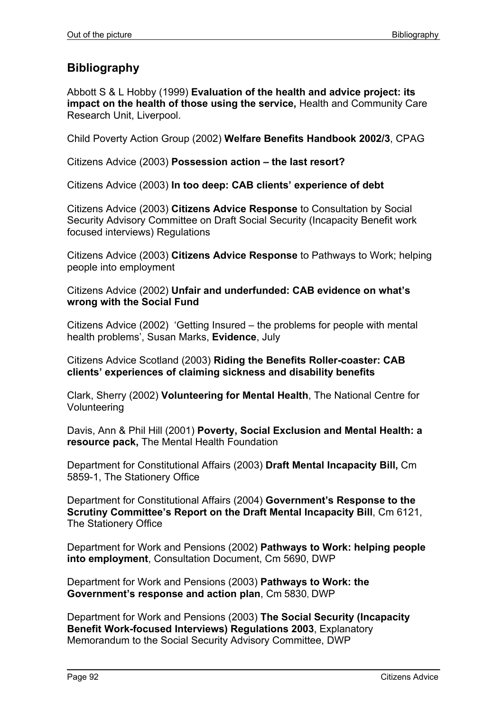# **Bibliography**

Abbott S & L Hobby (1999) **Evaluation of the health and advice project: its impact on the health of those using the service,** Health and Community Care Research Unit, Liverpool.

Child Poverty Action Group (2002) **Welfare Benefits Handbook 2002/3**, CPAG

Citizens Advice (2003) **Possession action – the last resort?**

Citizens Advice (2003) **In too deep: CAB clients' experience of debt**

Citizens Advice (2003) **Citizens Advice Response** to Consultation by Social Security Advisory Committee on Draft Social Security (Incapacity Benefit work focused interviews) Regulations

Citizens Advice (2003) **Citizens Advice Response** to Pathways to Work; helping people into employment

Citizens Advice (2002) **Unfair and underfunded: CAB evidence on what's wrong with the Social Fund** 

Citizens Advice (2002) 'Getting Insured – the problems for people with mental health problems', Susan Marks, **Evidence**, July

Citizens Advice Scotland (2003) **Riding the Benefits Roller-coaster: CAB clients' experiences of claiming sickness and disability benefits**

Clark, Sherry (2002) **Volunteering for Mental Health**, The National Centre for Volunteering

Davis, Ann & Phil Hill (2001) **Poverty, Social Exclusion and Mental Health: a resource pack,** The Mental Health Foundation

Department for Constitutional Affairs (2003) **Draft Mental Incapacity Bill,** Cm 5859-1, The Stationery Office

Department for Constitutional Affairs (2004) **Government's Response to the Scrutiny Committee's Report on the Draft Mental Incapacity Bill**, Cm 6121, The Stationery Office

Department for Work and Pensions (2002) **Pathways to Work: helping people into employment**, Consultation Document, Cm 5690, DWP

Department for Work and Pensions (2003) **Pathways to Work: the Government's response and action plan**, Cm 5830, DWP

Department for Work and Pensions (2003) **The Social Security (Incapacity Benefit Work-focused Interviews) Regulations 2003**, Explanatory Memorandum to the Social Security Advisory Committee, DWP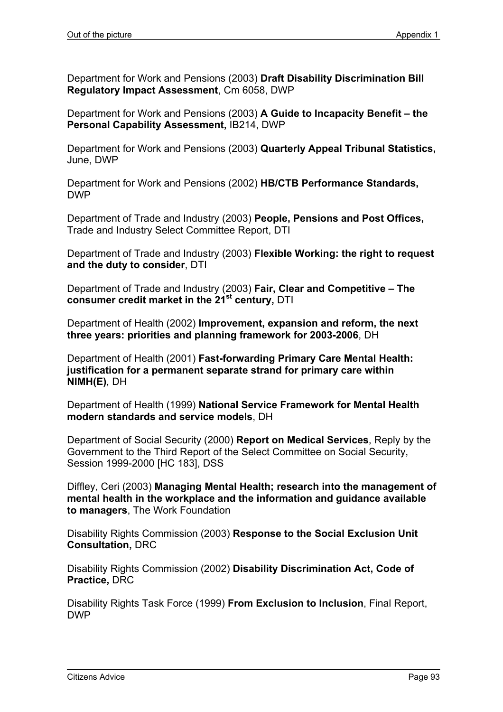Department for Work and Pensions (2003) **Draft Disability Discrimination Bill Regulatory Impact Assessment**, Cm 6058, DWP

Department for Work and Pensions (2003) **A Guide to Incapacity Benefit – the Personal Capability Assessment,** IB214, DWP

Department for Work and Pensions (2003) **Quarterly Appeal Tribunal Statistics,**  June, DWP

Department for Work and Pensions (2002) **HB/CTB Performance Standards,** DWP

Department of Trade and Industry (2003) **People, Pensions and Post Offices,** Trade and Industry Select Committee Report, DTI

Department of Trade and Industry (2003) **Flexible Working: the right to request and the duty to consider**, DTI

Department of Trade and Industry (2003) **Fair, Clear and Competitive – The consumer credit market in the 21st century,** DTI

Department of Health (2002) **Improvement, expansion and reform, the next three years: priorities and planning framework for 2003-2006**, DH

Department of Health (2001) **Fast-forwarding Primary Care Mental Health: justification for a permanent separate strand for primary care within NIMH(E)***,* DH

Department of Health (1999) **National Service Framework for Mental Health modern standards and service models**, DH

Department of Social Security (2000) **Report on Medical Services**, Reply by the Government to the Third Report of the Select Committee on Social Security, Session 1999-2000 [HC 183], DSS

Diffley, Ceri (2003) **Managing Mental Health; research into the management of mental health in the workplace and the information and guidance available to managers**, The Work Foundation

Disability Rights Commission (2003) **Response to the Social Exclusion Unit Consultation,** DRC

Disability Rights Commission (2002) **Disability Discrimination Act, Code of Practice,** DRC

Disability Rights Task Force (1999) **From Exclusion to Inclusion**, Final Report, DWP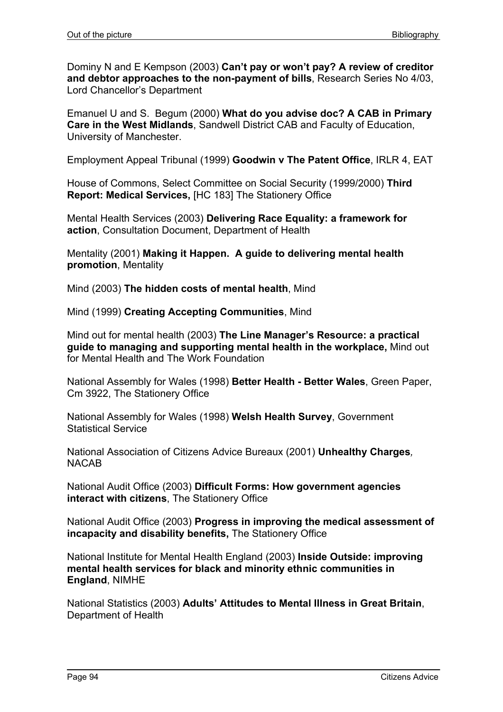Dominy N and E Kempson (2003) **Can't pay or won't pay? A review of creditor and debtor approaches to the non-payment of bills**, Research Series No 4/03, Lord Chancellor's Department

Emanuel U and S. Begum (2000) **What do you advise doc? A CAB in Primary Care in the West Midlands**, Sandwell District CAB and Faculty of Education, University of Manchester.

Employment Appeal Tribunal (1999) **Goodwin v The Patent Office**, IRLR 4, EAT

House of Commons, Select Committee on Social Security (1999/2000) **Third Report: Medical Services,** [HC 183] The Stationery Office

Mental Health Services (2003) **Delivering Race Equality: a framework for action**, Consultation Document, Department of Health

Mentality (2001) **Making it Happen. A guide to delivering mental health promotion**, Mentality

Mind (2003) **The hidden costs of mental health**, Mind

Mind (1999) **Creating Accepting Communities**, Mind

Mind out for mental health (2003) **The Line Manager's Resource: a practical guide to managing and supporting mental health in the workplace,** Mind out for Mental Health and The Work Foundation

National Assembly for Wales (1998) **Better Health - Better Wales**, Green Paper, Cm 3922, The Stationery Office

National Assembly for Wales (1998) **Welsh Health Survey**, Government Statistical Service

National Association of Citizens Advice Bureaux (2001) **Unhealthy Charges***,* NACAB

National Audit Office (2003) **Difficult Forms: How government agencies interact with citizens**, The Stationery Office

National Audit Office (2003) **Progress in improving the medical assessment of incapacity and disability benefits,** The Stationery Office

National Institute for Mental Health England (2003) **Inside Outside: improving mental health services for black and minority ethnic communities in England**, NIMHE

National Statistics (2003) **Adults' Attitudes to Mental Illness in Great Britain**, Department of Health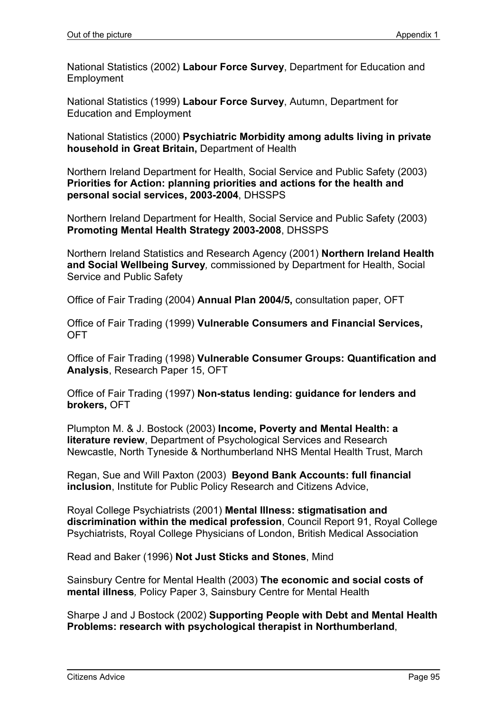National Statistics (2002) **Labour Force Survey**, Department for Education and Employment

National Statistics (1999) **Labour Force Survey**, Autumn, Department for Education and Employment

National Statistics (2000) **Psychiatric Morbidity among adults living in private household in Great Britain,** Department of Health

Northern Ireland Department for Health, Social Service and Public Safety (2003) **Priorities for Action: planning priorities and actions for the health and personal social services, 2003-2004**, DHSSPS

Northern Ireland Department for Health, Social Service and Public Safety (2003) **Promoting Mental Health Strategy 2003-2008**, DHSSPS

Northern Ireland Statistics and Research Agency (2001) **Northern Ireland Health and Social Wellbeing Survey***,* commissioned by Department for Health, Social Service and Public Safety

Office of Fair Trading (2004) **Annual Plan 2004/5,** consultation paper, OFT

Office of Fair Trading (1999) **Vulnerable Consumers and Financial Services,**  OFT

Office of Fair Trading (1998) **Vulnerable Consumer Groups: Quantification and Analysis**, Research Paper 15, OFT

Office of Fair Trading (1997) **Non-status lending: guidance for lenders and brokers,** OFT

Plumpton M. & J. Bostock (2003) **Income, Poverty and Mental Health: a literature review**, Department of Psychological Services and Research Newcastle, North Tyneside & Northumberland NHS Mental Health Trust, March

Regan, Sue and Will Paxton (2003) **Beyond Bank Accounts: full financial inclusion**, Institute for Public Policy Research and Citizens Advice,

Royal College Psychiatrists (2001) **Mental Illness: stigmatisation and discrimination within the medical profession**, Council Report 91, Royal College Psychiatrists, Royal College Physicians of London, British Medical Association

Read and Baker (1996) **Not Just Sticks and Stones**, Mind

Sainsbury Centre for Mental Health (2003) **The economic and social costs of mental illness***,* Policy Paper 3, Sainsbury Centre for Mental Health

Sharpe J and J Bostock (2002) **Supporting People with Debt and Mental Health Problems: research with psychological therapist in Northumberland**,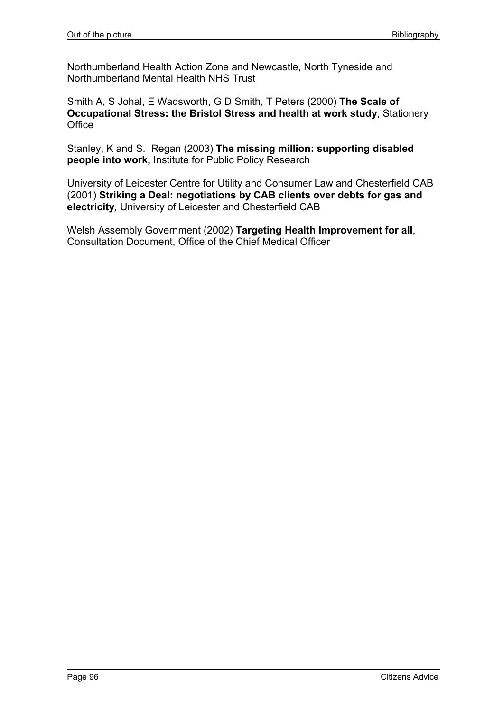Northumberland Health Action Zone and Newcastle, North Tyneside and Northumberland Mental Health NHS Trust

Smith A, S Johal, E Wadsworth, G D Smith, T Peters (2000) **The Scale of Occupational Stress: the Bristol Stress and health at work study**, Stationery **Office** 

Stanley, K and S. Regan (2003) **The missing million: supporting disabled people into work,** Institute for Public Policy Research

University of Leicester Centre for Utility and Consumer Law and Chesterfield CAB (2001) **Striking a Deal: negotiations by CAB clients over debts for gas and electricity***,* University of Leicester and Chesterfield CAB

Welsh Assembly Government (2002) **Targeting Health Improvement for all**, Consultation Document, Office of the Chief Medical Officer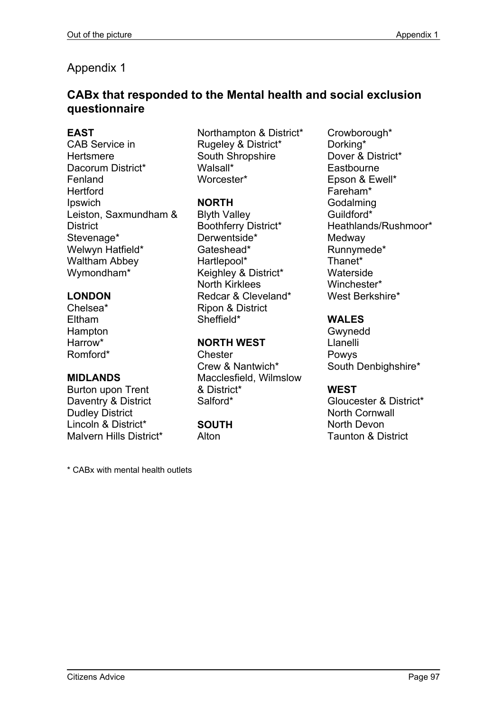# Appendix 1

# **CABx that responded to the Mental health and social exclusion questionnaire**

### **EAST**

CAB Service in **Hertsmere** Dacorum District\* Fenland **Hertford** Ipswich Leiston, Saxmundham & **District** Stevenage\* Welwyn Hatfield\* Waltham Abbey Wymondham\*

# **LONDON**

Chelsea\* Eltham **Hampton** Harrow\* Romford\*

### **MIDLANDS**

Burton upon Trent Daventry & District Dudley District Lincoln & District\* Malvern Hills District\*

Northampton & District\* Rugeley & District\* South Shropshire Walsall\* Worcester\*

# **NORTH**

Blyth Valley Boothferry District\* Derwentside\* Gateshead\* Hartlepool\* Keighley & District\* North Kirklees Redcar & Cleveland\* Ripon & District Sheffield\*

# **NORTH WEST**

**Chester** Crew & Nantwich\* Macclesfield, Wilmslow & District\* Salford\*

#### **SOUTH Alton**

\* CABx with mental health outlets

Crowborough\* Dorking\* Dover & District\* **Eastbourne** Epson & Ewell\* Fareham\* Godalming Guildford\* Heathlands/Rushmoor\* **Medway** Runnymede\* Thanet\* Waterside Winchester\* West Berkshire\*

### **WALES**

Gwynedd Llanelli Powys South Denbighshire\*

# **WEST**

Gloucester & District\* North Cornwall North Devon Taunton & District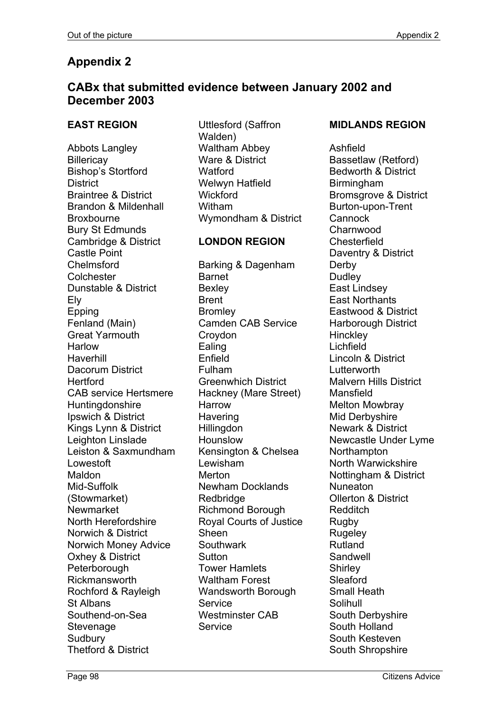# **Appendix 2**

# **CABx that submitted evidence between January 2002 and December 2003**

# **EAST REGION**

Abbots Langley **Billericay** Bishop's Stortford **District** Braintree & District Brandon & Mildenhall Broxbourne Bury St Edmunds Cambridge & District Castle Point Chelmsford **Colchester** Dunstable & District Ely Epping Fenland (Main) Great Yarmouth **Harlow Haverhill** Dacorum District **Hertford** CAB service Hertsmere **Huntingdonshire** Ipswich & District Kings Lynn & District Leighton Linslade Leiston & Saxmundham Lowestoft Maldon Mid-Suffolk (Stowmarket) Newmarket North Herefordshire Norwich & District Norwich Money Advice Oxhey & District **Peterborough** Rickmansworth Rochford & Rayleigh St Albans Southend-on-Sea **Stevenage** Sudbury Thetford & District

Uttlesford (Saffron Walden) Waltham Abbey Ware & District **Watford** Welwyn Hatfield **Wickford** Witham Wymondham & District

# **LONDON REGION**

Barking & Dagenham Barnet Bexley Brent **Bromley** Camden CAB Service Croydon Ealing Enfield Fulham Greenwhich District Hackney (Mare Street) Harrow **Havering Hillingdon** Hounslow Kensington & Chelsea Lewisham Merton Newham Docklands Redbridge Richmond Borough Royal Courts of Justice Sheen **Southwark Sutton** Tower Hamlets Waltham Forest Wandsworth Borough **Service** Westminster CAB **Service** 

# **MIDLANDS REGION**

Ashfield Bassetlaw (Retford) Bedworth & District Birmingham Bromsgrove & District Burton-upon-Trent **Cannock Charnwood Chesterfield** Daventry & District Derby **Dudley** East Lindsey East Northants Eastwood & District Harborough District **Hinckley** Lichfield Lincoln & District Lutterworth Malvern Hills District **Mansfield** Melton Mowbray Mid Derbyshire Newark & District Newcastle Under Lyme **Northampton** North Warwickshire Nottingham & District Nuneaton Ollerton & District Redditch Rugby Rugeley Rutland Sandwell **Shirley** Sleaford Small Heath **Solihull** South Derbyshire South Holland South Kesteven South Shropshire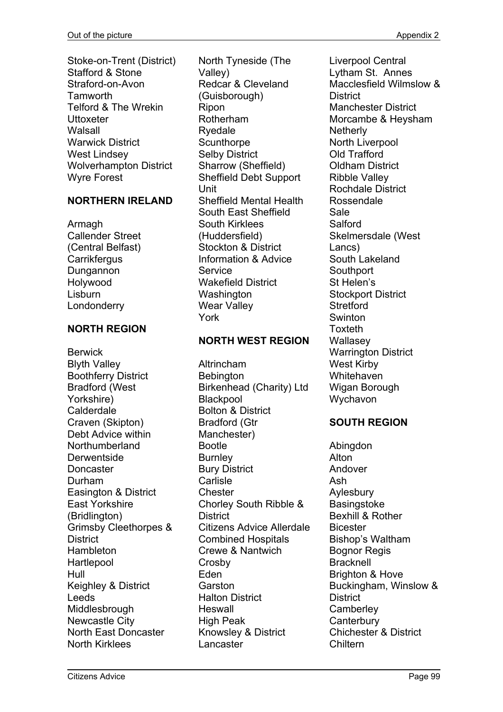Stoke-on-Trent (District) Stafford & Stone Straford-on-Avon Tamworth Telford & The Wrekin Uttoxeter Walsall Warwick District West Lindsey Wolverhampton District Wyre Forest

# **NORTHERN IRELAND**

Armagh Callender Street (Central Belfast) **Carrikfergus** Dungannon Holywood Lisburn Londonderry

# **NORTH REGION**

Berwick Blyth Valley Boothferry District Bradford (West Yorkshire) Calderdale Craven (Skipton) Debt Advice within Northumberland **Derwentside Doncaster** Durham Easington & District East Yorkshire (Bridlington) Grimsby Cleethorpes & **District** Hambleton **Hartlepool** Hull Keighley & District Leeds **Middlesbrough** Newcastle City North East Doncaster North Kirklees

North Tyneside (The Valley) Redcar & Cleveland (Guisborough) Ripon Rotherham Ryedale **Scunthorpe** Selby District Sharrow (Sheffield) Sheffield Debt Support Unit Sheffield Mental Health South East Sheffield South Kirklees (Huddersfield) Stockton & District Information & Advice **Service** Wakefield District Washington Wear Valley York

# **NORTH WEST REGION**

Altrincham **Bebington** Birkenhead (Charity) Ltd **Blackpool** Bolton & District Bradford (Gtr Manchester) Bootle **Burnley** Bury District **Carlisle Chester** Chorley South Ribble & **District** Citizens Advice Allerdale Combined Hospitals Crewe & Nantwich Crosby Eden **Garston** Halton District Heswall High Peak Knowsley & District Lancaster

Liverpool Central Lytham St. Annes Macclesfield Wilmslow & District Manchester District Morcambe & Heysham **Netherly** North Liverpool Old Trafford Oldham District Ribble Valley Rochdale District Rossendale Sale Salford Skelmersdale (West Lancs) South Lakeland **Southport** St Helen's Stockport District **Stretford Swinton** Toxteth **Wallasev** Warrington District West Kirby **Whitehaven** Wigan Borough Wychavon

# **SOUTH REGION**

Abingdon Alton Andover Ash Aylesbury **Basingstoke** Bexhill & Rother Bicester Bishop's Waltham Bognor Regis Bracknell Brighton & Hove Buckingham, Winslow & **District Camberley Canterbury** Chichester & District Chiltern